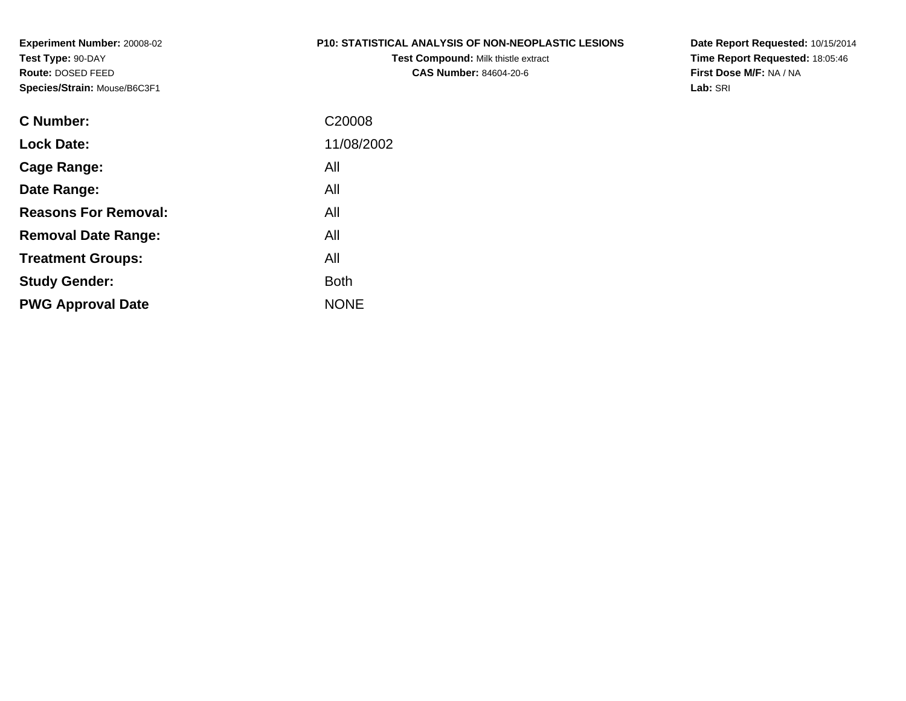#### **P10: STATISTICAL ANALYSIS OF NON-NEOPLASTIC LESIONS**

**Test Compound:** Milk thistle extract**CAS Number:** 84604-20-6

**Date Report Requested:** 10/15/2014 **Time Report Requested:** 18:05:46**First Dose M/F:** NA / NA**Lab:** SRI

| C <sub>20008</sub> |
|--------------------|
| 11/08/2002         |
| All                |
| All                |
| All                |
| All                |
| All                |
| Both               |
| <b>NONE</b>        |
|                    |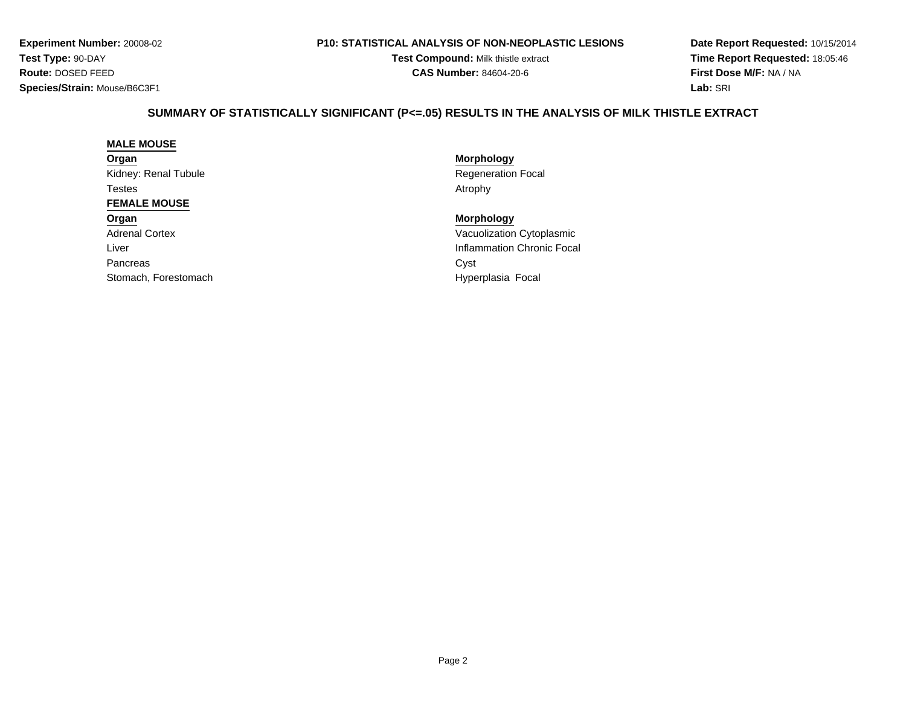#### **P10: STATISTICAL ANALYSIS OF NON-NEOPLASTIC LESIONS**

**Test Compound:** Milk thistle extract**CAS Number:** 84604-20-6

**Date Report Requested:** 10/15/2014**Time Report Requested:** 18:05:46**First Dose M/F:** NA / NA**Lab:** SRI

# **SUMMARY OF STATISTICALLY SIGNIFICANT (P<=.05) RESULTS IN THE ANALYSIS OF MILK THISTLE EXTRACT**

#### **MALE MOUSE**

**Organ**Kidney: Renal Tubule**Testes** s and the contract of the contract of the contract of the contract of the contract of the contract of the contract of the contract of the contract of the contract of the contract of the contract of the contract of the cont **FEMALE MOUSEOrgan**

Adrenal CortexLiverPancreass Cyst Stomach, Forestomach

 **Morphology** Regeneration Focal<br>Atrophy

 **Morphology** Vacuolization Cytoplasmic Inflammation Chronic Focal Hyperplasia Focal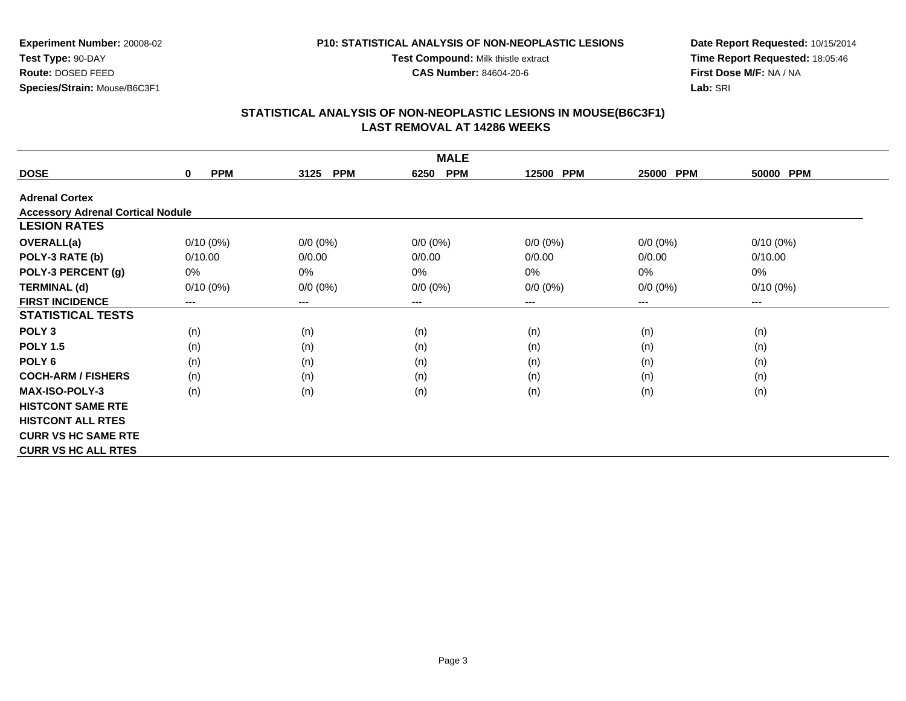**Test Compound:** Milk thistle extract

**CAS Number:** 84604-20-6

**Date Report Requested:** 10/15/2014**Time Report Requested:** 18:05:46**First Dose M/F:** NA / NA**Lab:** SRI

#### **STATISTICAL ANALYSIS OF NON-NEOPLASTIC LESIONS IN MOUSE(B6C3F1) LAST REMOVAL AT 14286 WEEKS**

|                                          | <b>MALE</b>               |                        |                    |                     |             |             |  |  |  |
|------------------------------------------|---------------------------|------------------------|--------------------|---------------------|-------------|-------------|--|--|--|
| <b>DOSE</b>                              | <b>PPM</b><br>$\mathbf 0$ | <b>PPM</b><br>3125     | <b>PPM</b><br>6250 | <b>PPM</b><br>12500 | 25000 PPM   | 50000 PPM   |  |  |  |
| <b>Adrenal Cortex</b>                    |                           |                        |                    |                     |             |             |  |  |  |
| <b>Accessory Adrenal Cortical Nodule</b> |                           |                        |                    |                     |             |             |  |  |  |
| <b>LESION RATES</b>                      |                           |                        |                    |                     |             |             |  |  |  |
| <b>OVERALL(a)</b>                        | $0/10(0\%)$               | $0/0 (0\%)$            | $0/0 (0\%)$        | $0/0 (0\%)$         | $0/0 (0\%)$ | $0/10(0\%)$ |  |  |  |
| POLY-3 RATE (b)                          | 0/10.00                   | 0/0.00                 | 0/0.00             | 0/0.00              | 0/0.00      | 0/10.00     |  |  |  |
| POLY-3 PERCENT (g)                       | 0%                        | 0%                     | 0%                 | 0%                  | 0%          | 0%          |  |  |  |
| <b>TERMINAL (d)</b>                      | $0/10(0\%)$               | $0/0 (0\%)$            | $0/0 (0\%)$        | $0/0 (0\%)$         | $0/0 (0\%)$ | $0/10(0\%)$ |  |  |  |
| <b>FIRST INCIDENCE</b>                   | $---$                     | $\qquad \qquad \cdots$ | ---                | ---                 | ---         | $\cdots$    |  |  |  |
| <b>STATISTICAL TESTS</b>                 |                           |                        |                    |                     |             |             |  |  |  |
| POLY <sub>3</sub>                        | (n)                       | (n)                    | (n)                | (n)                 | (n)         | (n)         |  |  |  |
| <b>POLY 1.5</b>                          | (n)                       | (n)                    | (n)                | (n)                 | (n)         | (n)         |  |  |  |
| POLY <sub>6</sub>                        | (n)                       | (n)                    | (n)                | (n)                 | (n)         | (n)         |  |  |  |
| <b>COCH-ARM / FISHERS</b>                | (n)                       | (n)                    | (n)                | (n)                 | (n)         | (n)         |  |  |  |
| <b>MAX-ISO-POLY-3</b>                    | (n)                       | (n)                    | (n)                | (n)                 | (n)         | (n)         |  |  |  |
| <b>HISTCONT SAME RTE</b>                 |                           |                        |                    |                     |             |             |  |  |  |
| <b>HISTCONT ALL RTES</b>                 |                           |                        |                    |                     |             |             |  |  |  |
| <b>CURR VS HC SAME RTE</b>               |                           |                        |                    |                     |             |             |  |  |  |
| <b>CURR VS HC ALL RTES</b>               |                           |                        |                    |                     |             |             |  |  |  |

## **Experiment Number:** 20008-02**Test Type:** 90-DAY **Route:** DOSED FEED**Species/Strain:** Mouse/B6C3F1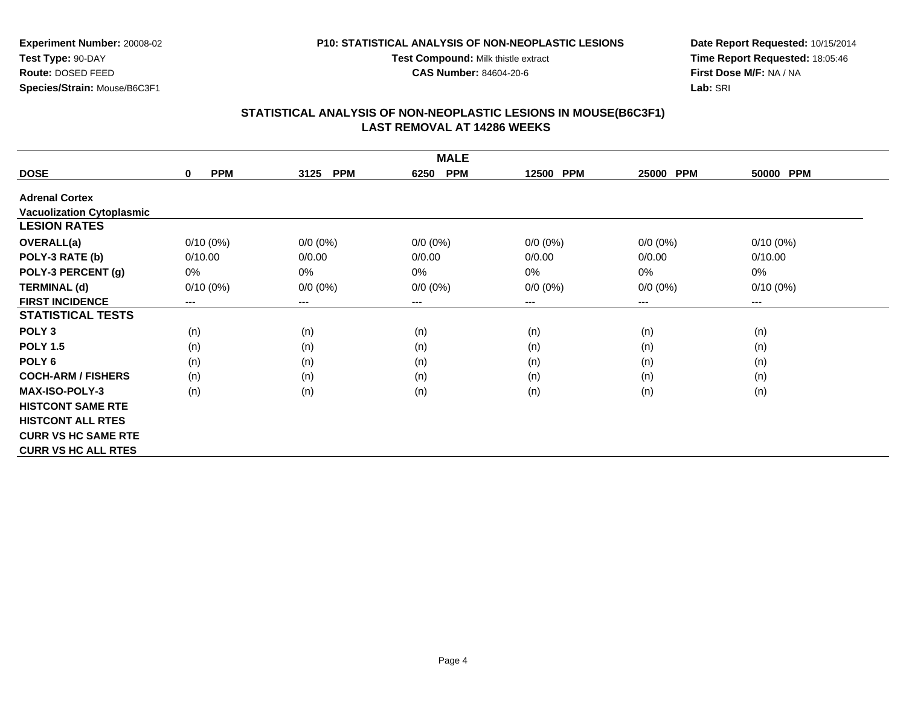**P10: STATISTICAL ANALYSIS OF NON-NEOPLASTIC LESIONSTest Compound:** Milk thistle extract

**Experiment Number:** 20008-02**Test Type:** 90-DAY **Route:** DOSED FEED**Species/Strain:** Mouse/B6C3F1

**Date Report Requested:** 10/15/2014**Time Report Requested:** 18:05:46**First Dose M/F:** NA / NA**Lab:** SRI

### **STATISTICAL ANALYSIS OF NON-NEOPLASTIC LESIONS IN MOUSE(B6C3F1) LAST REMOVAL AT 14286 WEEKS**

**CAS Number:** 84604-20-6

|                                  | <b>MALE</b>               |                    |                    |             |                     |                        |  |  |  |
|----------------------------------|---------------------------|--------------------|--------------------|-------------|---------------------|------------------------|--|--|--|
| <b>DOSE</b>                      | <b>PPM</b><br>$\mathbf 0$ | <b>PPM</b><br>3125 | <b>PPM</b><br>6250 | 12500 PPM   | <b>PPM</b><br>25000 | 50000 PPM              |  |  |  |
| <b>Adrenal Cortex</b>            |                           |                    |                    |             |                     |                        |  |  |  |
| <b>Vacuolization Cytoplasmic</b> |                           |                    |                    |             |                     |                        |  |  |  |
| <b>LESION RATES</b>              |                           |                    |                    |             |                     |                        |  |  |  |
| <b>OVERALL(a)</b>                | $0/10(0\%)$               | $0/0 (0\%)$        | $0/0 (0\%)$        | $0/0 (0\%)$ | $0/0 (0\%)$         | $0/10(0\%)$            |  |  |  |
| POLY-3 RATE (b)                  | 0/10.00                   | 0/0.00             | 0/0.00             | 0/0.00      | 0/0.00              | 0/10.00                |  |  |  |
| POLY-3 PERCENT (g)               | 0%                        | 0%                 | 0%                 | 0%          | $0\%$               | 0%                     |  |  |  |
| <b>TERMINAL (d)</b>              | $0/10(0\%)$               | $0/0 (0\%)$        | $0/0 (0\%)$        | $0/0 (0\%)$ | $0/0 (0\%)$         | $0/10(0\%)$            |  |  |  |
| <b>FIRST INCIDENCE</b>           | $---$                     | ---                | $--$               | ---         | ---                 | $\qquad \qquad \cdots$ |  |  |  |
| <b>STATISTICAL TESTS</b>         |                           |                    |                    |             |                     |                        |  |  |  |
| POLY <sub>3</sub>                | (n)                       | (n)                | (n)                | (n)         | (n)                 | (n)                    |  |  |  |
| <b>POLY 1.5</b>                  | (n)                       | (n)                | (n)                | (n)         | (n)                 | (n)                    |  |  |  |
| POLY <sub>6</sub>                | (n)                       | (n)                | (n)                | (n)         | (n)                 | (n)                    |  |  |  |
| <b>COCH-ARM / FISHERS</b>        | (n)                       | (n)                | (n)                | (n)         | (n)                 | (n)                    |  |  |  |
| <b>MAX-ISO-POLY-3</b>            | (n)                       | (n)                | (n)                | (n)         | (n)                 | (n)                    |  |  |  |
| <b>HISTCONT SAME RTE</b>         |                           |                    |                    |             |                     |                        |  |  |  |
| <b>HISTCONT ALL RTES</b>         |                           |                    |                    |             |                     |                        |  |  |  |
| <b>CURR VS HC SAME RTE</b>       |                           |                    |                    |             |                     |                        |  |  |  |
| <b>CURR VS HC ALL RTES</b>       |                           |                    |                    |             |                     |                        |  |  |  |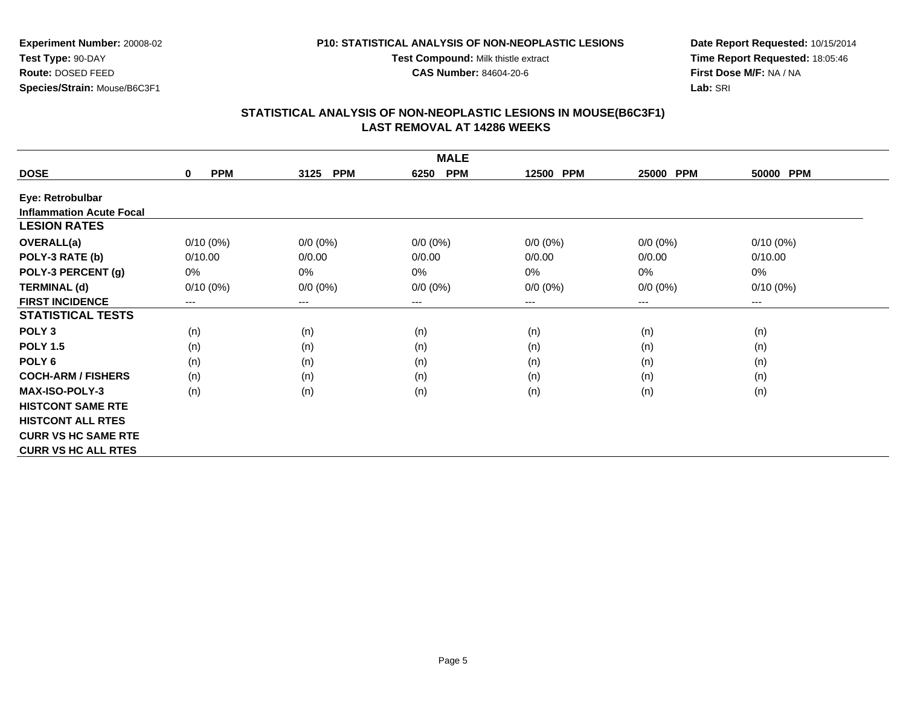**Test Compound:** Milk thistle extract

**CAS Number:** 84604-20-6

**Date Report Requested:** 10/15/2014**Time Report Requested:** 18:05:46**First Dose M/F:** NA / NA**Lab:** SRI

## **STATISTICAL ANALYSIS OF NON-NEOPLASTIC LESIONS IN MOUSE(B6C3F1) LAST REMOVAL AT 14286 WEEKS**

| <b>MALE</b>                     |                           |                    |                        |             |             |             |  |  |
|---------------------------------|---------------------------|--------------------|------------------------|-------------|-------------|-------------|--|--|
| <b>DOSE</b>                     | <b>PPM</b><br>$\mathbf 0$ | <b>PPM</b><br>3125 | <b>PPM</b><br>6250     | 12500 PPM   | 25000 PPM   | 50000 PPM   |  |  |
| Eye: Retrobulbar                |                           |                    |                        |             |             |             |  |  |
| <b>Inflammation Acute Focal</b> |                           |                    |                        |             |             |             |  |  |
| <b>LESION RATES</b>             |                           |                    |                        |             |             |             |  |  |
| <b>OVERALL(a)</b>               | $0/10(0\%)$               | $0/0 (0\%)$        | $0/0 (0\%)$            | $0/0 (0\%)$ | $0/0 (0\%)$ | $0/10(0\%)$ |  |  |
| POLY-3 RATE (b)                 | 0/10.00                   | 0/0.00             | 0/0.00                 | 0/0.00      | 0/0.00      | 0/10.00     |  |  |
| POLY-3 PERCENT (g)              | 0%                        | 0%                 | 0%                     | 0%          | 0%          | 0%          |  |  |
| <b>TERMINAL (d)</b>             | $0/10(0\%)$               | $0/0 (0\%)$        | $0/0 (0\%)$            | $0/0 (0\%)$ | $0/0 (0\%)$ | $0/10(0\%)$ |  |  |
| <b>FIRST INCIDENCE</b>          | ---                       | ---                | $\qquad \qquad \cdots$ | ---         | $---$       | $---$       |  |  |
| <b>STATISTICAL TESTS</b>        |                           |                    |                        |             |             |             |  |  |
| POLY <sub>3</sub>               | (n)                       | (n)                | (n)                    | (n)         | (n)         | (n)         |  |  |
| <b>POLY 1.5</b>                 | (n)                       | (n)                | (n)                    | (n)         | (n)         | (n)         |  |  |
| POLY 6                          | (n)                       | (n)                | (n)                    | (n)         | (n)         | (n)         |  |  |
| <b>COCH-ARM / FISHERS</b>       | (n)                       | (n)                | (n)                    | (n)         | (n)         | (n)         |  |  |
| <b>MAX-ISO-POLY-3</b>           | (n)                       | (n)                | (n)                    | (n)         | (n)         | (n)         |  |  |
| <b>HISTCONT SAME RTE</b>        |                           |                    |                        |             |             |             |  |  |
| <b>HISTCONT ALL RTES</b>        |                           |                    |                        |             |             |             |  |  |
| <b>CURR VS HC SAME RTE</b>      |                           |                    |                        |             |             |             |  |  |
| <b>CURR VS HC ALL RTES</b>      |                           |                    |                        |             |             |             |  |  |

**Experiment Number:** 20008-02**Test Type:** 90-DAY **Route:** DOSED FEED**Species/Strain:** Mouse/B6C3F1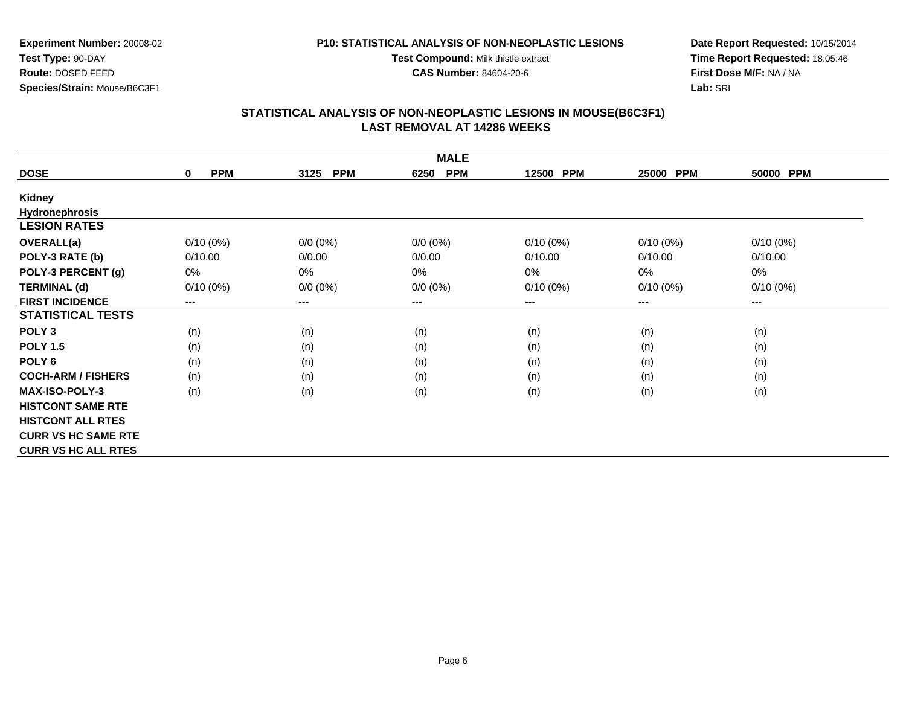**Test Compound:** Milk thistle extract**CAS Number:** 84604-20-6

**Experiment Number:** 20008-02**Test Type:** 90-DAY **Route:** DOSED FEED**Species/Strain:** Mouse/B6C3F1

**Date Report Requested:** 10/15/2014**Time Report Requested:** 18:05:46**First Dose M/F:** NA / NA**Lab:** SRI

## **STATISTICAL ANALYSIS OF NON-NEOPLASTIC LESIONS IN MOUSE(B6C3F1) LAST REMOVAL AT 14286 WEEKS**

| <b>MALE</b>                |                           |                    |                        |             |             |             |  |  |
|----------------------------|---------------------------|--------------------|------------------------|-------------|-------------|-------------|--|--|
| <b>DOSE</b>                | <b>PPM</b><br>$\mathbf 0$ | <b>PPM</b><br>3125 | <b>PPM</b><br>6250     | 12500 PPM   | 25000 PPM   | 50000 PPM   |  |  |
| Kidney                     |                           |                    |                        |             |             |             |  |  |
| <b>Hydronephrosis</b>      |                           |                    |                        |             |             |             |  |  |
| <b>LESION RATES</b>        |                           |                    |                        |             |             |             |  |  |
| OVERALL(a)                 | $0/10(0\%)$               | $0/0 (0\%)$        | $0/0 (0\%)$            | $0/10(0\%)$ | $0/10(0\%)$ | $0/10(0\%)$ |  |  |
| POLY-3 RATE (b)            | 0/10.00                   | 0/0.00             | 0/0.00                 | 0/10.00     | 0/10.00     | 0/10.00     |  |  |
| POLY-3 PERCENT (g)         | 0%                        | 0%                 | 0%                     | 0%          | 0%          | 0%          |  |  |
| <b>TERMINAL (d)</b>        | $0/10(0\%)$               | $0/0 (0\%)$        | $0/0 (0\%)$            | $0/10(0\%)$ | $0/10(0\%)$ | $0/10(0\%)$ |  |  |
| <b>FIRST INCIDENCE</b>     | ---                       | ---                | $\qquad \qquad \cdots$ | ---         | $---$       | $---$       |  |  |
| <b>STATISTICAL TESTS</b>   |                           |                    |                        |             |             |             |  |  |
| POLY <sub>3</sub>          | (n)                       | (n)                | (n)                    | (n)         | (n)         | (n)         |  |  |
| <b>POLY 1.5</b>            | (n)                       | (n)                | (n)                    | (n)         | (n)         | (n)         |  |  |
| POLY 6                     | (n)                       | (n)                | (n)                    | (n)         | (n)         | (n)         |  |  |
| <b>COCH-ARM / FISHERS</b>  | (n)                       | (n)                | (n)                    | (n)         | (n)         | (n)         |  |  |
| <b>MAX-ISO-POLY-3</b>      | (n)                       | (n)                | (n)                    | (n)         | (n)         | (n)         |  |  |
| <b>HISTCONT SAME RTE</b>   |                           |                    |                        |             |             |             |  |  |
| <b>HISTCONT ALL RTES</b>   |                           |                    |                        |             |             |             |  |  |
| <b>CURR VS HC SAME RTE</b> |                           |                    |                        |             |             |             |  |  |
| <b>CURR VS HC ALL RTES</b> |                           |                    |                        |             |             |             |  |  |

Page 6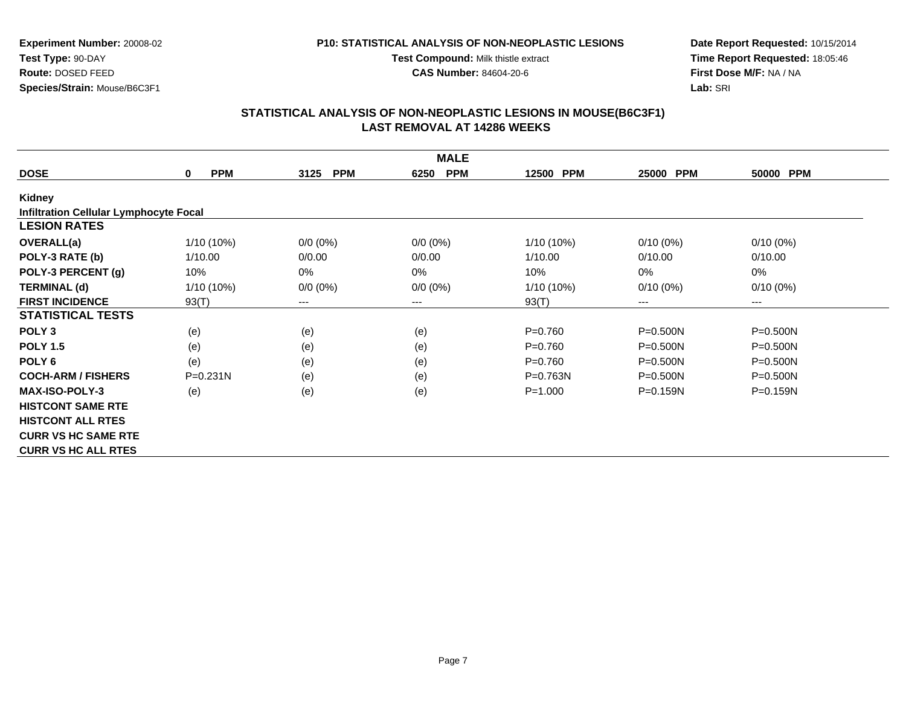**Test Compound:** Milk thistle extract**CAS Number:** 84604-20-6

**Species/Strain:** Mouse/B6C3F1

**Experiment Number:** 20008-02

**Test Type:** 90-DAY**Route:** DOSED FEED

**Date Report Requested:** 10/15/2014**Time Report Requested:** 18:05:46**First Dose M/F:** NA / NA**Lab:** SRI

| <b>MALE</b>                                   |                 |                    |                    |              |                     |              |  |  |
|-----------------------------------------------|-----------------|--------------------|--------------------|--------------|---------------------|--------------|--|--|
| <b>DOSE</b>                                   | <b>PPM</b><br>0 | <b>PPM</b><br>3125 | <b>PPM</b><br>6250 | 12500 PPM    | <b>PPM</b><br>25000 | 50000 PPM    |  |  |
| <b>Kidney</b>                                 |                 |                    |                    |              |                     |              |  |  |
| <b>Infiltration Cellular Lymphocyte Focal</b> |                 |                    |                    |              |                     |              |  |  |
| <b>LESION RATES</b>                           |                 |                    |                    |              |                     |              |  |  |
| <b>OVERALL(a)</b>                             | $1/10(10\%)$    | $0/0 (0\%)$        | $0/0 (0\%)$        | 1/10 (10%)   | $0/10(0\%)$         | $0/10(0\%)$  |  |  |
| POLY-3 RATE (b)                               | 1/10.00         | 0/0.00             | 0/0.00             | 1/10.00      | 0/10.00             | 0/10.00      |  |  |
| POLY-3 PERCENT (g)                            | 10%             | 0%                 | 0%                 | 10%          | $0\%$               | 0%           |  |  |
| <b>TERMINAL (d)</b>                           | $1/10(10\%)$    | $0/0 (0\%)$        | $0/0 (0\%)$        | 1/10 (10%)   | $0/10(0\%)$         | $0/10(0\%)$  |  |  |
| <b>FIRST INCIDENCE</b>                        | 93(T)           | $---$              | ---                | 93(T)        | $---$               | $---$        |  |  |
| <b>STATISTICAL TESTS</b>                      |                 |                    |                    |              |                     |              |  |  |
| POLY <sub>3</sub>                             | (e)             | (e)                | (e)                | $P = 0.760$  | $P = 0.500N$        | P=0.500N     |  |  |
| <b>POLY 1.5</b>                               | (e)             | (e)                | (e)                | $P = 0.760$  | $P = 0.500N$        | $P = 0.500N$ |  |  |
| POLY <sub>6</sub>                             | (e)             | (e)                | (e)                | $P = 0.760$  | $P = 0.500N$        | $P = 0.500N$ |  |  |
| <b>COCH-ARM / FISHERS</b>                     | $P = 0.231N$    | (e)                | (e)                | $P = 0.763N$ | $P = 0.500N$        | $P = 0.500N$ |  |  |
| <b>MAX-ISO-POLY-3</b>                         | (e)             | (e)                | (e)                | $P = 1.000$  | $P = 0.159N$        | $P = 0.159N$ |  |  |
| <b>HISTCONT SAME RTE</b>                      |                 |                    |                    |              |                     |              |  |  |
| <b>HISTCONT ALL RTES</b>                      |                 |                    |                    |              |                     |              |  |  |
| <b>CURR VS HC SAME RTE</b>                    |                 |                    |                    |              |                     |              |  |  |
| <b>CURR VS HC ALL RTES</b>                    |                 |                    |                    |              |                     |              |  |  |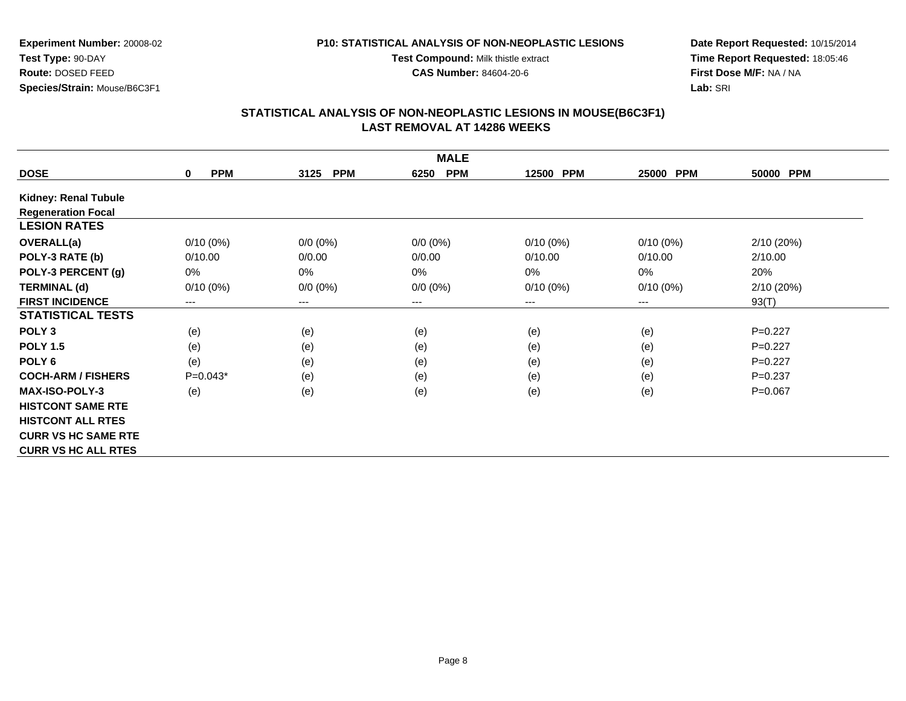**P10: STATISTICAL ANALYSIS OF NON-NEOPLASTIC LESIONSTest Compound:** Milk thistle extract

**Experiment Number:** 20008-02**Test Type:** 90-DAY **Route:** DOSED FEED**Species/Strain:** Mouse/B6C3F1

**Date Report Requested:** 10/15/2014**Time Report Requested:** 18:05:46**First Dose M/F:** NA / NA**Lab:** SRI

## **STATISTICAL ANALYSIS OF NON-NEOPLASTIC LESIONS IN MOUSE(B6C3F1) LAST REMOVAL AT 14286 WEEKS**

**CAS Number:** 84604-20-6

|                             | <b>MALE</b>               |                    |                    |             |             |             |  |  |  |
|-----------------------------|---------------------------|--------------------|--------------------|-------------|-------------|-------------|--|--|--|
| <b>DOSE</b>                 | $\mathbf 0$<br><b>PPM</b> | <b>PPM</b><br>3125 | <b>PPM</b><br>6250 | 12500 PPM   | 25000 PPM   | 50000 PPM   |  |  |  |
| <b>Kidney: Renal Tubule</b> |                           |                    |                    |             |             |             |  |  |  |
| <b>Regeneration Focal</b>   |                           |                    |                    |             |             |             |  |  |  |
| <b>LESION RATES</b>         |                           |                    |                    |             |             |             |  |  |  |
| <b>OVERALL(a)</b>           | $0/10(0\%)$               | $0/0 (0\%)$        | $0/0 (0\%)$        | $0/10(0\%)$ | $0/10(0\%)$ | 2/10(20%)   |  |  |  |
| POLY-3 RATE (b)             | 0/10.00                   | 0/0.00             | 0/0.00             | 0/10.00     | 0/10.00     | 2/10.00     |  |  |  |
| POLY-3 PERCENT (g)          | 0%                        | 0%                 | 0%                 | 0%          | 0%          | 20%         |  |  |  |
| <b>TERMINAL (d)</b>         | $0/10(0\%)$               | $0/0 (0\%)$        | $0/0 (0\%)$        | $0/10(0\%)$ | $0/10(0\%)$ | 2/10(20%)   |  |  |  |
| <b>FIRST INCIDENCE</b>      | ---                       | ---                | $--$               | ---         | ---         | 93(T)       |  |  |  |
| <b>STATISTICAL TESTS</b>    |                           |                    |                    |             |             |             |  |  |  |
| POLY <sub>3</sub>           | (e)                       | (e)                | (e)                | (e)         | (e)         | $P=0.227$   |  |  |  |
| <b>POLY 1.5</b>             | (e)                       | (e)                | (e)                | (e)         | (e)         | $P=0.227$   |  |  |  |
| POLY <sub>6</sub>           | (e)                       | (e)                | (e)                | (e)         | (e)         | $P=0.227$   |  |  |  |
| <b>COCH-ARM / FISHERS</b>   | $P=0.043*$                | (e)                | (e)                | (e)         | (e)         | $P = 0.237$ |  |  |  |
| <b>MAX-ISO-POLY-3</b>       | (e)                       | (e)                | (e)                | (e)         | (e)         | $P=0.067$   |  |  |  |
| <b>HISTCONT SAME RTE</b>    |                           |                    |                    |             |             |             |  |  |  |
| <b>HISTCONT ALL RTES</b>    |                           |                    |                    |             |             |             |  |  |  |
| <b>CURR VS HC SAME RTE</b>  |                           |                    |                    |             |             |             |  |  |  |
| <b>CURR VS HC ALL RTES</b>  |                           |                    |                    |             |             |             |  |  |  |

Page 8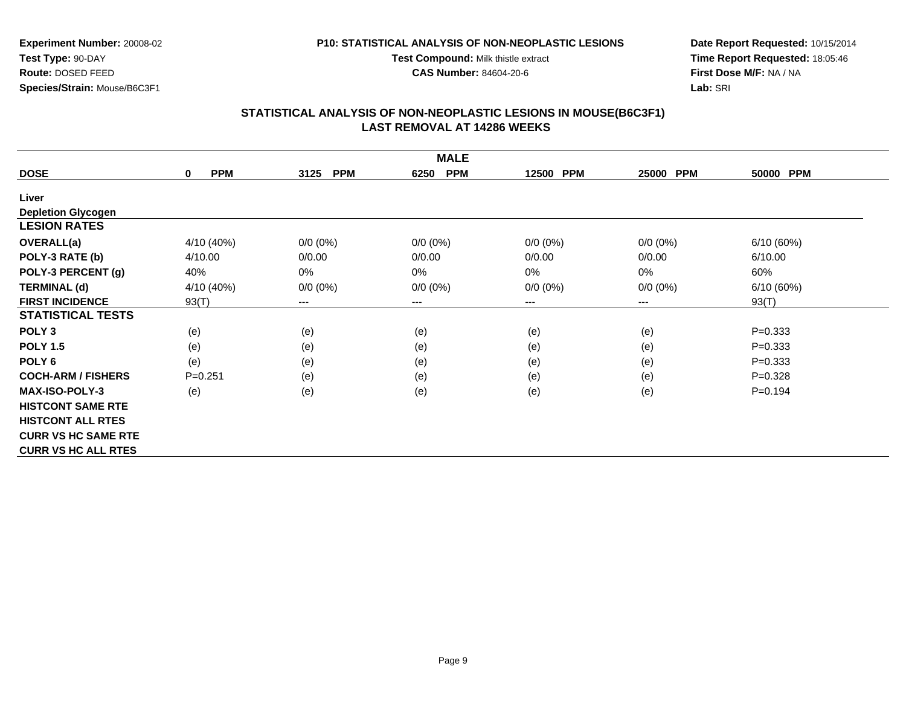**Test Compound:** Milk thistle extract

**CAS Number:** 84604-20-6

**Date Report Requested:** 10/15/2014**Time Report Requested:** 18:05:46**First Dose M/F:** NA / NA**Lab:** SRI

### **STATISTICAL ANALYSIS OF NON-NEOPLASTIC LESIONS IN MOUSE(B6C3F1) LAST REMOVAL AT 14286 WEEKS**

| <b>MALE</b>                |                           |                    |                    |             |             |             |  |  |
|----------------------------|---------------------------|--------------------|--------------------|-------------|-------------|-------------|--|--|
| <b>DOSE</b>                | <b>PPM</b><br>$\mathbf 0$ | <b>PPM</b><br>3125 | <b>PPM</b><br>6250 | 12500 PPM   | 25000 PPM   | 50000 PPM   |  |  |
| Liver                      |                           |                    |                    |             |             |             |  |  |
| <b>Depletion Glycogen</b>  |                           |                    |                    |             |             |             |  |  |
| <b>LESION RATES</b>        |                           |                    |                    |             |             |             |  |  |
| <b>OVERALL(a)</b>          | 4/10 (40%)                | $0/0 (0\%)$        | $0/0 (0\%)$        | $0/0 (0\%)$ | $0/0 (0\%)$ | 6/10(60%)   |  |  |
| POLY-3 RATE (b)            | 4/10.00                   | 0/0.00             | 0/0.00             | 0/0.00      | 0/0.00      | 6/10.00     |  |  |
| POLY-3 PERCENT (g)         | 40%                       | $0\%$              | 0%                 | 0%          | $0\%$       | 60%         |  |  |
| <b>TERMINAL (d)</b>        | 4/10 (40%)                | $0/0 (0\%)$        | $0/0 (0\%)$        | $0/0 (0\%)$ | $0/0 (0\%)$ | 6/10(60%)   |  |  |
| <b>FIRST INCIDENCE</b>     | 93(T)                     | $---$              | $---$              | ---         | ---         | 93(T)       |  |  |
| <b>STATISTICAL TESTS</b>   |                           |                    |                    |             |             |             |  |  |
| POLY <sub>3</sub>          | (e)                       | (e)                | (e)                | (e)         | (e)         | $P = 0.333$ |  |  |
| <b>POLY 1.5</b>            | (e)                       | (e)                | (e)                | (e)         | (e)         | $P = 0.333$ |  |  |
| POLY <sub>6</sub>          | (e)                       | (e)                | (e)                | (e)         | (e)         | $P = 0.333$ |  |  |
| <b>COCH-ARM / FISHERS</b>  | $P = 0.251$               | (e)                | (e)                | (e)         | (e)         | $P=0.328$   |  |  |
| <b>MAX-ISO-POLY-3</b>      | (e)                       | (e)                | (e)                | (e)         | (e)         | $P=0.194$   |  |  |
| <b>HISTCONT SAME RTE</b>   |                           |                    |                    |             |             |             |  |  |
| <b>HISTCONT ALL RTES</b>   |                           |                    |                    |             |             |             |  |  |
| <b>CURR VS HC SAME RTE</b> |                           |                    |                    |             |             |             |  |  |
| <b>CURR VS HC ALL RTES</b> |                           |                    |                    |             |             |             |  |  |

**Experiment Number:** 20008-02**Test Type:** 90-DAY **Route:** DOSED FEED**Species/Strain:** Mouse/B6C3F1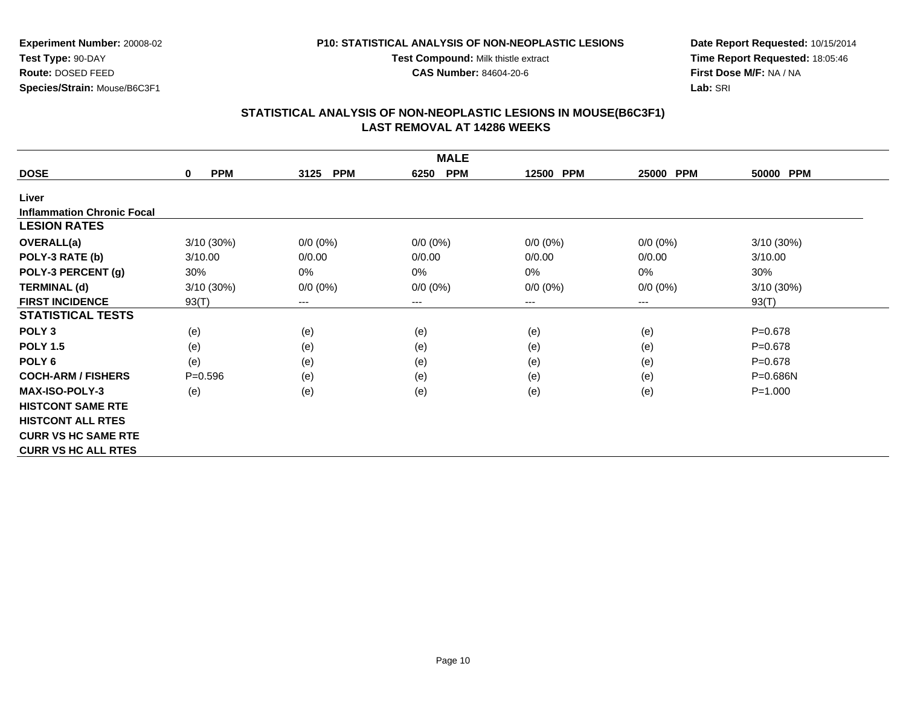**Test Compound:** Milk thistle extract

**CAS Number:** 84604-20-6

**Date Report Requested:** 10/15/2014**Time Report Requested:** 18:05:46**First Dose M/F:** NA / NA**Lab:** SRI

#### **STATISTICAL ANALYSIS OF NON-NEOPLASTIC LESIONS IN MOUSE(B6C3F1) LAST REMOVAL AT 14286 WEEKS**

| <b>MALE</b>                       |                           |                    |                    |             |                        |              |  |  |
|-----------------------------------|---------------------------|--------------------|--------------------|-------------|------------------------|--------------|--|--|
| <b>DOSE</b>                       | <b>PPM</b><br>$\mathbf 0$ | <b>PPM</b><br>3125 | <b>PPM</b><br>6250 | 12500 PPM   | 25000 PPM              | 50000 PPM    |  |  |
| Liver                             |                           |                    |                    |             |                        |              |  |  |
| <b>Inflammation Chronic Focal</b> |                           |                    |                    |             |                        |              |  |  |
| <b>LESION RATES</b>               |                           |                    |                    |             |                        |              |  |  |
| <b>OVERALL(a)</b>                 | 3/10 (30%)                | $0/0 (0\%)$        | $0/0 (0\%)$        | $0/0 (0\%)$ | $0/0 (0\%)$            | 3/10(30%)    |  |  |
| POLY-3 RATE (b)                   | 3/10.00                   | 0/0.00             | 0/0.00             | 0/0.00      | 0/0.00                 | 3/10.00      |  |  |
| POLY-3 PERCENT (g)                | 30%                       | 0%                 | 0%                 | 0%          | 0%                     | 30%          |  |  |
| <b>TERMINAL (d)</b>               | 3/10(30%)                 | $0/0 (0\%)$        | $0/0 (0\%)$        | $0/0 (0\%)$ | $0/0 (0\%)$            | 3/10 (30%)   |  |  |
| <b>FIRST INCIDENCE</b>            | 93(T)                     | ---                | ---                | ---         | $\qquad \qquad \cdots$ | 93(T)        |  |  |
| <b>STATISTICAL TESTS</b>          |                           |                    |                    |             |                        |              |  |  |
| POLY <sub>3</sub>                 | (e)                       | (e)                | (e)                | (e)         | (e)                    | $P = 0.678$  |  |  |
| <b>POLY 1.5</b>                   | (e)                       | (e)                | (e)                | (e)         | (e)                    | $P = 0.678$  |  |  |
| POLY <sub>6</sub>                 | (e)                       | (e)                | (e)                | (e)         | (e)                    | $P = 0.678$  |  |  |
| <b>COCH-ARM / FISHERS</b>         | $P = 0.596$               | (e)                | (e)                | (e)         | (e)                    | $P = 0.686N$ |  |  |
| <b>MAX-ISO-POLY-3</b>             | (e)                       | (e)                | (e)                | (e)         | (e)                    | $P = 1.000$  |  |  |
| <b>HISTCONT SAME RTE</b>          |                           |                    |                    |             |                        |              |  |  |
| <b>HISTCONT ALL RTES</b>          |                           |                    |                    |             |                        |              |  |  |
| <b>CURR VS HC SAME RTE</b>        |                           |                    |                    |             |                        |              |  |  |
| <b>CURR VS HC ALL RTES</b>        |                           |                    |                    |             |                        |              |  |  |

**Experiment Number:** 20008-02**Test Type:** 90-DAY **Route:** DOSED FEED**Species/Strain:** Mouse/B6C3F1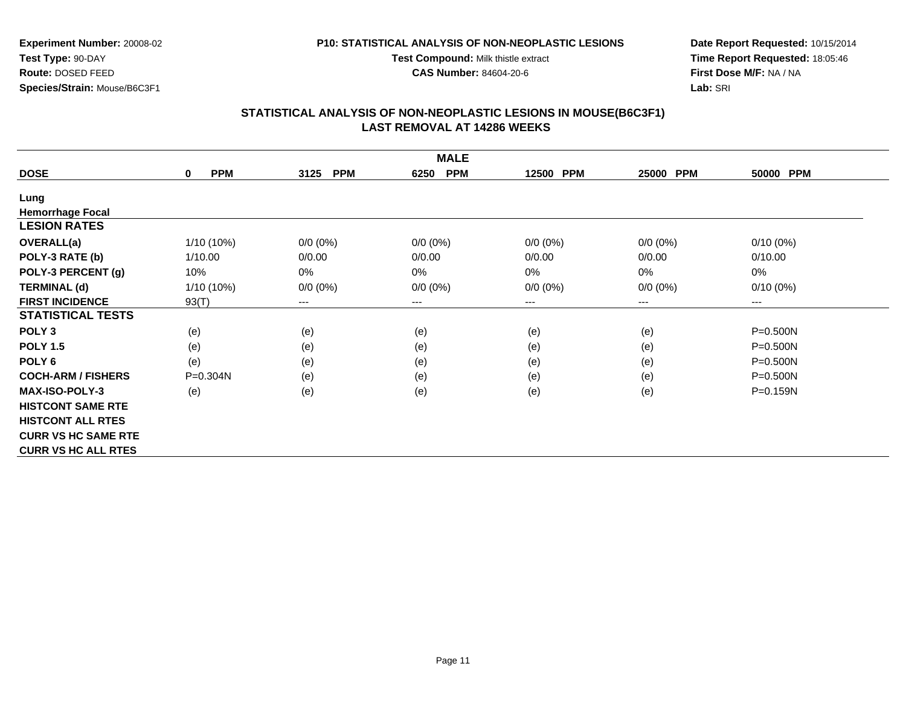**Experiment Number:** 20008-02**Test Type:** 90-DAY **Route:** DOSED FEED**Species/Strain:** Mouse/B6C3F1

**Test Compound:** Milk thistle extract**CAS Number:** 84604-20-6

**Date Report Requested:** 10/15/2014**Time Report Requested:** 18:05:46**First Dose M/F:** NA / NA**Lab:** SRI

| <b>MALE</b>                |                 |                    |                    |             |             |              |  |  |
|----------------------------|-----------------|--------------------|--------------------|-------------|-------------|--------------|--|--|
| <b>DOSE</b>                | <b>PPM</b><br>0 | <b>PPM</b><br>3125 | <b>PPM</b><br>6250 | 12500 PPM   | 25000 PPM   | 50000 PPM    |  |  |
| Lung                       |                 |                    |                    |             |             |              |  |  |
| <b>Hemorrhage Focal</b>    |                 |                    |                    |             |             |              |  |  |
| <b>LESION RATES</b>        |                 |                    |                    |             |             |              |  |  |
| OVERALL(a)                 | 1/10 (10%)      | $0/0 (0\%)$        | $0/0 (0\%)$        | $0/0 (0\%)$ | $0/0 (0\%)$ | $0/10(0\%)$  |  |  |
| POLY-3 RATE (b)            | 1/10.00         | 0/0.00             | 0/0.00             | 0/0.00      | 0/0.00      | 0/10.00      |  |  |
| POLY-3 PERCENT (g)         | 10%             | 0%                 | 0%                 | 0%          | 0%          | 0%           |  |  |
| <b>TERMINAL (d)</b>        | 1/10 (10%)      | $0/0 (0\%)$        | $0/0 (0\%)$        | $0/0 (0\%)$ | $0/0 (0\%)$ | $0/10(0\%)$  |  |  |
| <b>FIRST INCIDENCE</b>     | 93(T)           | ---                | $--$               | ---         | ---         | $--$         |  |  |
| <b>STATISTICAL TESTS</b>   |                 |                    |                    |             |             |              |  |  |
| POLY <sub>3</sub>          | (e)             | (e)                | (e)                | (e)         | (e)         | $P = 0.500N$ |  |  |
| <b>POLY 1.5</b>            | (e)             | (e)                | (e)                | (e)         | (e)         | $P = 0.500N$ |  |  |
| POLY <sub>6</sub>          | (e)             | (e)                | (e)                | (e)         | (e)         | $P = 0.500N$ |  |  |
| <b>COCH-ARM / FISHERS</b>  | P=0.304N        | (e)                | (e)                | (e)         | (e)         | $P = 0.500N$ |  |  |
| <b>MAX-ISO-POLY-3</b>      | (e)             | (e)                | (e)                | (e)         | (e)         | P=0.159N     |  |  |
| <b>HISTCONT SAME RTE</b>   |                 |                    |                    |             |             |              |  |  |
| <b>HISTCONT ALL RTES</b>   |                 |                    |                    |             |             |              |  |  |
| <b>CURR VS HC SAME RTE</b> |                 |                    |                    |             |             |              |  |  |
| <b>CURR VS HC ALL RTES</b> |                 |                    |                    |             |             |              |  |  |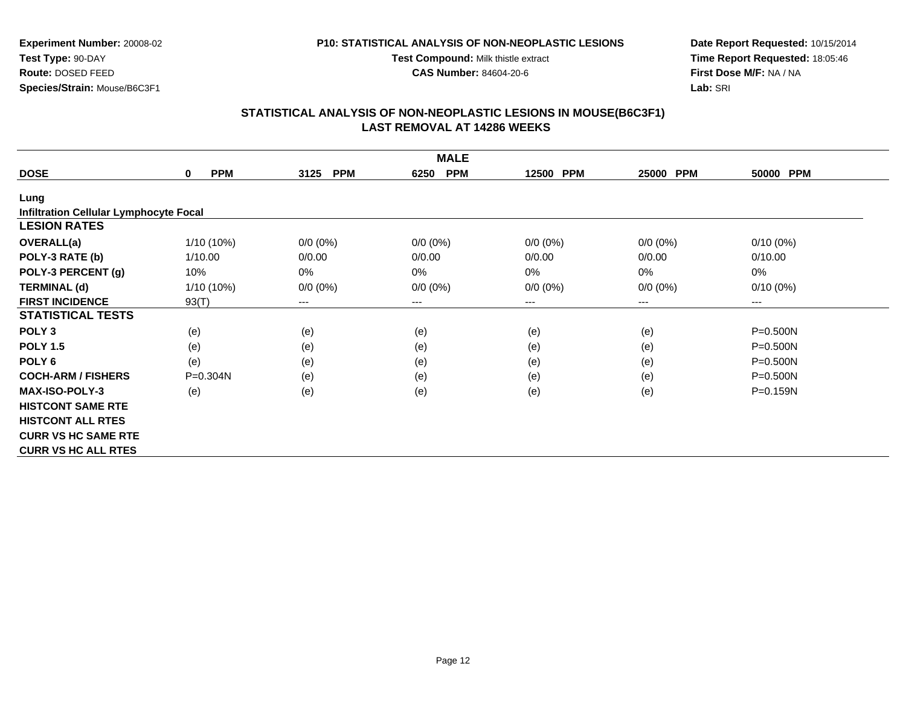**Test Compound:** Milk thistle extract

**CAS Number:** 84604-20-6

**Date Report Requested:** 10/15/2014**Time Report Requested:** 18:05:46**First Dose M/F:** NA / NA**Lab:** SRI

### **STATISTICAL ANALYSIS OF NON-NEOPLASTIC LESIONS IN MOUSE(B6C3F1) LAST REMOVAL AT 14286 WEEKS**

|                                               |                           |                        | <b>MALE</b>        |             |                        |              |
|-----------------------------------------------|---------------------------|------------------------|--------------------|-------------|------------------------|--------------|
| <b>DOSE</b>                                   | <b>PPM</b><br>$\mathbf 0$ | 3125<br><b>PPM</b>     | <b>PPM</b><br>6250 | 12500 PPM   | 25000 PPM              | 50000 PPM    |
| Lung                                          |                           |                        |                    |             |                        |              |
| <b>Infiltration Cellular Lymphocyte Focal</b> |                           |                        |                    |             |                        |              |
| <b>LESION RATES</b>                           |                           |                        |                    |             |                        |              |
| <b>OVERALL(a)</b>                             | $1/10(10\%)$              | $0/0 (0\%)$            | $0/0 (0\%)$        | $0/0 (0\%)$ | $0/0 (0\%)$            | $0/10(0\%)$  |
| POLY-3 RATE (b)                               | 1/10.00                   | 0/0.00                 | 0/0.00             | 0/0.00      | 0/0.00                 | 0/10.00      |
| POLY-3 PERCENT (g)                            | 10%                       | $0\%$                  | $0\%$              | 0%          | 0%                     | 0%           |
| <b>TERMINAL (d)</b>                           | 1/10 (10%)                | $0/0 (0\%)$            | $0/0 (0\%)$        | $0/0 (0\%)$ | $0/0 (0\%)$            | $0/10(0\%)$  |
| <b>FIRST INCIDENCE</b>                        | 93(T)                     | $\qquad \qquad \cdots$ | $---$              | ---         | $\qquad \qquad \cdots$ | $--$         |
| <b>STATISTICAL TESTS</b>                      |                           |                        |                    |             |                        |              |
| POLY <sub>3</sub>                             | (e)                       | (e)                    | (e)                | (e)         | (e)                    | $P = 0.500N$ |
| <b>POLY 1.5</b>                               | (e)                       | (e)                    | (e)                | (e)         | (e)                    | $P = 0.500N$ |
| POLY 6                                        | (e)                       | (e)                    | (e)                | (e)         | (e)                    | $P = 0.500N$ |
| <b>COCH-ARM / FISHERS</b>                     | $P = 0.304N$              | (e)                    | (e)                | (e)         | (e)                    | $P = 0.500N$ |
| <b>MAX-ISO-POLY-3</b>                         | (e)                       | (e)                    | (e)                | (e)         | (e)                    | $P = 0.159N$ |
| <b>HISTCONT SAME RTE</b>                      |                           |                        |                    |             |                        |              |
| <b>HISTCONT ALL RTES</b>                      |                           |                        |                    |             |                        |              |
| <b>CURR VS HC SAME RTE</b>                    |                           |                        |                    |             |                        |              |
| <b>CURR VS HC ALL RTES</b>                    |                           |                        |                    |             |                        |              |

**Experiment Number:** 20008-02**Test Type:** 90-DAY **Route:** DOSED FEED**Species/Strain:** Mouse/B6C3F1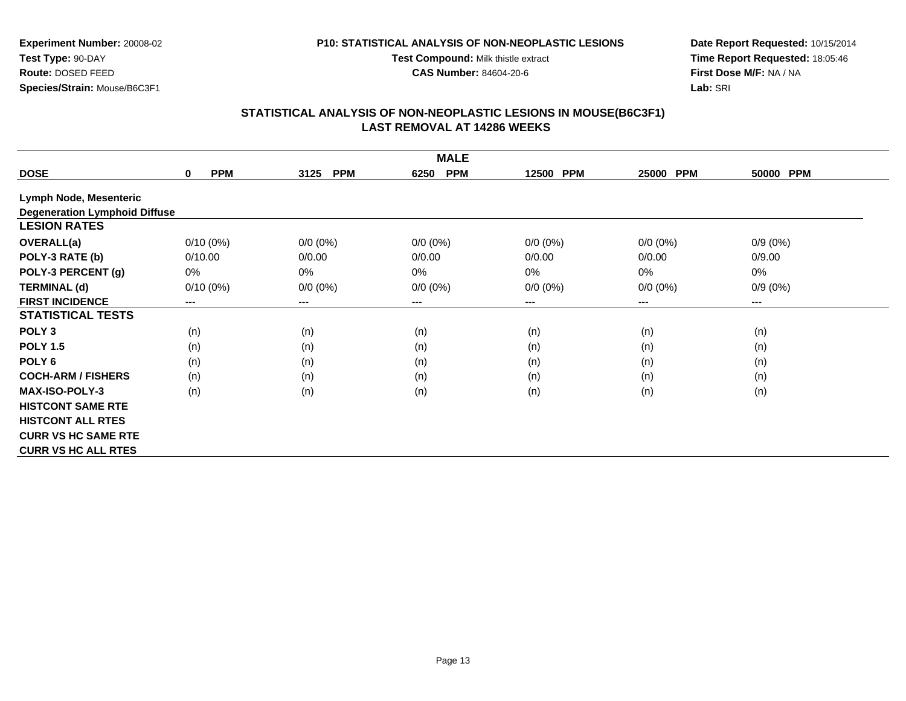#### **P10: STATISTICAL ANALYSIS OF NON-NEOPLASTIC LESIONS**

**Test Compound:** Milk thistle extract

**CAS Number:** 84604-20-6

**Date Report Requested:** 10/15/2014**Time Report Requested:** 18:05:46**First Dose M/F:** NA / NA**Lab:** SRI

|                                      | <b>MALE</b>               |                    |                    |             |                     |                     |  |  |  |
|--------------------------------------|---------------------------|--------------------|--------------------|-------------|---------------------|---------------------|--|--|--|
| <b>DOSE</b>                          | <b>PPM</b><br>$\mathbf 0$ | 3125<br><b>PPM</b> | <b>PPM</b><br>6250 | 12500 PPM   | <b>PPM</b><br>25000 | <b>PPM</b><br>50000 |  |  |  |
| <b>Lymph Node, Mesenteric</b>        |                           |                    |                    |             |                     |                     |  |  |  |
| <b>Degeneration Lymphoid Diffuse</b> |                           |                    |                    |             |                     |                     |  |  |  |
| <b>LESION RATES</b>                  |                           |                    |                    |             |                     |                     |  |  |  |
| <b>OVERALL(a)</b>                    | $0/10(0\%)$               | $0/0 (0\%)$        | $0/0 (0\%)$        | $0/0 (0\%)$ | $0/0 (0\%)$         | $0/9(0\%)$          |  |  |  |
| POLY-3 RATE (b)                      | 0/10.00                   | 0/0.00             | 0/0.00             | 0/0.00      | 0/0.00              | 0/9.00              |  |  |  |
| POLY-3 PERCENT (g)                   | 0%                        | $0\%$              | 0%                 | 0%          | 0%                  | 0%                  |  |  |  |
| <b>TERMINAL (d)</b>                  | $0/10(0\%)$               | $0/0 (0\%)$        | $0/0 (0\%)$        | $0/0 (0\%)$ | $0/0 (0\%)$         | $0/9(0\%)$          |  |  |  |
| <b>FIRST INCIDENCE</b>               | ---                       | $--$               | $--$               | ---         | ---                 | ---                 |  |  |  |
| <b>STATISTICAL TESTS</b>             |                           |                    |                    |             |                     |                     |  |  |  |
| POLY <sub>3</sub>                    | (n)                       | (n)                | (n)                | (n)         | (n)                 | (n)                 |  |  |  |
| <b>POLY 1.5</b>                      | (n)                       | (n)                | (n)                | (n)         | (n)                 | (n)                 |  |  |  |
| POLY <sub>6</sub>                    | (n)                       | (n)                | (n)                | (n)         | (n)                 | (n)                 |  |  |  |
| <b>COCH-ARM / FISHERS</b>            | (n)                       | (n)                | (n)                | (n)         | (n)                 | (n)                 |  |  |  |
| <b>MAX-ISO-POLY-3</b>                | (n)                       | (n)                | (n)                | (n)         | (n)                 | (n)                 |  |  |  |
| <b>HISTCONT SAME RTE</b>             |                           |                    |                    |             |                     |                     |  |  |  |
| <b>HISTCONT ALL RTES</b>             |                           |                    |                    |             |                     |                     |  |  |  |
| <b>CURR VS HC SAME RTE</b>           |                           |                    |                    |             |                     |                     |  |  |  |
| <b>CURR VS HC ALL RTES</b>           |                           |                    |                    |             |                     |                     |  |  |  |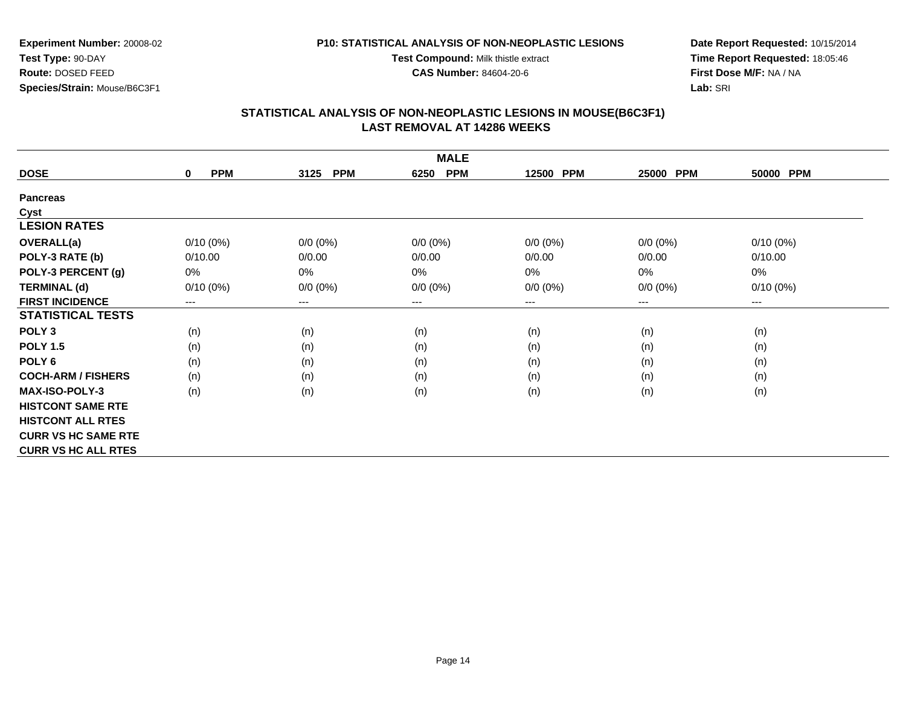**P10: STATISTICAL ANALYSIS OF NON-NEOPLASTIC LESIONSTest Compound:** Milk thistle extract

**CAS Number:** 84604-20-6

**Experiment Number:** 20008-02**Test Type:** 90-DAY **Route:** DOSED FEED**Species/Strain:** Mouse/B6C3F1

**Date Report Requested:** 10/15/2014**Time Report Requested:** 18:05:46**First Dose M/F:** NA / NA**Lab:** SRI

| <b>MALE</b>                |                           |                    |                        |             |             |             |  |  |
|----------------------------|---------------------------|--------------------|------------------------|-------------|-------------|-------------|--|--|
| <b>DOSE</b>                | <b>PPM</b><br>$\mathbf 0$ | <b>PPM</b><br>3125 | <b>PPM</b><br>6250     | 12500 PPM   | 25000 PPM   | 50000 PPM   |  |  |
| <b>Pancreas</b>            |                           |                    |                        |             |             |             |  |  |
| Cyst                       |                           |                    |                        |             |             |             |  |  |
| <b>LESION RATES</b>        |                           |                    |                        |             |             |             |  |  |
| <b>OVERALL(a)</b>          | $0/10(0\%)$               | $0/0 (0\%)$        | $0/0 (0\%)$            | $0/0 (0\%)$ | $0/0 (0\%)$ | $0/10(0\%)$ |  |  |
| POLY-3 RATE (b)            | 0/10.00                   | 0/0.00             | 0/0.00                 | 0/0.00      | 0/0.00      | 0/10.00     |  |  |
| POLY-3 PERCENT (g)         | $0\%$                     | 0%                 | 0%                     | 0%          | $0\%$       | 0%          |  |  |
| <b>TERMINAL (d)</b>        | $0/10(0\%)$               | $0/0 (0\%)$        | $0/0 (0\%)$            | $0/0 (0\%)$ | $0/0 (0\%)$ | $0/10(0\%)$ |  |  |
| <b>FIRST INCIDENCE</b>     | ---                       | ---                | $\qquad \qquad \cdots$ | ---         | $---$       | $--$        |  |  |
| <b>STATISTICAL TESTS</b>   |                           |                    |                        |             |             |             |  |  |
| POLY <sub>3</sub>          | (n)                       | (n)                | (n)                    | (n)         | (n)         | (n)         |  |  |
| <b>POLY 1.5</b>            | (n)                       | (n)                | (n)                    | (n)         | (n)         | (n)         |  |  |
| POLY 6                     | (n)                       | (n)                | (n)                    | (n)         | (n)         | (n)         |  |  |
| <b>COCH-ARM / FISHERS</b>  | (n)                       | (n)                | (n)                    | (n)         | (n)         | (n)         |  |  |
| <b>MAX-ISO-POLY-3</b>      | (n)                       | (n)                | (n)                    | (n)         | (n)         | (n)         |  |  |
| <b>HISTCONT SAME RTE</b>   |                           |                    |                        |             |             |             |  |  |
| <b>HISTCONT ALL RTES</b>   |                           |                    |                        |             |             |             |  |  |
| <b>CURR VS HC SAME RTE</b> |                           |                    |                        |             |             |             |  |  |
| <b>CURR VS HC ALL RTES</b> |                           |                    |                        |             |             |             |  |  |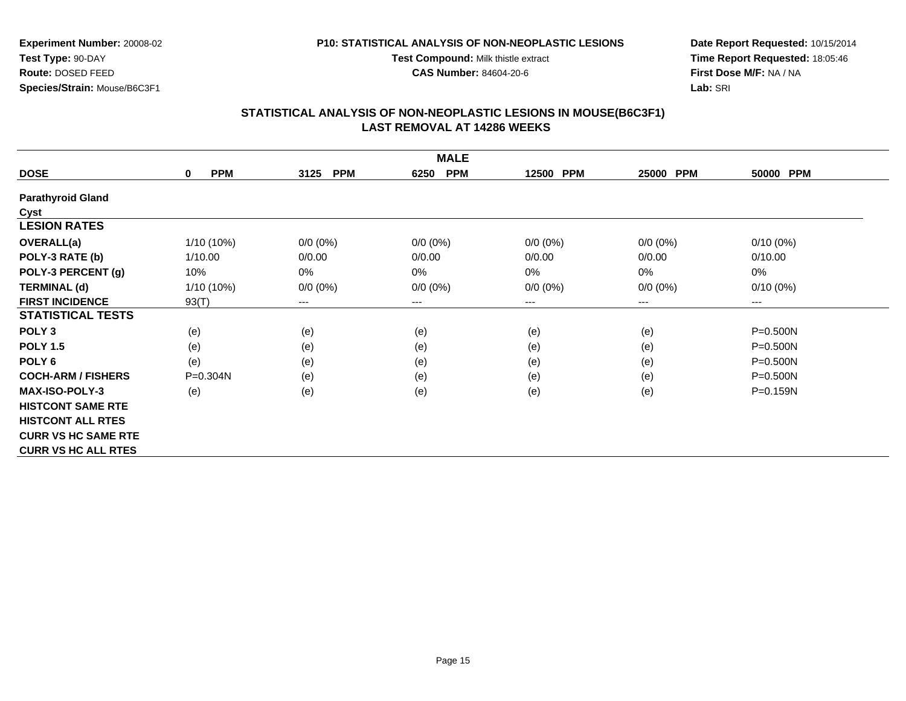**Test Compound:** Milk thistle extract**CAS Number:** 84604-20-6

**Experiment Number:** 20008-02**Test Type:** 90-DAY **Route:** DOSED FEED**Species/Strain:** Mouse/B6C3F1

**Date Report Requested:** 10/15/2014**Time Report Requested:** 18:05:46**First Dose M/F:** NA / NA**Lab:** SRI

| <b>MALE</b>                |                        |                                          |                    |             |             |              |  |  |
|----------------------------|------------------------|------------------------------------------|--------------------|-------------|-------------|--------------|--|--|
| <b>DOSE</b>                | <b>PPM</b><br>$\bf{0}$ | <b>PPM</b><br>3125                       | <b>PPM</b><br>6250 | 12500 PPM   | 25000 PPM   | 50000 PPM    |  |  |
| <b>Parathyroid Gland</b>   |                        |                                          |                    |             |             |              |  |  |
| Cyst                       |                        |                                          |                    |             |             |              |  |  |
| <b>LESION RATES</b>        |                        |                                          |                    |             |             |              |  |  |
| <b>OVERALL(a)</b>          | $1/10(10\%)$           | $0/0 (0\%)$                              | $0/0 (0\%)$        | $0/0 (0\%)$ | $0/0 (0\%)$ | $0/10(0\%)$  |  |  |
| POLY-3 RATE (b)            | 1/10.00                | 0/0.00                                   | 0/0.00             | 0/0.00      | 0/0.00      | 0/10.00      |  |  |
| POLY-3 PERCENT (g)         | 10%                    | 0%                                       | 0%                 | 0%          | 0%          | 0%           |  |  |
| <b>TERMINAL (d)</b>        | $1/10(10\%)$           | $0/0 (0\%)$                              | $0/0 (0\%)$        | $0/0 (0\%)$ | $0/0 (0\%)$ | $0/10(0\%)$  |  |  |
| <b>FIRST INCIDENCE</b>     | 93(T)                  | $\hspace{0.05cm} \ldots \hspace{0.05cm}$ | $---$              | ---         | $---$       | $---$        |  |  |
| <b>STATISTICAL TESTS</b>   |                        |                                          |                    |             |             |              |  |  |
| POLY <sub>3</sub>          | (e)                    | (e)                                      | (e)                | (e)         | (e)         | $P = 0.500N$ |  |  |
| <b>POLY 1.5</b>            | (e)                    | (e)                                      | (e)                | (e)         | (e)         | $P = 0.500N$ |  |  |
| POLY <sub>6</sub>          | (e)                    | (e)                                      | (e)                | (e)         | (e)         | $P = 0.500N$ |  |  |
| <b>COCH-ARM / FISHERS</b>  | $P = 0.304N$           | (e)                                      | (e)                | (e)         | (e)         | $P = 0.500N$ |  |  |
| <b>MAX-ISO-POLY-3</b>      | (e)                    | (e)                                      | (e)                | (e)         | (e)         | P=0.159N     |  |  |
| <b>HISTCONT SAME RTE</b>   |                        |                                          |                    |             |             |              |  |  |
| <b>HISTCONT ALL RTES</b>   |                        |                                          |                    |             |             |              |  |  |
| <b>CURR VS HC SAME RTE</b> |                        |                                          |                    |             |             |              |  |  |
| <b>CURR VS HC ALL RTES</b> |                        |                                          |                    |             |             |              |  |  |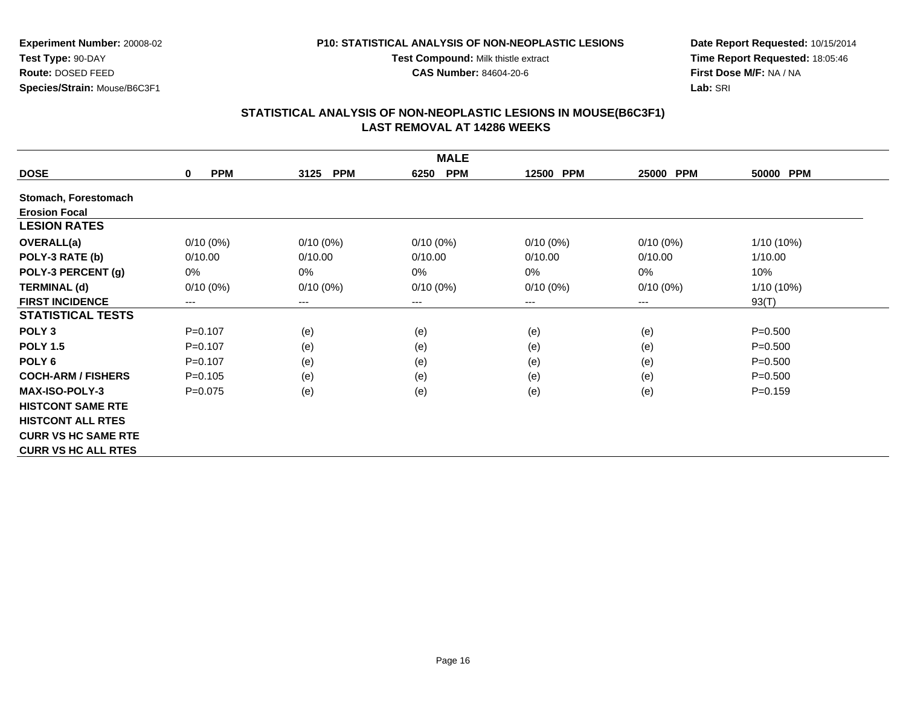#### **P10: STATISTICAL ANALYSIS OF NON-NEOPLASTIC LESIONS**

**Test Compound:** Milk thistle extract

**CAS Number:** 84604-20-6

**Date Report Requested:** 10/15/2014**Time Report Requested:** 18:05:46**First Dose M/F:** NA / NA**Lab:** SRI

| <b>MALE</b>                |                           |                        |                    |             |                     |             |  |  |
|----------------------------|---------------------------|------------------------|--------------------|-------------|---------------------|-------------|--|--|
| <b>DOSE</b>                | <b>PPM</b><br>$\mathbf 0$ | 3125<br><b>PPM</b>     | <b>PPM</b><br>6250 | 12500 PPM   | <b>PPM</b><br>25000 | 50000 PPM   |  |  |
| Stomach, Forestomach       |                           |                        |                    |             |                     |             |  |  |
| <b>Erosion Focal</b>       |                           |                        |                    |             |                     |             |  |  |
| <b>LESION RATES</b>        |                           |                        |                    |             |                     |             |  |  |
| <b>OVERALL(a)</b>          | $0/10(0\%)$               | $0/10(0\%)$            | $0/10(0\%)$        | $0/10(0\%)$ | $0/10(0\%)$         | 1/10 (10%)  |  |  |
| POLY-3 RATE (b)            | 0/10.00                   | 0/10.00                | 0/10.00            | 0/10.00     | 0/10.00             | 1/10.00     |  |  |
| POLY-3 PERCENT (g)         | 0%                        | $0\%$                  | $0\%$              | 0%          | 0%                  | 10%         |  |  |
| <b>TERMINAL (d)</b>        | $0/10(0\%)$               | $0/10(0\%)$            | $0/10(0\%)$        | $0/10(0\%)$ | $0/10(0\%)$         | 1/10 (10%)  |  |  |
| <b>FIRST INCIDENCE</b>     | ---                       | $\qquad \qquad \cdots$ | $---$              | ---         | ---                 | 93(T)       |  |  |
| <b>STATISTICAL TESTS</b>   |                           |                        |                    |             |                     |             |  |  |
| POLY <sub>3</sub>          | $P = 0.107$               | (e)                    | (e)                | (e)         | (e)                 | $P = 0.500$ |  |  |
| <b>POLY 1.5</b>            | $P=0.107$                 | (e)                    | (e)                | (e)         | (e)                 | $P = 0.500$ |  |  |
| POLY <sub>6</sub>          | $P = 0.107$               | (e)                    | (e)                | (e)         | (e)                 | $P = 0.500$ |  |  |
| <b>COCH-ARM / FISHERS</b>  | $P=0.105$                 | (e)                    | (e)                | (e)         | (e)                 | $P = 0.500$ |  |  |
| <b>MAX-ISO-POLY-3</b>      | $P = 0.075$               | (e)                    | (e)                | (e)         | (e)                 | $P = 0.159$ |  |  |
| <b>HISTCONT SAME RTE</b>   |                           |                        |                    |             |                     |             |  |  |
| <b>HISTCONT ALL RTES</b>   |                           |                        |                    |             |                     |             |  |  |
| <b>CURR VS HC SAME RTE</b> |                           |                        |                    |             |                     |             |  |  |
| <b>CURR VS HC ALL RTES</b> |                           |                        |                    |             |                     |             |  |  |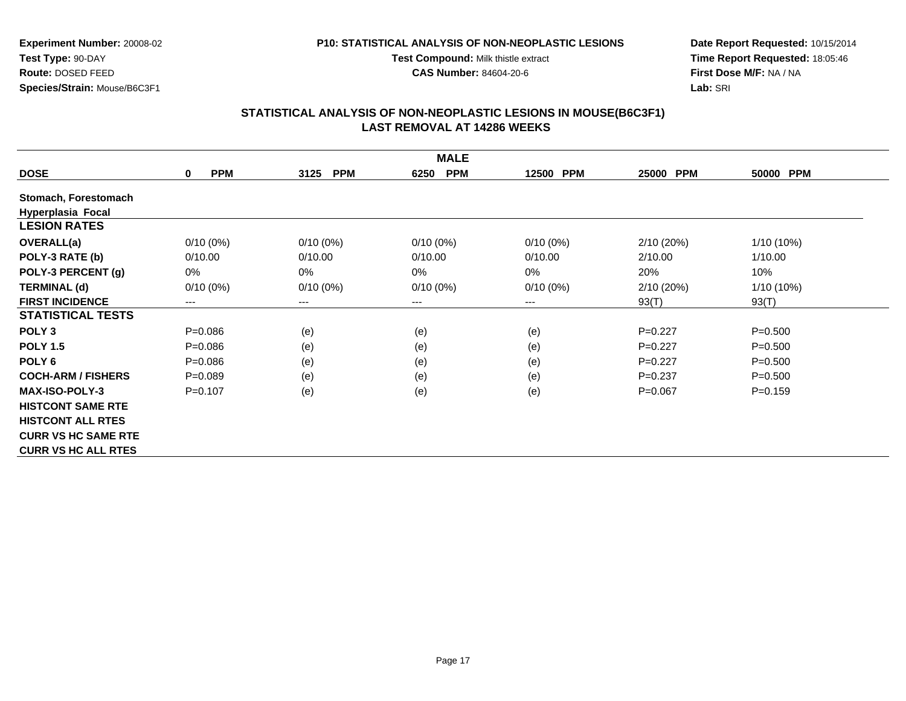#### **P10: STATISTICAL ANALYSIS OF NON-NEOPLASTIC LESIONS**

**Test Compound:** Milk thistle extract

**CAS Number:** 84604-20-6

**Date Report Requested:** 10/15/2014**Time Report Requested:** 18:05:46**First Dose M/F:** NA / NA**Lab:** SRI

| <b>MALE</b>                |                           |                        |                    |             |                     |             |  |  |
|----------------------------|---------------------------|------------------------|--------------------|-------------|---------------------|-------------|--|--|
| <b>DOSE</b>                | <b>PPM</b><br>$\mathbf 0$ | 3125<br><b>PPM</b>     | <b>PPM</b><br>6250 | 12500 PPM   | <b>PPM</b><br>25000 | 50000 PPM   |  |  |
| Stomach, Forestomach       |                           |                        |                    |             |                     |             |  |  |
| <b>Hyperplasia Focal</b>   |                           |                        |                    |             |                     |             |  |  |
| <b>LESION RATES</b>        |                           |                        |                    |             |                     |             |  |  |
| <b>OVERALL(a)</b>          | $0/10(0\%)$               | $0/10(0\%)$            | $0/10(0\%)$        | $0/10(0\%)$ | 2/10(20%)           | 1/10 (10%)  |  |  |
| POLY-3 RATE (b)            | 0/10.00                   | 0/10.00                | 0/10.00            | 0/10.00     | 2/10.00             | 1/10.00     |  |  |
| POLY-3 PERCENT (g)         | 0%                        | $0\%$                  | $0\%$              | 0%          | 20%                 | 10%         |  |  |
| <b>TERMINAL (d)</b>        | $0/10(0\%)$               | $0/10(0\%)$            | $0/10(0\%)$        | $0/10(0\%)$ | 2/10(20%)           | 1/10 (10%)  |  |  |
| <b>FIRST INCIDENCE</b>     | ---                       | $\qquad \qquad \cdots$ | $---$              | ---         | 93(T)               | 93(T)       |  |  |
| <b>STATISTICAL TESTS</b>   |                           |                        |                    |             |                     |             |  |  |
| POLY <sub>3</sub>          | $P = 0.086$               | (e)                    | (e)                | (e)         | $P=0.227$           | $P = 0.500$ |  |  |
| <b>POLY 1.5</b>            | $P = 0.086$               | (e)                    | (e)                | (e)         | $P=0.227$           | $P = 0.500$ |  |  |
| POLY <sub>6</sub>          | $P=0.086$                 | (e)                    | (e)                | (e)         | $P=0.227$           | $P = 0.500$ |  |  |
| <b>COCH-ARM / FISHERS</b>  | $P=0.089$                 | (e)                    | (e)                | (e)         | $P=0.237$           | $P = 0.500$ |  |  |
| <b>MAX-ISO-POLY-3</b>      | $P = 0.107$               | (e)                    | (e)                | (e)         | $P=0.067$           | $P = 0.159$ |  |  |
| <b>HISTCONT SAME RTE</b>   |                           |                        |                    |             |                     |             |  |  |
| <b>HISTCONT ALL RTES</b>   |                           |                        |                    |             |                     |             |  |  |
| <b>CURR VS HC SAME RTE</b> |                           |                        |                    |             |                     |             |  |  |
| <b>CURR VS HC ALL RTES</b> |                           |                        |                    |             |                     |             |  |  |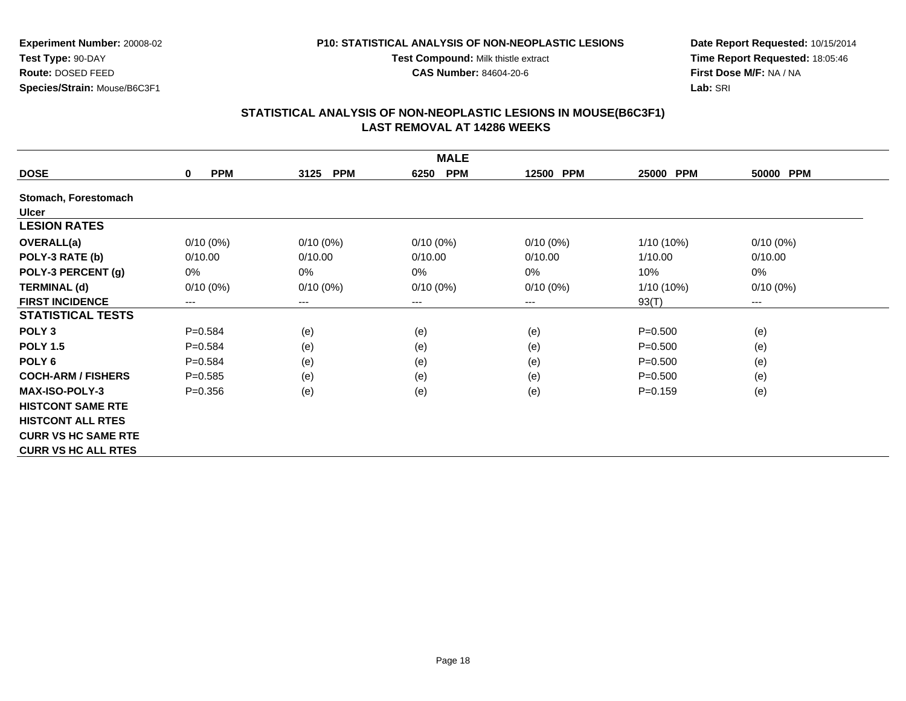#### **P10: STATISTICAL ANALYSIS OF NON-NEOPLASTIC LESIONS**

**Test Compound:** Milk thistle extract

**CAS Number:** 84604-20-6

**Date Report Requested:** 10/15/2014**Time Report Requested:** 18:05:46**First Dose M/F:** NA / NA**Lab:** SRI

| <b>MALE</b>                |                           |                        |                    |             |                     |                        |  |  |
|----------------------------|---------------------------|------------------------|--------------------|-------------|---------------------|------------------------|--|--|
| <b>DOSE</b>                | <b>PPM</b><br>$\mathbf 0$ | 3125<br><b>PPM</b>     | <b>PPM</b><br>6250 | 12500 PPM   | <b>PPM</b><br>25000 | 50000 PPM              |  |  |
| Stomach, Forestomach       |                           |                        |                    |             |                     |                        |  |  |
| <b>Ulcer</b>               |                           |                        |                    |             |                     |                        |  |  |
| <b>LESION RATES</b>        |                           |                        |                    |             |                     |                        |  |  |
| <b>OVERALL(a)</b>          | $0/10(0\%)$               | $0/10(0\%)$            | $0/10(0\%)$        | $0/10(0\%)$ | $1/10(10\%)$        | $0/10(0\%)$            |  |  |
| POLY-3 RATE (b)            | 0/10.00                   | 0/10.00                | 0/10.00            | 0/10.00     | 1/10.00             | 0/10.00                |  |  |
| POLY-3 PERCENT (g)         | 0%                        | $0\%$                  | $0\%$              | $0\%$       | 10%                 | $0\%$                  |  |  |
| <b>TERMINAL (d)</b>        | $0/10(0\%)$               | $0/10(0\%)$            | $0/10(0\%)$        | $0/10(0\%)$ | $1/10(10\%)$        | $0/10(0\%)$            |  |  |
| <b>FIRST INCIDENCE</b>     | ---                       | $\qquad \qquad \cdots$ | $---$              | ---         | 93(T)               | $\qquad \qquad \cdots$ |  |  |
| <b>STATISTICAL TESTS</b>   |                           |                        |                    |             |                     |                        |  |  |
| POLY <sub>3</sub>          | $P = 0.584$               | (e)                    | (e)                | (e)         | $P = 0.500$         | (e)                    |  |  |
| <b>POLY 1.5</b>            | $P = 0.584$               | (e)                    | (e)                | (e)         | $P = 0.500$         | (e)                    |  |  |
| POLY <sub>6</sub>          | $P=0.584$                 | (e)                    | (e)                | (e)         | $P = 0.500$         | (e)                    |  |  |
| <b>COCH-ARM / FISHERS</b>  | $P = 0.585$               | (e)                    | (e)                | (e)         | $P = 0.500$         | (e)                    |  |  |
| <b>MAX-ISO-POLY-3</b>      | $P = 0.356$               | (e)                    | (e)                | (e)         | $P = 0.159$         | (e)                    |  |  |
| <b>HISTCONT SAME RTE</b>   |                           |                        |                    |             |                     |                        |  |  |
| <b>HISTCONT ALL RTES</b>   |                           |                        |                    |             |                     |                        |  |  |
| <b>CURR VS HC SAME RTE</b> |                           |                        |                    |             |                     |                        |  |  |
| <b>CURR VS HC ALL RTES</b> |                           |                        |                    |             |                     |                        |  |  |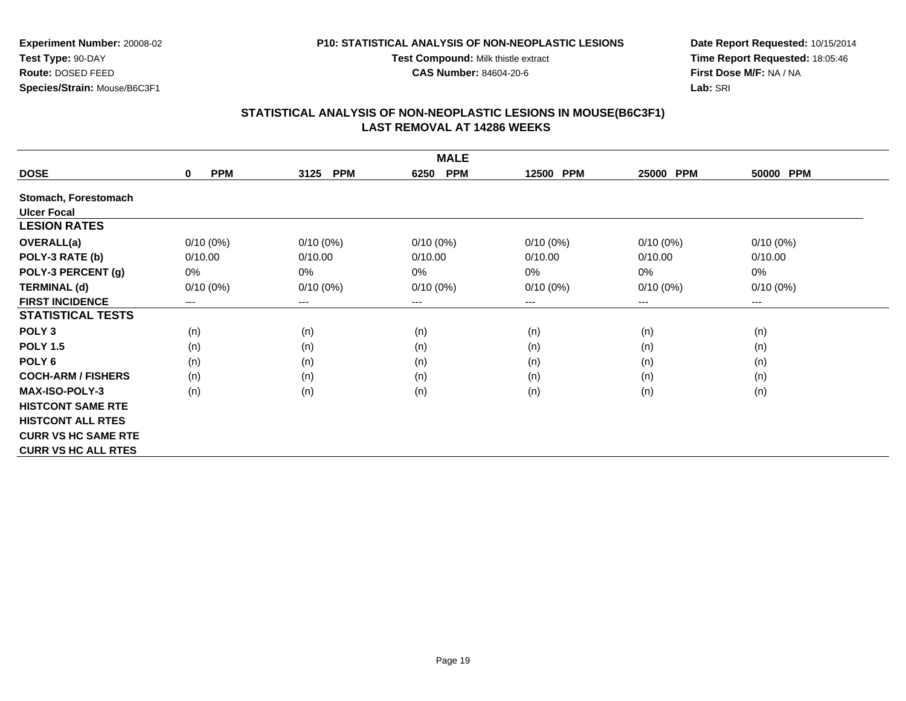#### **P10: STATISTICAL ANALYSIS OF NON-NEOPLASTIC LESIONS**

**Test Compound:** Milk thistle extract

**CAS Number:** 84604-20-6

**Date Report Requested:** 10/15/2014**Time Report Requested:** 18:05:46**First Dose M/F:** NA / NA**Lab:** SRI

| <b>MALE</b>                |                        |                    |                    |             |                        |             |  |  |
|----------------------------|------------------------|--------------------|--------------------|-------------|------------------------|-------------|--|--|
| <b>DOSE</b>                | <b>PPM</b><br>$\bf{0}$ | <b>PPM</b><br>3125 | <b>PPM</b><br>6250 | 12500 PPM   | 25000<br><b>PPM</b>    | 50000 PPM   |  |  |
| Stomach, Forestomach       |                        |                    |                    |             |                        |             |  |  |
| <b>Ulcer Focal</b>         |                        |                    |                    |             |                        |             |  |  |
| <b>LESION RATES</b>        |                        |                    |                    |             |                        |             |  |  |
| <b>OVERALL(a)</b>          | $0/10(0\%)$            | $0/10(0\%)$        | $0/10(0\%)$        | $0/10(0\%)$ | $0/10(0\%)$            | $0/10(0\%)$ |  |  |
| POLY-3 RATE (b)            | 0/10.00                | 0/10.00            | 0/10.00            | 0/10.00     | 0/10.00                | 0/10.00     |  |  |
| POLY-3 PERCENT (g)         | 0%                     | 0%                 | 0%                 | 0%          | 0%                     | 0%          |  |  |
| <b>TERMINAL (d)</b>        | $0/10(0\%)$            | $0/10(0\%)$        | $0/10(0\%)$        | $0/10(0\%)$ | $0/10(0\%)$            | $0/10(0\%)$ |  |  |
| <b>FIRST INCIDENCE</b>     | $---$                  | ---                | $---$              | ---         | $\qquad \qquad \cdots$ | ---         |  |  |
| <b>STATISTICAL TESTS</b>   |                        |                    |                    |             |                        |             |  |  |
| POLY <sub>3</sub>          | (n)                    | (n)                | (n)                | (n)         | (n)                    | (n)         |  |  |
| <b>POLY 1.5</b>            | (n)                    | (n)                | (n)                | (n)         | (n)                    | (n)         |  |  |
| POLY 6                     | (n)                    | (n)                | (n)                | (n)         | (n)                    | (n)         |  |  |
| <b>COCH-ARM / FISHERS</b>  | (n)                    | (n)                | (n)                | (n)         | (n)                    | (n)         |  |  |
| <b>MAX-ISO-POLY-3</b>      | (n)                    | (n)                | (n)                | (n)         | (n)                    | (n)         |  |  |
| <b>HISTCONT SAME RTE</b>   |                        |                    |                    |             |                        |             |  |  |
| <b>HISTCONT ALL RTES</b>   |                        |                    |                    |             |                        |             |  |  |
| <b>CURR VS HC SAME RTE</b> |                        |                    |                    |             |                        |             |  |  |
| <b>CURR VS HC ALL RTES</b> |                        |                    |                    |             |                        |             |  |  |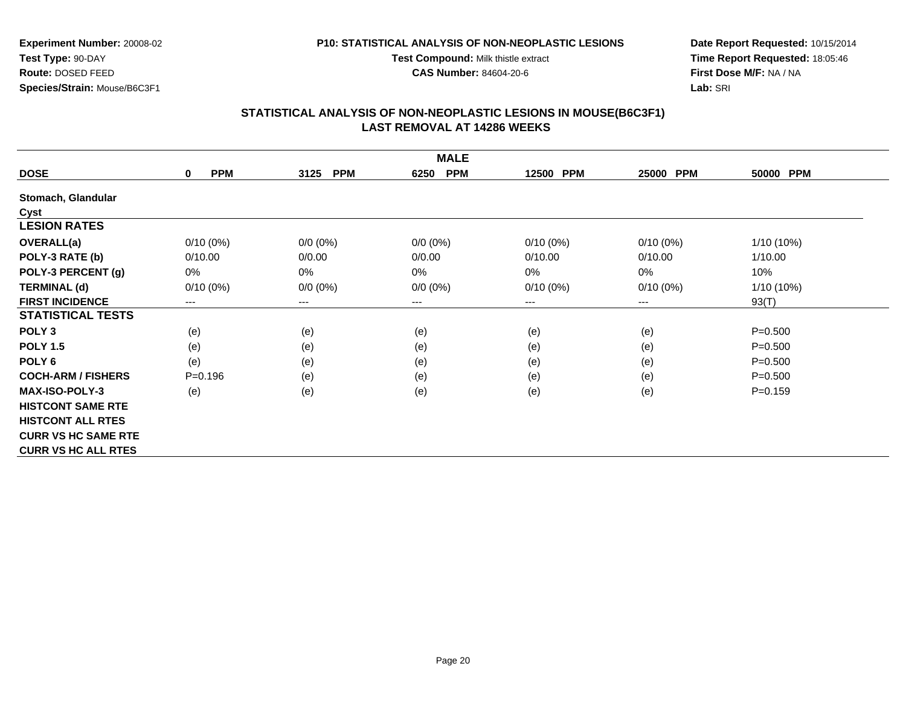**Test Compound:** Milk thistle extract

**CAS Number:** 84604-20-6

**Date Report Requested:** 10/15/2014**Time Report Requested:** 18:05:46**First Dose M/F:** NA / NA**Lab:** SRI

## **STATISTICAL ANALYSIS OF NON-NEOPLASTIC LESIONS IN MOUSE(B6C3F1) LAST REMOVAL AT 14286 WEEKS**

| <b>MALE</b>                |                           |                        |                    |                     |             |              |  |  |
|----------------------------|---------------------------|------------------------|--------------------|---------------------|-------------|--------------|--|--|
| <b>DOSE</b>                | <b>PPM</b><br>$\mathbf 0$ | <b>PPM</b><br>3125     | <b>PPM</b><br>6250 | <b>PPM</b><br>12500 | 25000 PPM   | 50000 PPM    |  |  |
| Stomach, Glandular         |                           |                        |                    |                     |             |              |  |  |
| Cyst                       |                           |                        |                    |                     |             |              |  |  |
| <b>LESION RATES</b>        |                           |                        |                    |                     |             |              |  |  |
| <b>OVERALL(a)</b>          | $0/10(0\%)$               | $0/0 (0\%)$            | $0/0 (0\%)$        | $0/10(0\%)$         | $0/10(0\%)$ | $1/10(10\%)$ |  |  |
| POLY-3 RATE (b)            | 0/10.00                   | 0/0.00                 | 0/0.00             | 0/10.00             | 0/10.00     | 1/10.00      |  |  |
| POLY-3 PERCENT (g)         | $0\%$                     | $0\%$                  | $0\%$              | 0%                  | 0%          | 10%          |  |  |
| <b>TERMINAL (d)</b>        | $0/10(0\%)$               | $0/0 (0\%)$            | $0/0 (0\%)$        | $0/10(0\%)$         | $0/10(0\%)$ | 1/10 (10%)   |  |  |
| <b>FIRST INCIDENCE</b>     | $---$                     | $\qquad \qquad \cdots$ | $--$               | ---                 | ---         | 93(T)        |  |  |
| <b>STATISTICAL TESTS</b>   |                           |                        |                    |                     |             |              |  |  |
| POLY <sub>3</sub>          | (e)                       | (e)                    | (e)                | (e)                 | (e)         | $P = 0.500$  |  |  |
| <b>POLY 1.5</b>            | (e)                       | (e)                    | (e)                | (e)                 | (e)         | $P = 0.500$  |  |  |
| POLY <sub>6</sub>          | (e)                       | (e)                    | (e)                | (e)                 | (e)         | $P = 0.500$  |  |  |
| <b>COCH-ARM / FISHERS</b>  | $P = 0.196$               | (e)                    | (e)                | (e)                 | (e)         | $P = 0.500$  |  |  |
| <b>MAX-ISO-POLY-3</b>      | (e)                       | (e)                    | (e)                | (e)                 | (e)         | $P = 0.159$  |  |  |
| <b>HISTCONT SAME RTE</b>   |                           |                        |                    |                     |             |              |  |  |
| <b>HISTCONT ALL RTES</b>   |                           |                        |                    |                     |             |              |  |  |
| <b>CURR VS HC SAME RTE</b> |                           |                        |                    |                     |             |              |  |  |
| <b>CURR VS HC ALL RTES</b> |                           |                        |                    |                     |             |              |  |  |

**Test Type:** 90-DAY **Route:** DOSED FEED**Species/Strain:** Mouse/B6C3F1

**Experiment Number:** 20008-02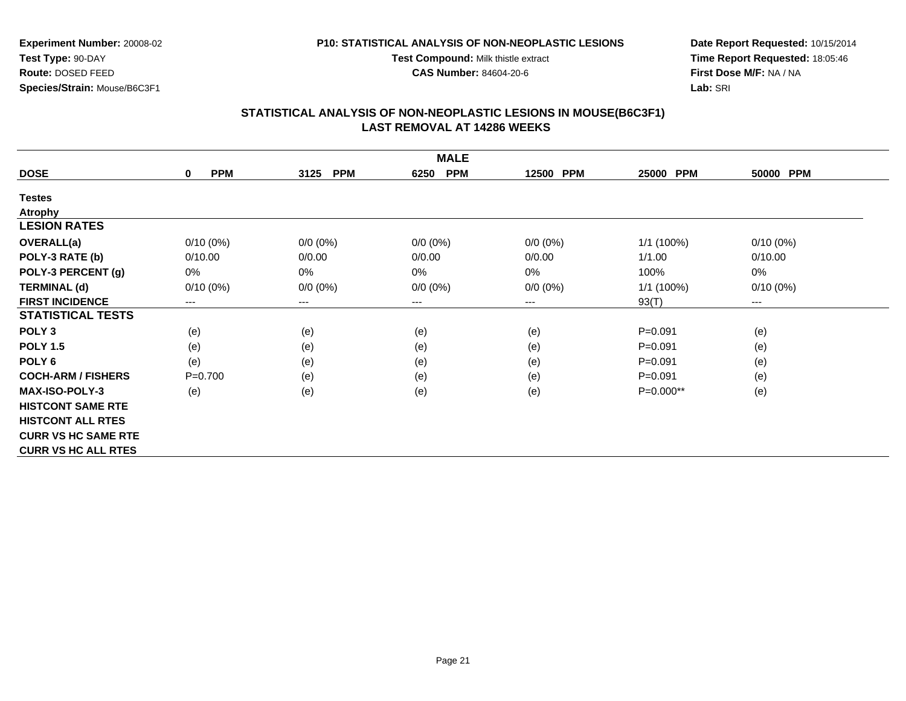**P10: STATISTICAL ANALYSIS OF NON-NEOPLASTIC LESIONSTest Compound:** Milk thistle extract

**CAS Number:** 84604-20-6

**Experiment Number:** 20008-02**Test Type:** 90-DAY **Route:** DOSED FEED**Species/Strain:** Mouse/B6C3F1

**Date Report Requested:** 10/15/2014**Time Report Requested:** 18:05:46**First Dose M/F:** NA / NA**Lab:** SRI

| <b>MALE</b>                |                           |                    |                        |             |              |             |  |  |
|----------------------------|---------------------------|--------------------|------------------------|-------------|--------------|-------------|--|--|
| <b>DOSE</b>                | <b>PPM</b><br>$\mathbf 0$ | 3125<br><b>PPM</b> | <b>PPM</b><br>6250     | 12500 PPM   | 25000 PPM    | 50000 PPM   |  |  |
| <b>Testes</b>              |                           |                    |                        |             |              |             |  |  |
| <b>Atrophy</b>             |                           |                    |                        |             |              |             |  |  |
| <b>LESION RATES</b>        |                           |                    |                        |             |              |             |  |  |
| OVERALL(a)                 | $0/10(0\%)$               | $0/0 (0\%)$        | $0/0 (0\%)$            | $0/0 (0\%)$ | $1/1$ (100%) | $0/10(0\%)$ |  |  |
| POLY-3 RATE (b)            | 0/10.00                   | 0/0.00             | 0/0.00                 | 0/0.00      | 1/1.00       | 0/10.00     |  |  |
| POLY-3 PERCENT (g)         | 0%                        | 0%                 | 0%                     | 0%          | 100%         | 0%          |  |  |
| <b>TERMINAL (d)</b>        | $0/10(0\%)$               | $0/0 (0\%)$        | $0/0 (0\%)$            | $0/0 (0\%)$ | $1/1$ (100%) | $0/10(0\%)$ |  |  |
| <b>FIRST INCIDENCE</b>     | ---                       | ---                | $\qquad \qquad \cdots$ | ---         | 93(T)        | $---$       |  |  |
| <b>STATISTICAL TESTS</b>   |                           |                    |                        |             |              |             |  |  |
| POLY <sub>3</sub>          | (e)                       | (e)                | (e)                    | (e)         | $P = 0.091$  | (e)         |  |  |
| <b>POLY 1.5</b>            | (e)                       | (e)                | (e)                    | (e)         | $P = 0.091$  | (e)         |  |  |
| POLY 6                     | (e)                       | (e)                | (e)                    | (e)         | $P = 0.091$  | (e)         |  |  |
| <b>COCH-ARM / FISHERS</b>  | $P = 0.700$               | (e)                | (e)                    | (e)         | $P = 0.091$  | (e)         |  |  |
| <b>MAX-ISO-POLY-3</b>      | (e)                       | (e)                | (e)                    | (e)         | P=0.000**    | (e)         |  |  |
| <b>HISTCONT SAME RTE</b>   |                           |                    |                        |             |              |             |  |  |
| <b>HISTCONT ALL RTES</b>   |                           |                    |                        |             |              |             |  |  |
| <b>CURR VS HC SAME RTE</b> |                           |                    |                        |             |              |             |  |  |
| <b>CURR VS HC ALL RTES</b> |                           |                    |                        |             |              |             |  |  |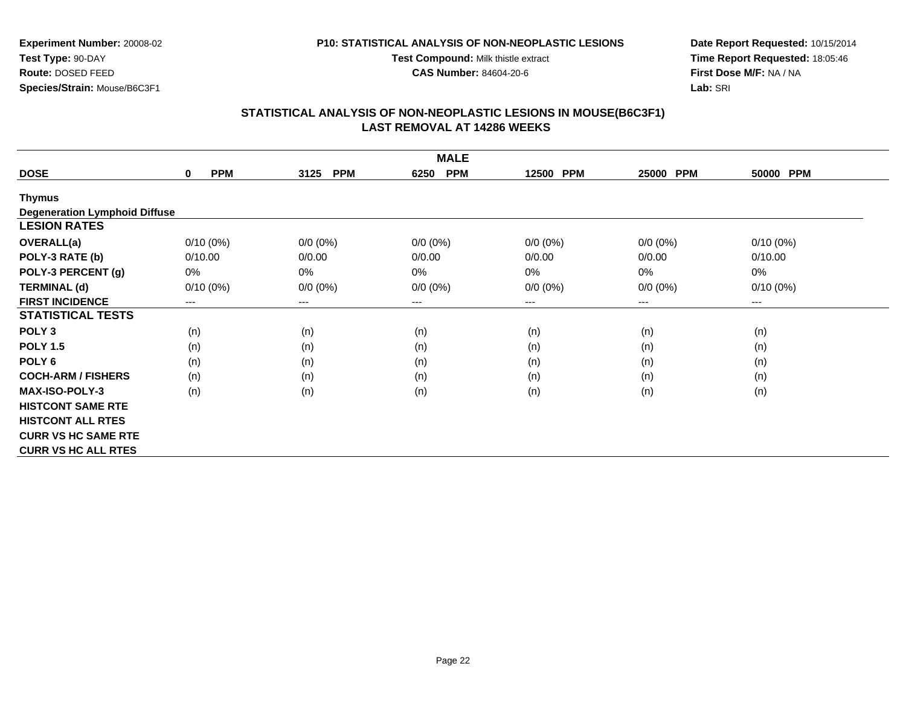**Test Compound:** Milk thistle extract**CAS Number:** 84604-20-6

**Experiment Number:** 20008-02**Test Type:** 90-DAY **Route:** DOSED FEED**Species/Strain:** Mouse/B6C3F1

**Date Report Requested:** 10/15/2014**Time Report Requested:** 18:05:46**First Dose M/F:** NA / NA**Lab:** SRI

| <b>MALE</b>                          |                           |                        |                    |             |                     |             |  |  |
|--------------------------------------|---------------------------|------------------------|--------------------|-------------|---------------------|-------------|--|--|
| <b>DOSE</b>                          | <b>PPM</b><br>$\mathbf 0$ | <b>PPM</b><br>3125     | <b>PPM</b><br>6250 | 12500 PPM   | <b>PPM</b><br>25000 | 50000 PPM   |  |  |
| <b>Thymus</b>                        |                           |                        |                    |             |                     |             |  |  |
| <b>Degeneration Lymphoid Diffuse</b> |                           |                        |                    |             |                     |             |  |  |
| <b>LESION RATES</b>                  |                           |                        |                    |             |                     |             |  |  |
| OVERALL(a)                           | $0/10(0\%)$               | $0/0 (0\%)$            | $0/0 (0\%)$        | $0/0 (0\%)$ | $0/0 (0\%)$         | $0/10(0\%)$ |  |  |
| POLY-3 RATE (b)                      | 0/10.00                   | 0/0.00                 | 0/0.00             | 0/0.00      | 0/0.00              | 0/10.00     |  |  |
| POLY-3 PERCENT (g)                   | 0%                        | 0%                     | 0%                 | 0%          | 0%                  | 0%          |  |  |
| <b>TERMINAL (d)</b>                  | $0/10(0\%)$               | $0/0 (0\%)$            | $0/0 (0\%)$        | $0/0 (0\%)$ | $0/0 (0\%)$         | $0/10(0\%)$ |  |  |
| <b>FIRST INCIDENCE</b>               | $---$                     | $\qquad \qquad \cdots$ | $--$               | ---         | $---$               | ---         |  |  |
| <b>STATISTICAL TESTS</b>             |                           |                        |                    |             |                     |             |  |  |
| POLY <sub>3</sub>                    | (n)                       | (n)                    | (n)                | (n)         | (n)                 | (n)         |  |  |
| <b>POLY 1.5</b>                      | (n)                       | (n)                    | (n)                | (n)         | (n)                 | (n)         |  |  |
| POLY <sub>6</sub>                    | (n)                       | (n)                    | (n)                | (n)         | (n)                 | (n)         |  |  |
| <b>COCH-ARM / FISHERS</b>            | (n)                       | (n)                    | (n)                | (n)         | (n)                 | (n)         |  |  |
| <b>MAX-ISO-POLY-3</b>                | (n)                       | (n)                    | (n)                | (n)         | (n)                 | (n)         |  |  |
| <b>HISTCONT SAME RTE</b>             |                           |                        |                    |             |                     |             |  |  |
| <b>HISTCONT ALL RTES</b>             |                           |                        |                    |             |                     |             |  |  |
| <b>CURR VS HC SAME RTE</b>           |                           |                        |                    |             |                     |             |  |  |
| <b>CURR VS HC ALL RTES</b>           |                           |                        |                    |             |                     |             |  |  |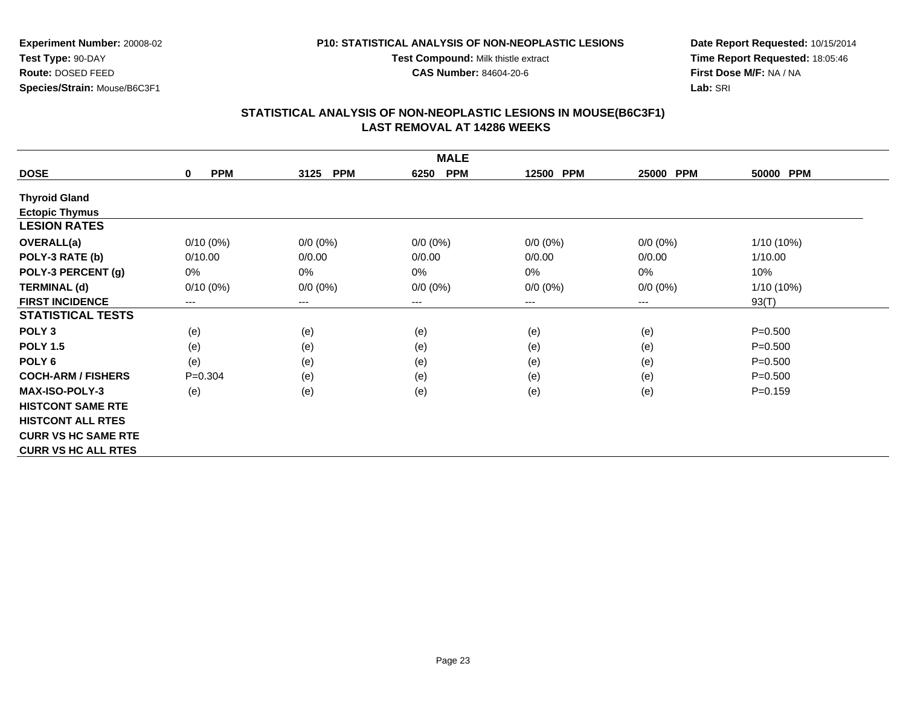**Test Compound:** Milk thistle extract**CAS Number:** 84604-20-6

**Experiment Number:** 20008-02**Test Type:** 90-DAY **Route:** DOSED FEED**Species/Strain:** Mouse/B6C3F1

**Date Report Requested:** 10/15/2014**Time Report Requested:** 18:05:46**First Dose M/F:** NA / NA**Lab:** SRI

| <b>MALE</b>                |                           |                    |                            |             |                     |             |  |  |
|----------------------------|---------------------------|--------------------|----------------------------|-------------|---------------------|-------------|--|--|
| <b>DOSE</b>                | <b>PPM</b><br>$\mathbf 0$ | <b>PPM</b><br>3125 | <b>PPM</b><br>6250         | 12500 PPM   | <b>PPM</b><br>25000 | 50000 PPM   |  |  |
| <b>Thyroid Gland</b>       |                           |                    |                            |             |                     |             |  |  |
| <b>Ectopic Thymus</b>      |                           |                    |                            |             |                     |             |  |  |
| <b>LESION RATES</b>        |                           |                    |                            |             |                     |             |  |  |
| <b>OVERALL(a)</b>          | $0/10(0\%)$               | $0/0 (0\%)$        | $0/0 (0\%)$                | $0/0 (0\%)$ | $0/0 (0\%)$         | 1/10 (10%)  |  |  |
| POLY-3 RATE (b)            | 0/10.00                   | 0/0.00             | 0/0.00                     | 0/0.00      | 0/0.00              | 1/10.00     |  |  |
| POLY-3 PERCENT (g)         | $0\%$                     | $0\%$              | 0%                         | $0\%$       | $0\%$               | 10%         |  |  |
| <b>TERMINAL (d)</b>        | $0/10(0\%)$               | $0/0 (0\%)$        | $0/0 (0\%)$                | $0/0 (0\%)$ | $0/0 (0\%)$         | 1/10 (10%)  |  |  |
| <b>FIRST INCIDENCE</b>     | ---                       | ---                | $\qquad \qquad - \qquad -$ | ---         | ---                 | 93(T)       |  |  |
| <b>STATISTICAL TESTS</b>   |                           |                    |                            |             |                     |             |  |  |
| POLY <sub>3</sub>          | (e)                       | (e)                | (e)                        | (e)         | (e)                 | $P = 0.500$ |  |  |
| <b>POLY 1.5</b>            | (e)                       | (e)                | (e)                        | (e)         | (e)                 | $P = 0.500$ |  |  |
| POLY <sub>6</sub>          | (e)                       | (e)                | (e)                        | (e)         | (e)                 | $P = 0.500$ |  |  |
| <b>COCH-ARM / FISHERS</b>  | $P = 0.304$               | (e)                | (e)                        | (e)         | (e)                 | $P = 0.500$ |  |  |
| <b>MAX-ISO-POLY-3</b>      | (e)                       | (e)                | (e)                        | (e)         | (e)                 | $P = 0.159$ |  |  |
| <b>HISTCONT SAME RTE</b>   |                           |                    |                            |             |                     |             |  |  |
| <b>HISTCONT ALL RTES</b>   |                           |                    |                            |             |                     |             |  |  |
| <b>CURR VS HC SAME RTE</b> |                           |                    |                            |             |                     |             |  |  |
| <b>CURR VS HC ALL RTES</b> |                           |                    |                            |             |                     |             |  |  |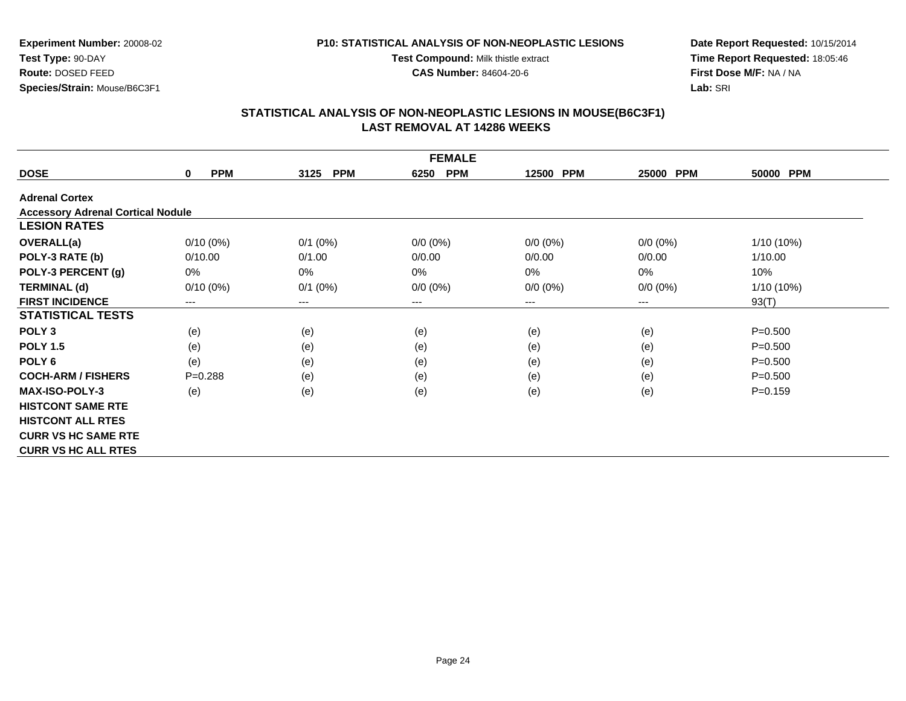#### **P10: STATISTICAL ANALYSIS OF NON-NEOPLASTIC LESIONS**

**Test Compound:** Milk thistle extract

**CAS Number:** 84604-20-6

**Date Report Requested:** 10/15/2014**Time Report Requested:** 18:05:46**First Dose M/F:** NA / NA**Lab:** SRI

| <b>FEMALE</b>                            |                        |                    |                    |             |                     |              |  |  |
|------------------------------------------|------------------------|--------------------|--------------------|-------------|---------------------|--------------|--|--|
| <b>DOSE</b>                              | <b>PPM</b><br>$\bf{0}$ | <b>PPM</b><br>3125 | <b>PPM</b><br>6250 | 12500 PPM   | <b>PPM</b><br>25000 | 50000 PPM    |  |  |
| <b>Adrenal Cortex</b>                    |                        |                    |                    |             |                     |              |  |  |
| <b>Accessory Adrenal Cortical Nodule</b> |                        |                    |                    |             |                     |              |  |  |
| <b>LESION RATES</b>                      |                        |                    |                    |             |                     |              |  |  |
| <b>OVERALL(a)</b>                        | $0/10(0\%)$            | $0/1$ $(0%)$       | $0/0 (0\%)$        | $0/0 (0\%)$ | $0/0 (0\%)$         | $1/10(10\%)$ |  |  |
| POLY-3 RATE (b)                          | 0/10.00                | 0/1.00             | 0/0.00             | 0/0.00      | 0/0.00              | 1/10.00      |  |  |
| POLY-3 PERCENT (g)                       | 0%                     | 0%                 | $0\%$              | 0%          | 0%                  | 10%          |  |  |
| <b>TERMINAL (d)</b>                      | $0/10(0\%)$            | $0/1$ (0%)         | $0/0 (0\%)$        | $0/0 (0\%)$ | $0/0 (0\%)$         | $1/10(10\%)$ |  |  |
| <b>FIRST INCIDENCE</b>                   | ---                    | $--$               | ---                | ---         | ---                 | 93(T)        |  |  |
| <b>STATISTICAL TESTS</b>                 |                        |                    |                    |             |                     |              |  |  |
| POLY <sub>3</sub>                        | (e)                    | (e)                | (e)                | (e)         | (e)                 | $P = 0.500$  |  |  |
| <b>POLY 1.5</b>                          | (e)                    | (e)                | (e)                | (e)         | (e)                 | $P = 0.500$  |  |  |
| POLY <sub>6</sub>                        | (e)                    | (e)                | (e)                | (e)         | (e)                 | $P = 0.500$  |  |  |
| <b>COCH-ARM / FISHERS</b>                | $P = 0.288$            | (e)                | (e)                | (e)         | (e)                 | $P = 0.500$  |  |  |
| <b>MAX-ISO-POLY-3</b>                    | (e)                    | (e)                | (e)                | (e)         | (e)                 | $P = 0.159$  |  |  |
| <b>HISTCONT SAME RTE</b>                 |                        |                    |                    |             |                     |              |  |  |
| <b>HISTCONT ALL RTES</b>                 |                        |                    |                    |             |                     |              |  |  |
| <b>CURR VS HC SAME RTE</b>               |                        |                    |                    |             |                     |              |  |  |
| <b>CURR VS HC ALL RTES</b>               |                        |                    |                    |             |                     |              |  |  |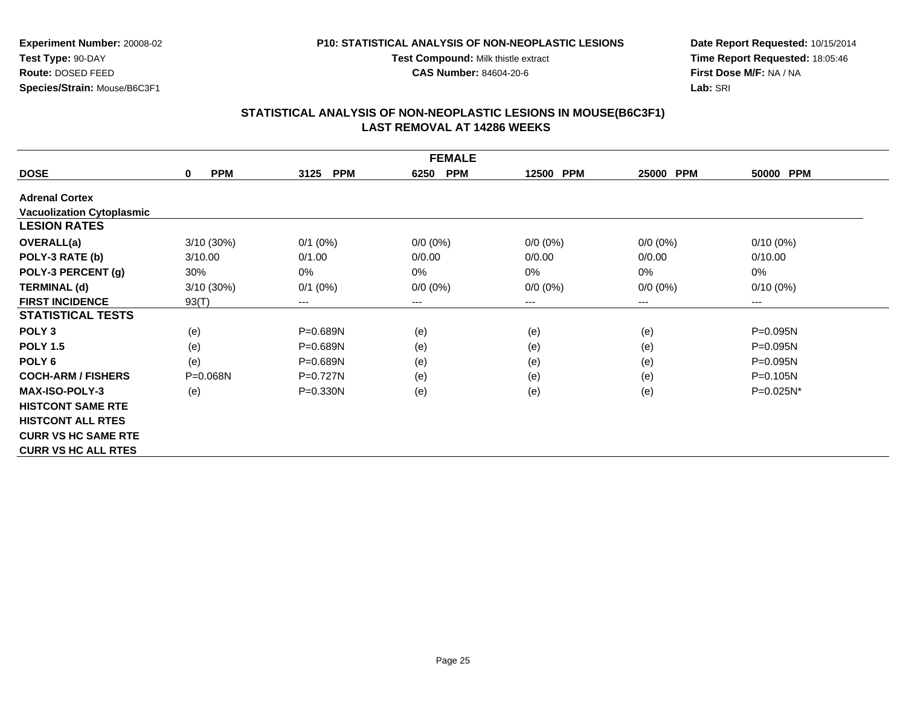#### **P10: STATISTICAL ANALYSIS OF NON-NEOPLASTIC LESIONS**

**Test Compound:** Milk thistle extract

**CAS Number:** 84604-20-6

**Date Report Requested:** 10/15/2014**Time Report Requested:** 18:05:46**First Dose M/F:** NA / NA**Lab:** SRI

| <b>FEMALE</b>                    |                            |                        |                    |             |                     |                        |  |  |
|----------------------------------|----------------------------|------------------------|--------------------|-------------|---------------------|------------------------|--|--|
| <b>DOSE</b>                      | <b>PPM</b><br>$\mathbf{0}$ | <b>PPM</b><br>3125     | <b>PPM</b><br>6250 | 12500 PPM   | <b>PPM</b><br>25000 | 50000 PPM              |  |  |
| <b>Adrenal Cortex</b>            |                            |                        |                    |             |                     |                        |  |  |
| <b>Vacuolization Cytoplasmic</b> |                            |                        |                    |             |                     |                        |  |  |
| <b>LESION RATES</b>              |                            |                        |                    |             |                     |                        |  |  |
| <b>OVERALL(a)</b>                | $3/10(30\%)$               | $0/1$ (0%)             | $0/0 (0\%)$        | $0/0 (0\%)$ | $0/0 (0\%)$         | $0/10(0\%)$            |  |  |
| POLY-3 RATE (b)                  | 3/10.00                    | 0/1.00                 | 0/0.00             | 0/0.00      | 0/0.00              | 0/10.00                |  |  |
| POLY-3 PERCENT (g)               | 30%                        | $0\%$                  | $0\%$              | $0\%$       | 0%                  | 0%                     |  |  |
| <b>TERMINAL (d)</b>              | 3/10 (30%)                 | $0/1$ (0%)             | $0/0 (0\%)$        | $0/0 (0\%)$ | $0/0 (0\%)$         | $0/10(0\%)$            |  |  |
| <b>FIRST INCIDENCE</b>           | 93(T)                      | $\qquad \qquad \cdots$ | ---                | ---         | ---                 | $\qquad \qquad \cdots$ |  |  |
| <b>STATISTICAL TESTS</b>         |                            |                        |                    |             |                     |                        |  |  |
| POLY <sub>3</sub>                | (e)                        | P=0.689N               | (e)                | (e)         | (e)                 | P=0.095N               |  |  |
| <b>POLY 1.5</b>                  | (e)                        | $P = 0.689N$           | (e)                | (e)         | (e)                 | $P = 0.095N$           |  |  |
| POLY <sub>6</sub>                | (e)                        | $P = 0.689N$           | (e)                | (e)         | (e)                 | $P = 0.095N$           |  |  |
| <b>COCH-ARM / FISHERS</b>        | $P = 0.068N$               | $P=0.727N$             | (e)                | (e)         | (e)                 | $P = 0.105N$           |  |  |
| <b>MAX-ISO-POLY-3</b>            | (e)                        | $P = 0.330N$           | (e)                | (e)         | (e)                 | $P=0.025N^*$           |  |  |
| <b>HISTCONT SAME RTE</b>         |                            |                        |                    |             |                     |                        |  |  |
| <b>HISTCONT ALL RTES</b>         |                            |                        |                    |             |                     |                        |  |  |
| <b>CURR VS HC SAME RTE</b>       |                            |                        |                    |             |                     |                        |  |  |
| <b>CURR VS HC ALL RTES</b>       |                            |                        |                    |             |                     |                        |  |  |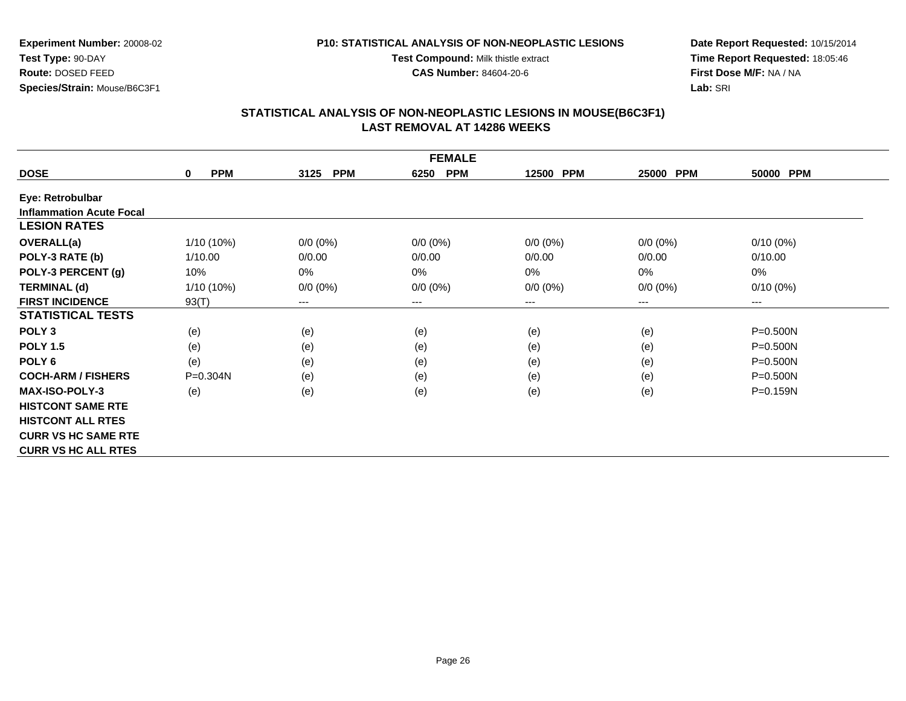#### **P10: STATISTICAL ANALYSIS OF NON-NEOPLASTIC LESIONS**

**Test Compound:** Milk thistle extract

**CAS Number:** 84604-20-6

**Date Report Requested:** 10/15/2014**Time Report Requested:** 18:05:46**First Dose M/F:** NA / NA**Lab:** SRI

| <b>FEMALE</b>                   |                           |                        |                    |             |                     |              |  |  |
|---------------------------------|---------------------------|------------------------|--------------------|-------------|---------------------|--------------|--|--|
| <b>DOSE</b>                     | <b>PPM</b><br>$\mathbf 0$ | <b>PPM</b><br>3125     | <b>PPM</b><br>6250 | 12500 PPM   | <b>PPM</b><br>25000 | 50000 PPM    |  |  |
| Eye: Retrobulbar                |                           |                        |                    |             |                     |              |  |  |
| <b>Inflammation Acute Focal</b> |                           |                        |                    |             |                     |              |  |  |
| <b>LESION RATES</b>             |                           |                        |                    |             |                     |              |  |  |
| <b>OVERALL(a)</b>               | 1/10 (10%)                | $0/0 (0\%)$            | $0/0 (0\%)$        | $0/0 (0\%)$ | $0/0 (0\%)$         | $0/10(0\%)$  |  |  |
| POLY-3 RATE (b)                 | 1/10.00                   | 0/0.00                 | 0/0.00             | 0/0.00      | 0/0.00              | 0/10.00      |  |  |
| POLY-3 PERCENT (g)              | 10%                       | 0%                     | 0%                 | 0%          | 0%                  | $0\%$        |  |  |
| <b>TERMINAL (d)</b>             | 1/10 (10%)                | $0/0 (0\%)$            | $0/0 (0\%)$        | $0/0 (0\%)$ | $0/0 (0\%)$         | $0/10(0\%)$  |  |  |
| <b>FIRST INCIDENCE</b>          | 93(T)                     | $\qquad \qquad \cdots$ | $---$              | ---         | $---$               | $---$        |  |  |
| <b>STATISTICAL TESTS</b>        |                           |                        |                    |             |                     |              |  |  |
| POLY <sub>3</sub>               | (e)                       | (e)                    | (e)                | (e)         | (e)                 | $P = 0.500N$ |  |  |
| <b>POLY 1.5</b>                 | (e)                       | (e)                    | (e)                | (e)         | (e)                 | $P = 0.500N$ |  |  |
| POLY <sub>6</sub>               | (e)                       | (e)                    | (e)                | (e)         | (e)                 | $P = 0.500N$ |  |  |
| <b>COCH-ARM / FISHERS</b>       | $P = 0.304N$              | (e)                    | (e)                | (e)         | (e)                 | $P = 0.500N$ |  |  |
| <b>MAX-ISO-POLY-3</b>           | (e)                       | (e)                    | (e)                | (e)         | (e)                 | $P = 0.159N$ |  |  |
| <b>HISTCONT SAME RTE</b>        |                           |                        |                    |             |                     |              |  |  |
| <b>HISTCONT ALL RTES</b>        |                           |                        |                    |             |                     |              |  |  |
| <b>CURR VS HC SAME RTE</b>      |                           |                        |                    |             |                     |              |  |  |
| <b>CURR VS HC ALL RTES</b>      |                           |                        |                    |             |                     |              |  |  |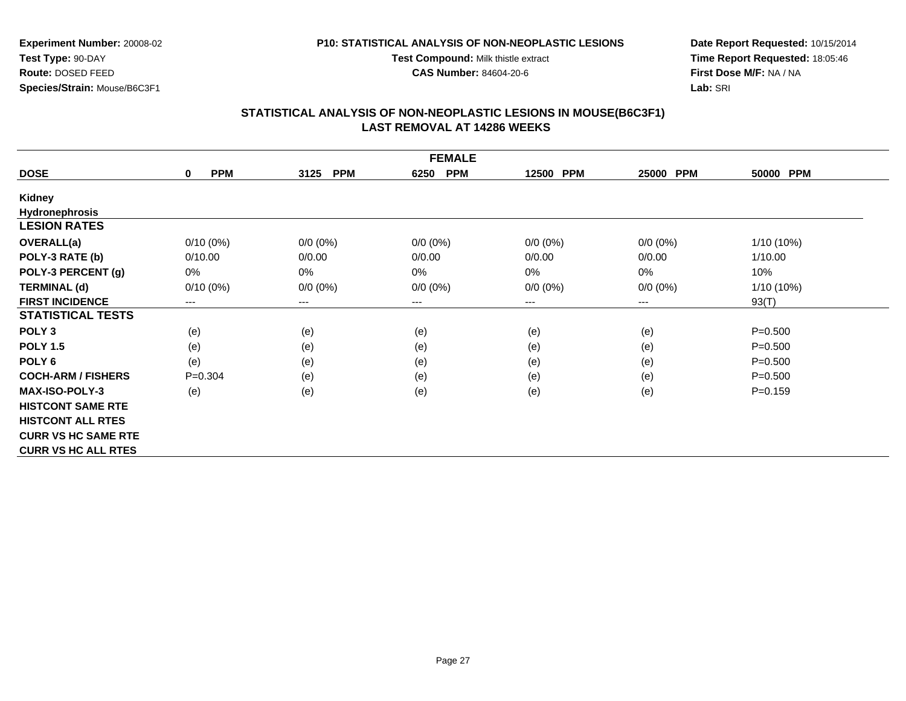#### **P10: STATISTICAL ANALYSIS OF NON-NEOPLASTIC LESIONS**

**Test Compound:** Milk thistle extract

**CAS Number:** 84604-20-6

**Date Report Requested:** 10/15/2014**Time Report Requested:** 18:05:46**First Dose M/F:** NA / NA**Lab:** SRI

|                            |                           |                            | <b>FEMALE</b>      |             |                     |                     |  |
|----------------------------|---------------------------|----------------------------|--------------------|-------------|---------------------|---------------------|--|
| <b>DOSE</b>                | <b>PPM</b><br>$\mathbf 0$ | 3125<br><b>PPM</b>         | <b>PPM</b><br>6250 | 12500 PPM   | <b>PPM</b><br>25000 | <b>PPM</b><br>50000 |  |
| Kidney                     |                           |                            |                    |             |                     |                     |  |
| <b>Hydronephrosis</b>      |                           |                            |                    |             |                     |                     |  |
| <b>LESION RATES</b>        |                           |                            |                    |             |                     |                     |  |
| OVERALL(a)                 | $0/10(0\%)$               | $0/0 (0\%)$                | $0/0 (0\%)$        | $0/0 (0\%)$ | $0/0 (0\%)$         | $1/10(10\%)$        |  |
| POLY-3 RATE (b)            | 0/10.00                   | 0/0.00                     | 0/0.00             | 0/0.00      | 0/0.00              | 1/10.00             |  |
| POLY-3 PERCENT (g)         | 0%                        | 0%                         | 0%                 | 0%          | 0%                  | 10%                 |  |
| <b>TERMINAL (d)</b>        | $0/10(0\%)$               | $0/0 (0\%)$                | $0/0 (0\%)$        | $0/0 (0\%)$ | $0/0 (0\%)$         | 1/10 (10%)          |  |
| <b>FIRST INCIDENCE</b>     | $\qquad \qquad \cdots$    | $\qquad \qquad - \qquad -$ | $---$              | $--$        | ---                 | 93(T)               |  |
| <b>STATISTICAL TESTS</b>   |                           |                            |                    |             |                     |                     |  |
| POLY <sub>3</sub>          | (e)                       | (e)                        | (e)                | (e)         | (e)                 | $P = 0.500$         |  |
| <b>POLY 1.5</b>            | (e)                       | (e)                        | (e)                | (e)         | (e)                 | $P = 0.500$         |  |
| POLY <sub>6</sub>          | (e)                       | (e)                        | (e)                | (e)         | (e)                 | $P = 0.500$         |  |
| <b>COCH-ARM / FISHERS</b>  | $P = 0.304$               | (e)                        | (e)                | (e)         | (e)                 | $P = 0.500$         |  |
| <b>MAX-ISO-POLY-3</b>      | (e)                       | (e)                        | (e)                | (e)         | (e)                 | $P = 0.159$         |  |
| <b>HISTCONT SAME RTE</b>   |                           |                            |                    |             |                     |                     |  |
| <b>HISTCONT ALL RTES</b>   |                           |                            |                    |             |                     |                     |  |
| <b>CURR VS HC SAME RTE</b> |                           |                            |                    |             |                     |                     |  |
| <b>CURR VS HC ALL RTES</b> |                           |                            |                    |             |                     |                     |  |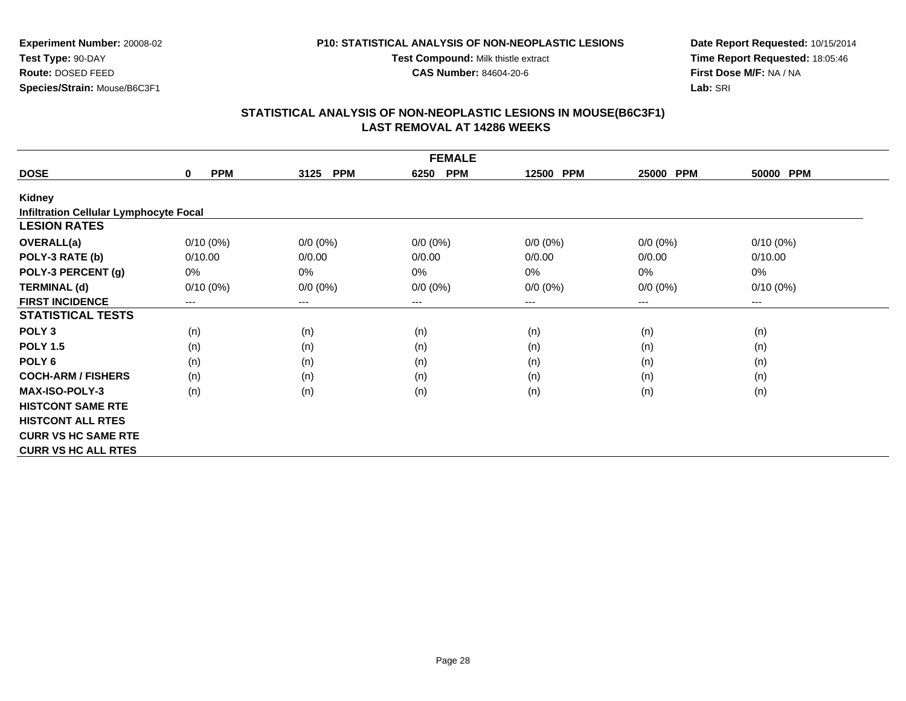#### **P10: STATISTICAL ANALYSIS OF NON-NEOPLASTIC LESIONS**

**Test Compound:** Milk thistle extract

**CAS Number:** 84604-20-6

**Date Report Requested:** 10/15/2014**Time Report Requested:** 18:05:46**First Dose M/F:** NA / NA**Lab:** SRI

|                                               | <b>FEMALE</b>             |                    |                    |                     |             |             |  |  |  |  |
|-----------------------------------------------|---------------------------|--------------------|--------------------|---------------------|-------------|-------------|--|--|--|--|
| <b>DOSE</b>                                   | <b>PPM</b><br>$\mathbf 0$ | <b>PPM</b><br>3125 | <b>PPM</b><br>6250 | <b>PPM</b><br>12500 | 25000 PPM   | 50000 PPM   |  |  |  |  |
| <b>Kidney</b>                                 |                           |                    |                    |                     |             |             |  |  |  |  |
| <b>Infiltration Cellular Lymphocyte Focal</b> |                           |                    |                    |                     |             |             |  |  |  |  |
| <b>LESION RATES</b>                           |                           |                    |                    |                     |             |             |  |  |  |  |
| <b>OVERALL(a)</b>                             | $0/10(0\%)$               | $0/0 (0\%)$        | $0/0 (0\%)$        | $0/0 (0\%)$         | $0/0 (0\%)$ | $0/10(0\%)$ |  |  |  |  |
| POLY-3 RATE (b)                               | 0/10.00                   | 0/0.00             | 0/0.00             | 0/0.00              | 0/0.00      | 0/10.00     |  |  |  |  |
| POLY-3 PERCENT (g)                            | 0%                        | $0\%$              | 0%                 | 0%                  | 0%          | 0%          |  |  |  |  |
| <b>TERMINAL (d)</b>                           | $0/10(0\%)$               | $0/0 (0\%)$        | $0/0 (0\%)$        | $0/0 (0\%)$         | $0/0 (0\%)$ | $0/10(0\%)$ |  |  |  |  |
| <b>FIRST INCIDENCE</b>                        | $--$                      | $--$               | ---                | ---                 | ---         | ---         |  |  |  |  |
| <b>STATISTICAL TESTS</b>                      |                           |                    |                    |                     |             |             |  |  |  |  |
| POLY <sub>3</sub>                             | (n)                       | (n)                | (n)                | (n)                 | (n)         | (n)         |  |  |  |  |
| <b>POLY 1.5</b>                               | (n)                       | (n)                | (n)                | (n)                 | (n)         | (n)         |  |  |  |  |
| POLY <sub>6</sub>                             | (n)                       | (n)                | (n)                | (n)                 | (n)         | (n)         |  |  |  |  |
| <b>COCH-ARM / FISHERS</b>                     | (n)                       | (n)                | (n)                | (n)                 | (n)         | (n)         |  |  |  |  |
| <b>MAX-ISO-POLY-3</b>                         | (n)                       | (n)                | (n)                | (n)                 | (n)         | (n)         |  |  |  |  |
| <b>HISTCONT SAME RTE</b>                      |                           |                    |                    |                     |             |             |  |  |  |  |
| <b>HISTCONT ALL RTES</b>                      |                           |                    |                    |                     |             |             |  |  |  |  |
| <b>CURR VS HC SAME RTE</b>                    |                           |                    |                    |                     |             |             |  |  |  |  |
| <b>CURR VS HC ALL RTES</b>                    |                           |                    |                    |                     |             |             |  |  |  |  |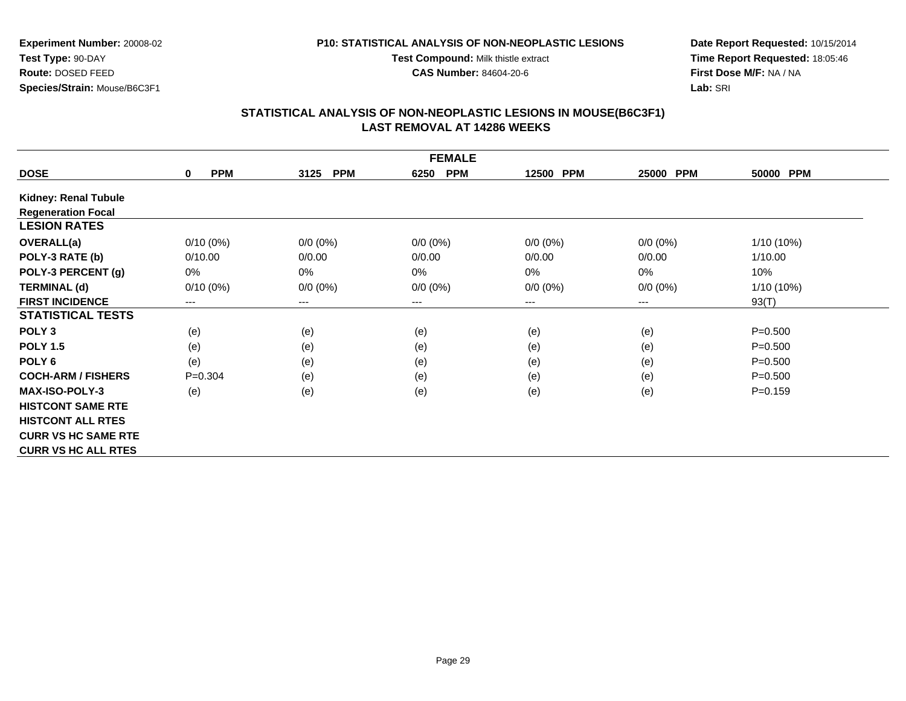#### **P10: STATISTICAL ANALYSIS OF NON-NEOPLASTIC LESIONS**

**Test Compound:** Milk thistle extract

**CAS Number:** 84604-20-6

**Date Report Requested:** 10/15/2014**Time Report Requested:** 18:05:46**First Dose M/F:** NA / NA**Lab:** SRI

|                             | <b>FEMALE</b>             |                    |                    |             |                     |              |  |  |  |
|-----------------------------|---------------------------|--------------------|--------------------|-------------|---------------------|--------------|--|--|--|
| <b>DOSE</b>                 | <b>PPM</b><br>$\mathbf 0$ | <b>PPM</b><br>3125 | <b>PPM</b><br>6250 | 12500 PPM   | <b>PPM</b><br>25000 | 50000 PPM    |  |  |  |
| <b>Kidney: Renal Tubule</b> |                           |                    |                    |             |                     |              |  |  |  |
| <b>Regeneration Focal</b>   |                           |                    |                    |             |                     |              |  |  |  |
| <b>LESION RATES</b>         |                           |                    |                    |             |                     |              |  |  |  |
| <b>OVERALL(a)</b>           | $0/10(0\%)$               | $0/0 (0\%)$        | $0/0 (0\%)$        | $0/0 (0\%)$ | $0/0 (0\%)$         | $1/10(10\%)$ |  |  |  |
| POLY-3 RATE (b)             | 0/10.00                   | 0/0.00             | 0/0.00             | 0/0.00      | 0/0.00              | 1/10.00      |  |  |  |
| POLY-3 PERCENT (g)          | 0%                        | $0\%$              | 0%                 | 0%          | 0%                  | 10%          |  |  |  |
| <b>TERMINAL (d)</b>         | $0/10(0\%)$               | $0/0 (0\%)$        | $0/0 (0\%)$        | $0/0 (0\%)$ | $0/0 (0\%)$         | 1/10 (10%)   |  |  |  |
| <b>FIRST INCIDENCE</b>      | $---$                     | $---$              | $---$              | $--$        | ---                 | 93(T)        |  |  |  |
| <b>STATISTICAL TESTS</b>    |                           |                    |                    |             |                     |              |  |  |  |
| POLY <sub>3</sub>           | (e)                       | (e)                | (e)                | (e)         | (e)                 | $P = 0.500$  |  |  |  |
| <b>POLY 1.5</b>             | (e)                       | (e)                | (e)                | (e)         | (e)                 | $P = 0.500$  |  |  |  |
| POLY <sub>6</sub>           | (e)                       | (e)                | (e)                | (e)         | (e)                 | $P = 0.500$  |  |  |  |
| <b>COCH-ARM / FISHERS</b>   | $P = 0.304$               | (e)                | (e)                | (e)         | (e)                 | $P = 0.500$  |  |  |  |
| <b>MAX-ISO-POLY-3</b>       | (e)                       | (e)                | (e)                | (e)         | (e)                 | $P = 0.159$  |  |  |  |
| <b>HISTCONT SAME RTE</b>    |                           |                    |                    |             |                     |              |  |  |  |
| <b>HISTCONT ALL RTES</b>    |                           |                    |                    |             |                     |              |  |  |  |
| <b>CURR VS HC SAME RTE</b>  |                           |                    |                    |             |                     |              |  |  |  |
| <b>CURR VS HC ALL RTES</b>  |                           |                    |                    |             |                     |              |  |  |  |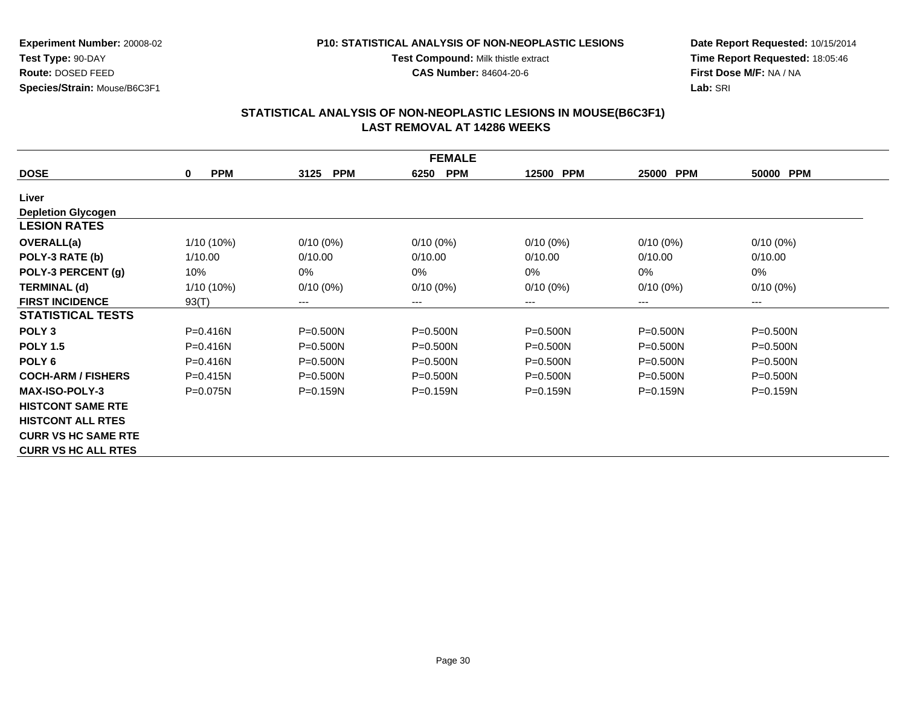#### **P10: STATISTICAL ANALYSIS OF NON-NEOPLASTIC LESIONS**

**Test Compound:** Milk thistle extract

**CAS Number:** 84604-20-6

**Date Report Requested:** 10/15/2014**Time Report Requested:** 18:05:46**First Dose M/F:** NA / NA**Lab:** SRI

|                            | <b>FEMALE</b>             |                            |                    |                     |                     |              |  |  |  |
|----------------------------|---------------------------|----------------------------|--------------------|---------------------|---------------------|--------------|--|--|--|
| <b>DOSE</b>                | <b>PPM</b><br>$\mathbf 0$ | <b>PPM</b><br>3125         | <b>PPM</b><br>6250 | <b>PPM</b><br>12500 | 25000<br><b>PPM</b> | 50000 PPM    |  |  |  |
| Liver                      |                           |                            |                    |                     |                     |              |  |  |  |
| <b>Depletion Glycogen</b>  |                           |                            |                    |                     |                     |              |  |  |  |
| <b>LESION RATES</b>        |                           |                            |                    |                     |                     |              |  |  |  |
| <b>OVERALL(a)</b>          | 1/10 (10%)                | $0/10(0\%)$                | $0/10(0\%)$        | $0/10(0\%)$         | $0/10(0\%)$         | $0/10(0\%)$  |  |  |  |
| POLY-3 RATE (b)            | 1/10.00                   | 0/10.00                    | 0/10.00            | 0/10.00             | 0/10.00             | 0/10.00      |  |  |  |
| POLY-3 PERCENT (g)         | 10%                       | $0\%$                      | $0\%$              | 0%                  | 0%                  | $0\%$        |  |  |  |
| <b>TERMINAL (d)</b>        | $1/10(10\%)$              | $0/10(0\%)$                | $0/10(0\%)$        | $0/10(0\%)$         | $0/10(0\%)$         | $0/10(0\%)$  |  |  |  |
| <b>FIRST INCIDENCE</b>     | 93(T)                     | $\qquad \qquad - \qquad -$ | $--$               | ---                 | ---                 | $---$        |  |  |  |
| <b>STATISTICAL TESTS</b>   |                           |                            |                    |                     |                     |              |  |  |  |
| POLY <sub>3</sub>          | $P = 0.416N$              | $P = 0.500N$               | $P = 0.500N$       | $P = 0.500N$        | $P = 0.500N$        | $P = 0.500N$ |  |  |  |
| <b>POLY 1.5</b>            | $P = 0.416N$              | $P = 0.500N$               | $P = 0.500N$       | $P = 0.500N$        | $P = 0.500N$        | $P = 0.500N$ |  |  |  |
| POLY <sub>6</sub>          | $P = 0.416N$              | $P = 0.500N$               | $P = 0.500N$       | $P = 0.500N$        | P=0.500N            | $P = 0.500N$ |  |  |  |
| <b>COCH-ARM / FISHERS</b>  | $P = 0.415N$              | $P = 0.500N$               | $P = 0.500N$       | $P = 0.500N$        | $P = 0.500N$        | $P = 0.500N$ |  |  |  |
| <b>MAX-ISO-POLY-3</b>      | $P = 0.075N$              | $P = 0.159N$               | $P = 0.159N$       | $P = 0.159N$        | $P = 0.159N$        | $P = 0.159N$ |  |  |  |
| <b>HISTCONT SAME RTE</b>   |                           |                            |                    |                     |                     |              |  |  |  |
| <b>HISTCONT ALL RTES</b>   |                           |                            |                    |                     |                     |              |  |  |  |
| <b>CURR VS HC SAME RTE</b> |                           |                            |                    |                     |                     |              |  |  |  |
| <b>CURR VS HC ALL RTES</b> |                           |                            |                    |                     |                     |              |  |  |  |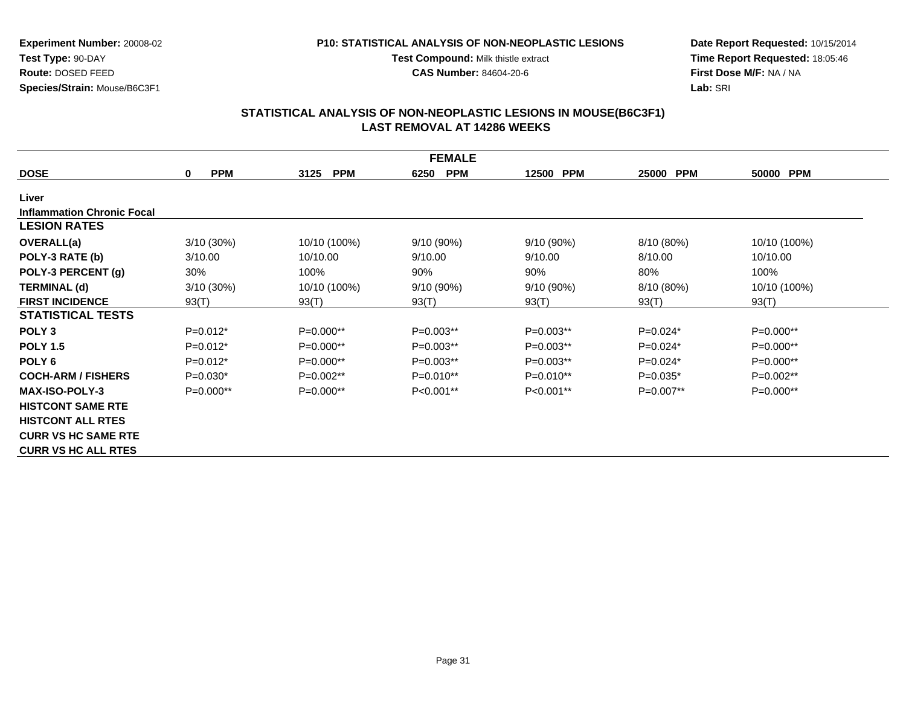#### **P10: STATISTICAL ANALYSIS OF NON-NEOPLASTIC LESIONS**

**Test Compound:** Milk thistle extract

**CAS Number:** 84604-20-6

**Date Report Requested:** 10/15/2014**Time Report Requested:** 18:05:46**First Dose M/F:** NA / NA**Lab:** SRI

|                                   | <b>FEMALE</b>   |                    |                    |             |                     |              |  |  |  |  |
|-----------------------------------|-----------------|--------------------|--------------------|-------------|---------------------|--------------|--|--|--|--|
| <b>DOSE</b>                       | <b>PPM</b><br>0 | <b>PPM</b><br>3125 | 6250<br><b>PPM</b> | 12500 PPM   | <b>PPM</b><br>25000 | 50000 PPM    |  |  |  |  |
| Liver                             |                 |                    |                    |             |                     |              |  |  |  |  |
| <b>Inflammation Chronic Focal</b> |                 |                    |                    |             |                     |              |  |  |  |  |
| <b>LESION RATES</b>               |                 |                    |                    |             |                     |              |  |  |  |  |
| <b>OVERALL(a)</b>                 | $3/10(30\%)$    | 10/10 (100%)       | 9/10 (90%)         | 9/10 (90%)  | 8/10 (80%)          | 10/10 (100%) |  |  |  |  |
| POLY-3 RATE (b)                   | 3/10.00         | 10/10.00           | 9/10.00            | 9/10.00     | 8/10.00             | 10/10.00     |  |  |  |  |
| POLY-3 PERCENT (g)                | 30%             | 100%               | 90%                | 90%         | 80%                 | 100%         |  |  |  |  |
| <b>TERMINAL (d)</b>               | $3/10(30\%)$    | 10/10 (100%)       | 9/10 (90%)         | 9/10 (90%)  | 8/10 (80%)          | 10/10 (100%) |  |  |  |  |
| <b>FIRST INCIDENCE</b>            | 93(T)           | 93(T)              | 93(T)              | 93(T)       | 93(T)               | 93(T)        |  |  |  |  |
| <b>STATISTICAL TESTS</b>          |                 |                    |                    |             |                     |              |  |  |  |  |
| POLY <sub>3</sub>                 | $P=0.012*$      | P=0.000**          | $P=0.003**$        | $P=0.003**$ | $P=0.024*$          | P=0.000**    |  |  |  |  |
| <b>POLY 1.5</b>                   | $P=0.012*$      | $P=0.000**$        | $P=0.003**$        | $P=0.003**$ | $P=0.024*$          | P=0.000**    |  |  |  |  |
| POLY <sub>6</sub>                 | $P=0.012*$      | $P=0.000**$        | $P=0.003**$        | $P=0.003**$ | $P=0.024*$          | $P=0.000**$  |  |  |  |  |
| <b>COCH-ARM / FISHERS</b>         | $P=0.030*$      | $P=0.002**$        | $P=0.010**$        | $P=0.010**$ | $P=0.035*$          | $P=0.002**$  |  |  |  |  |
| <b>MAX-ISO-POLY-3</b>             | $P=0.000**$     | $P=0.000**$        | $P<0.001**$        | $P<0.001**$ | $P=0.007**$         | $P=0.000**$  |  |  |  |  |
| <b>HISTCONT SAME RTE</b>          |                 |                    |                    |             |                     |              |  |  |  |  |
| <b>HISTCONT ALL RTES</b>          |                 |                    |                    |             |                     |              |  |  |  |  |
| <b>CURR VS HC SAME RTE</b>        |                 |                    |                    |             |                     |              |  |  |  |  |
| <b>CURR VS HC ALL RTES</b>        |                 |                    |                    |             |                     |              |  |  |  |  |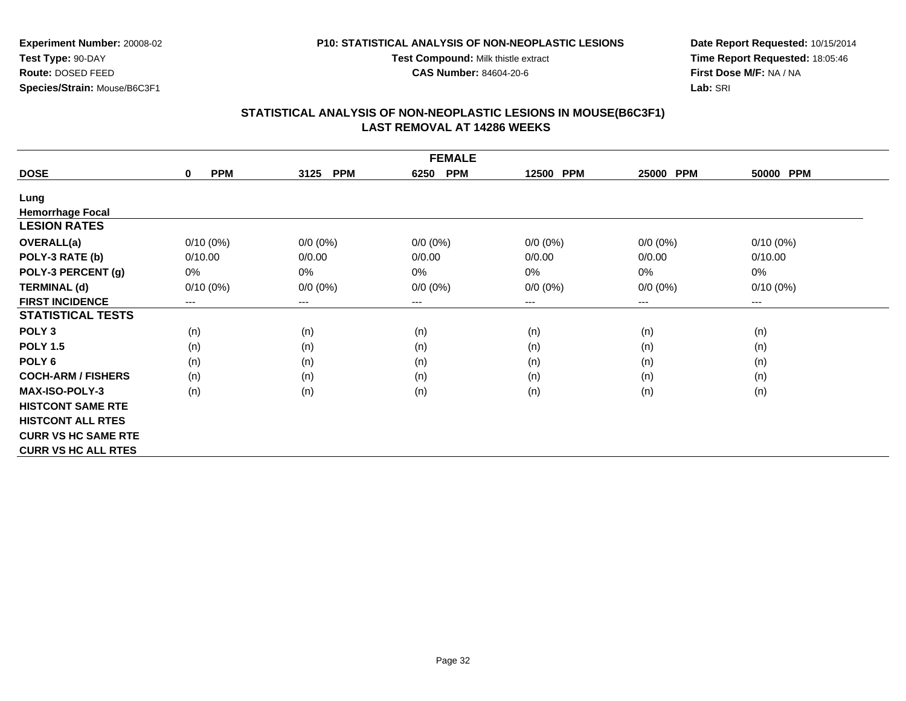#### **P10: STATISTICAL ANALYSIS OF NON-NEOPLASTIC LESIONS**

**Test Compound:** Milk thistle extract

**CAS Number:** 84604-20-6

**Date Report Requested:** 10/15/2014**Time Report Requested:** 18:05:46**First Dose M/F:** NA / NA**Lab:** SRI

| <b>FEMALE</b>              |                           |                    |                    |             |                        |                        |  |  |  |
|----------------------------|---------------------------|--------------------|--------------------|-------------|------------------------|------------------------|--|--|--|
| <b>DOSE</b>                | <b>PPM</b><br>$\mathbf 0$ | <b>PPM</b><br>3125 | <b>PPM</b><br>6250 | 12500 PPM   | <b>PPM</b><br>25000    | 50000 PPM              |  |  |  |
| Lung                       |                           |                    |                    |             |                        |                        |  |  |  |
| <b>Hemorrhage Focal</b>    |                           |                    |                    |             |                        |                        |  |  |  |
| <b>LESION RATES</b>        |                           |                    |                    |             |                        |                        |  |  |  |
| <b>OVERALL(a)</b>          | $0/10(0\%)$               | $0/0 (0\%)$        | $0/0 (0\%)$        | $0/0 (0\%)$ | $0/0 (0\%)$            | $0/10(0\%)$            |  |  |  |
| POLY-3 RATE (b)            | 0/10.00                   | 0/0.00             | 0/0.00             | 0/0.00      | 0/0.00                 | 0/10.00                |  |  |  |
| POLY-3 PERCENT (g)         | 0%                        | 0%                 | 0%                 | 0%          | 0%                     | 0%                     |  |  |  |
| <b>TERMINAL (d)</b>        | $0/10(0\%)$               | $0/0 (0\%)$        | $0/0 (0\%)$        | $0/0 (0\%)$ | $0/0 (0\%)$            | $0/10(0\%)$            |  |  |  |
| <b>FIRST INCIDENCE</b>     | $---$                     | ---                | $--$               | ---         | $\qquad \qquad \cdots$ | $\qquad \qquad \cdots$ |  |  |  |
| <b>STATISTICAL TESTS</b>   |                           |                    |                    |             |                        |                        |  |  |  |
| POLY <sub>3</sub>          | (n)                       | (n)                | (n)                | (n)         | (n)                    | (n)                    |  |  |  |
| <b>POLY 1.5</b>            | (n)                       | (n)                | (n)                | (n)         | (n)                    | (n)                    |  |  |  |
| POLY 6                     | (n)                       | (n)                | (n)                | (n)         | (n)                    | (n)                    |  |  |  |
| <b>COCH-ARM / FISHERS</b>  | (n)                       | (n)                | (n)                | (n)         | (n)                    | (n)                    |  |  |  |
| <b>MAX-ISO-POLY-3</b>      | (n)                       | (n)                | (n)                | (n)         | (n)                    | (n)                    |  |  |  |
| <b>HISTCONT SAME RTE</b>   |                           |                    |                    |             |                        |                        |  |  |  |
| <b>HISTCONT ALL RTES</b>   |                           |                    |                    |             |                        |                        |  |  |  |
| <b>CURR VS HC SAME RTE</b> |                           |                    |                    |             |                        |                        |  |  |  |
| <b>CURR VS HC ALL RTES</b> |                           |                    |                    |             |                        |                        |  |  |  |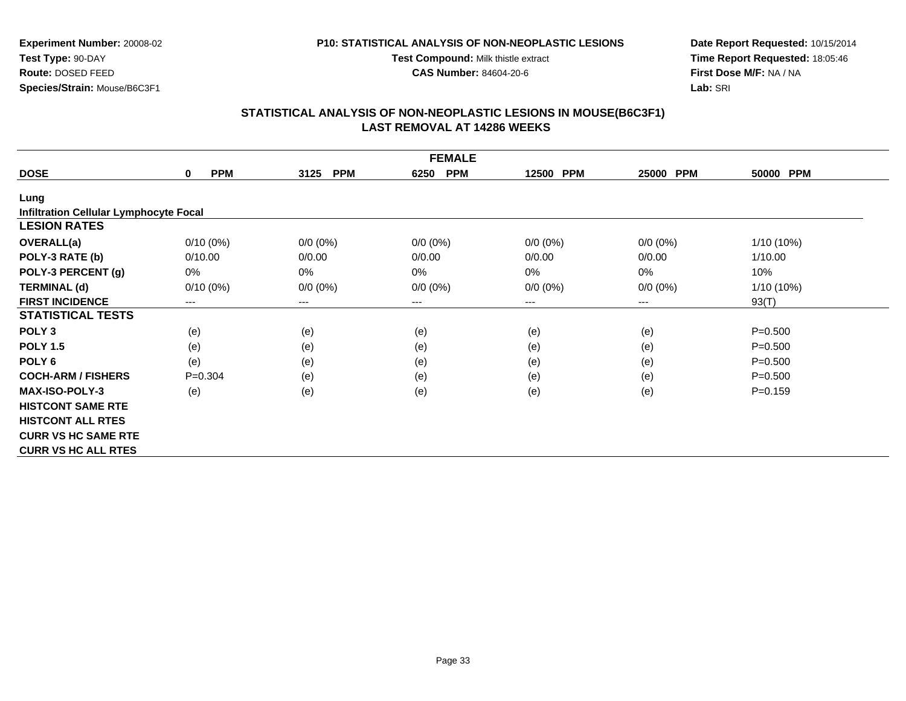#### **P10: STATISTICAL ANALYSIS OF NON-NEOPLASTIC LESIONS**

**Test Compound:** Milk thistle extract

**CAS Number:** 84604-20-6

**Date Report Requested:** 10/15/2014**Time Report Requested:** 18:05:46**First Dose M/F:** NA / NA**Lab:** SRI

| <b>FEMALE</b>                                 |                           |                    |                    |                     |             |             |  |  |  |
|-----------------------------------------------|---------------------------|--------------------|--------------------|---------------------|-------------|-------------|--|--|--|
| <b>DOSE</b>                                   | <b>PPM</b><br>$\mathbf 0$ | <b>PPM</b><br>3125 | <b>PPM</b><br>6250 | <b>PPM</b><br>12500 | 25000 PPM   | 50000 PPM   |  |  |  |
| Lung                                          |                           |                    |                    |                     |             |             |  |  |  |
| <b>Infiltration Cellular Lymphocyte Focal</b> |                           |                    |                    |                     |             |             |  |  |  |
| <b>LESION RATES</b>                           |                           |                    |                    |                     |             |             |  |  |  |
| <b>OVERALL(a)</b>                             | $0/10(0\%)$               | $0/0 (0\%)$        | $0/0 (0\%)$        | $0/0 (0\%)$         | $0/0 (0\%)$ | 1/10 (10%)  |  |  |  |
| POLY-3 RATE (b)                               | 0/10.00                   | 0/0.00             | 0/0.00             | 0/0.00              | 0/0.00      | 1/10.00     |  |  |  |
| POLY-3 PERCENT (g)                            | 0%                        | 0%                 | 0%                 | 0%                  | $0\%$       | 10%         |  |  |  |
| <b>TERMINAL (d)</b>                           | $0/10(0\%)$               | $0/0 (0\%)$        | $0/0 (0\%)$        | $0/0 (0\%)$         | $0/0 (0\%)$ | 1/10 (10%)  |  |  |  |
| <b>FIRST INCIDENCE</b>                        | $--$                      | $---$              | ---                | ---                 | ---         | 93(T)       |  |  |  |
| <b>STATISTICAL TESTS</b>                      |                           |                    |                    |                     |             |             |  |  |  |
| POLY <sub>3</sub>                             | (e)                       | (e)                | (e)                | (e)                 | (e)         | $P = 0.500$ |  |  |  |
| <b>POLY 1.5</b>                               | (e)                       | (e)                | (e)                | (e)                 | (e)         | $P = 0.500$ |  |  |  |
| POLY <sub>6</sub>                             | (e)                       | (e)                | (e)                | (e)                 | (e)         | $P = 0.500$ |  |  |  |
| <b>COCH-ARM / FISHERS</b>                     | $P=0.304$                 | (e)                | (e)                | (e)                 | (e)         | $P = 0.500$ |  |  |  |
| <b>MAX-ISO-POLY-3</b>                         | (e)                       | (e)                | (e)                | (e)                 | (e)         | $P = 0.159$ |  |  |  |
| <b>HISTCONT SAME RTE</b>                      |                           |                    |                    |                     |             |             |  |  |  |
| <b>HISTCONT ALL RTES</b>                      |                           |                    |                    |                     |             |             |  |  |  |
| <b>CURR VS HC SAME RTE</b>                    |                           |                    |                    |                     |             |             |  |  |  |
| <b>CURR VS HC ALL RTES</b>                    |                           |                    |                    |                     |             |             |  |  |  |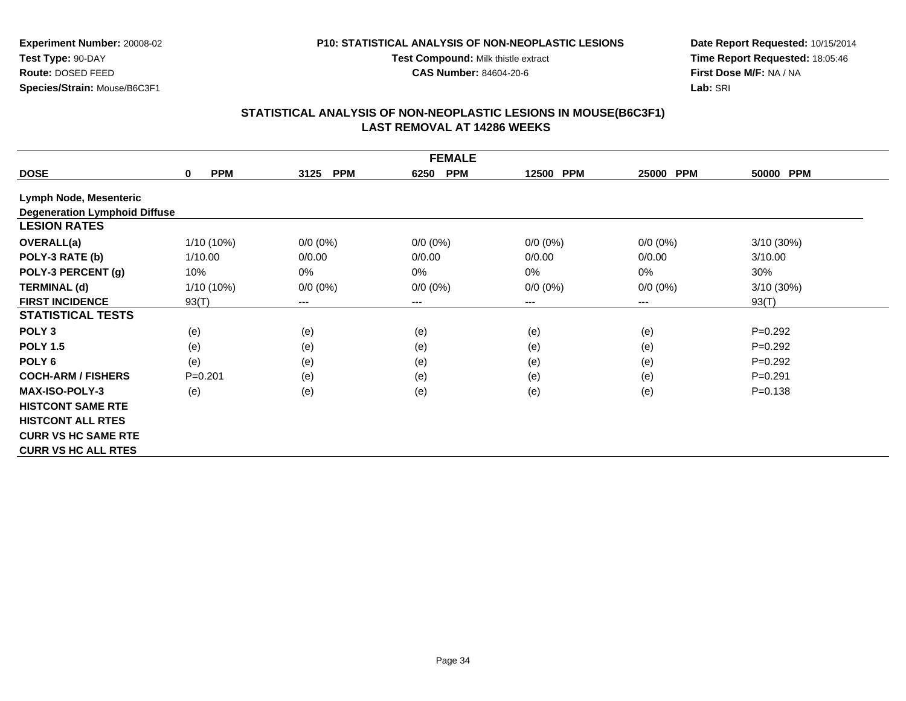#### **P10: STATISTICAL ANALYSIS OF NON-NEOPLASTIC LESIONS**

**Test Compound:** Milk thistle extract

**CAS Number:** 84604-20-6

**Date Report Requested:** 10/15/2014**Time Report Requested:** 18:05:46**First Dose M/F:** NA / NA**Lab:** SRI

|                                      | <b>FEMALE</b>             |                            |                    |             |                     |             |  |  |  |
|--------------------------------------|---------------------------|----------------------------|--------------------|-------------|---------------------|-------------|--|--|--|
| <b>DOSE</b>                          | <b>PPM</b><br>$\mathbf 0$ | 3125<br><b>PPM</b>         | <b>PPM</b><br>6250 | 12500 PPM   | <b>PPM</b><br>25000 | 50000 PPM   |  |  |  |
| Lymph Node, Mesenteric               |                           |                            |                    |             |                     |             |  |  |  |
| <b>Degeneration Lymphoid Diffuse</b> |                           |                            |                    |             |                     |             |  |  |  |
| <b>LESION RATES</b>                  |                           |                            |                    |             |                     |             |  |  |  |
| <b>OVERALL(a)</b>                    | 1/10 (10%)                | $0/0 (0\%)$                | $0/0 (0\%)$        | $0/0 (0\%)$ | $0/0 (0\%)$         | 3/10(30%)   |  |  |  |
| POLY-3 RATE (b)                      | 1/10.00                   | 0/0.00                     | 0/0.00             | 0/0.00      | 0/0.00              | 3/10.00     |  |  |  |
| POLY-3 PERCENT (g)                   | 10%                       | $0\%$                      | $0\%$              | 0%          | 0%                  | 30%         |  |  |  |
| <b>TERMINAL (d)</b>                  | 1/10 (10%)                | $0/0 (0\%)$                | $0/0 (0\%)$        | $0/0 (0\%)$ | $0/0 (0\%)$         | 3/10 (30%)  |  |  |  |
| <b>FIRST INCIDENCE</b>               | 93(T)                     | $\qquad \qquad - \qquad -$ | $---$              | ---         | ---                 | 93(T)       |  |  |  |
| <b>STATISTICAL TESTS</b>             |                           |                            |                    |             |                     |             |  |  |  |
| POLY <sub>3</sub>                    | (e)                       | (e)                        | (e)                | (e)         | (e)                 | $P=0.292$   |  |  |  |
| <b>POLY 1.5</b>                      | (e)                       | (e)                        | (e)                | (e)         | (e)                 | $P=0.292$   |  |  |  |
| POLY <sub>6</sub>                    | (e)                       | (e)                        | (e)                | (e)         | (e)                 | $P=0.292$   |  |  |  |
| <b>COCH-ARM / FISHERS</b>            | $P = 0.201$               | (e)                        | (e)                | (e)         | (e)                 | $P = 0.291$ |  |  |  |
| <b>MAX-ISO-POLY-3</b>                | (e)                       | (e)                        | (e)                | (e)         | (e)                 | $P = 0.138$ |  |  |  |
| <b>HISTCONT SAME RTE</b>             |                           |                            |                    |             |                     |             |  |  |  |
| <b>HISTCONT ALL RTES</b>             |                           |                            |                    |             |                     |             |  |  |  |
| <b>CURR VS HC SAME RTE</b>           |                           |                            |                    |             |                     |             |  |  |  |
| <b>CURR VS HC ALL RTES</b>           |                           |                            |                    |             |                     |             |  |  |  |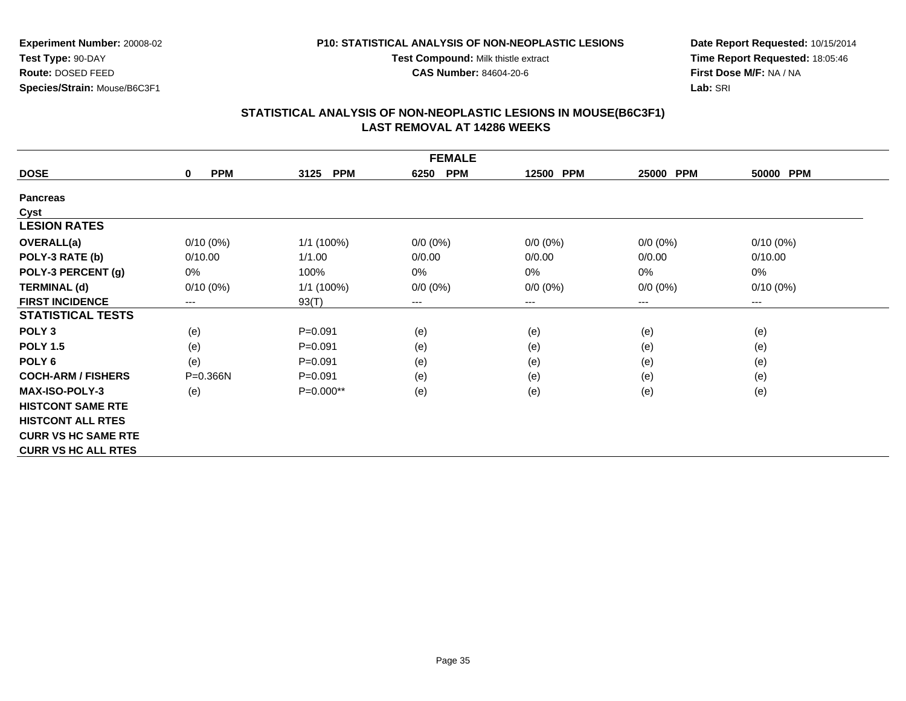#### **P10: STATISTICAL ANALYSIS OF NON-NEOPLASTIC LESIONS**

**Test Compound:** Milk thistle extract

**CAS Number:** 84604-20-6

**Date Report Requested:** 10/15/2014**Time Report Requested:** 18:05:46**First Dose M/F:** NA / NA**Lab:** SRI

|                            | <b>FEMALE</b>             |                    |                    |             |             |             |  |  |  |
|----------------------------|---------------------------|--------------------|--------------------|-------------|-------------|-------------|--|--|--|
| <b>DOSE</b>                | <b>PPM</b><br>$\mathbf 0$ | 3125<br><b>PPM</b> | <b>PPM</b><br>6250 | 12500 PPM   | 25000 PPM   | 50000 PPM   |  |  |  |
| <b>Pancreas</b>            |                           |                    |                    |             |             |             |  |  |  |
| Cyst                       |                           |                    |                    |             |             |             |  |  |  |
| <b>LESION RATES</b>        |                           |                    |                    |             |             |             |  |  |  |
| <b>OVERALL(a)</b>          | $0/10(0\%)$               | 1/1 (100%)         | $0/0 (0\%)$        | $0/0 (0\%)$ | $0/0 (0\%)$ | $0/10(0\%)$ |  |  |  |
| POLY-3 RATE (b)            | 0/10.00                   | 1/1.00             | 0/0.00             | 0/0.00      | 0/0.00      | 0/10.00     |  |  |  |
| POLY-3 PERCENT (g)         | 0%                        | 100%               | 0%                 | 0%          | 0%          | 0%          |  |  |  |
| <b>TERMINAL (d)</b>        | $0/10(0\%)$               | $1/1$ (100%)       | $0/0 (0\%)$        | $0/0 (0\%)$ | $0/0 (0\%)$ | $0/10(0\%)$ |  |  |  |
| <b>FIRST INCIDENCE</b>     | $---$                     | 93(T)              | $---$              | $--$        | ---         | ---         |  |  |  |
| <b>STATISTICAL TESTS</b>   |                           |                    |                    |             |             |             |  |  |  |
| POLY <sub>3</sub>          | (e)                       | $P = 0.091$        | (e)                | (e)         | (e)         | (e)         |  |  |  |
| <b>POLY 1.5</b>            | (e)                       | $P = 0.091$        | (e)                | (e)         | (e)         | (e)         |  |  |  |
| POLY <sub>6</sub>          | (e)                       | $P = 0.091$        | (e)                | (e)         | (e)         | (e)         |  |  |  |
| <b>COCH-ARM / FISHERS</b>  | $P = 0.366N$              | $P = 0.091$        | (e)                | (e)         | (e)         | (e)         |  |  |  |
| <b>MAX-ISO-POLY-3</b>      | (e)                       | P=0.000**          | (e)                | (e)         | (e)         | (e)         |  |  |  |
| <b>HISTCONT SAME RTE</b>   |                           |                    |                    |             |             |             |  |  |  |
| <b>HISTCONT ALL RTES</b>   |                           |                    |                    |             |             |             |  |  |  |
| <b>CURR VS HC SAME RTE</b> |                           |                    |                    |             |             |             |  |  |  |
| <b>CURR VS HC ALL RTES</b> |                           |                    |                    |             |             |             |  |  |  |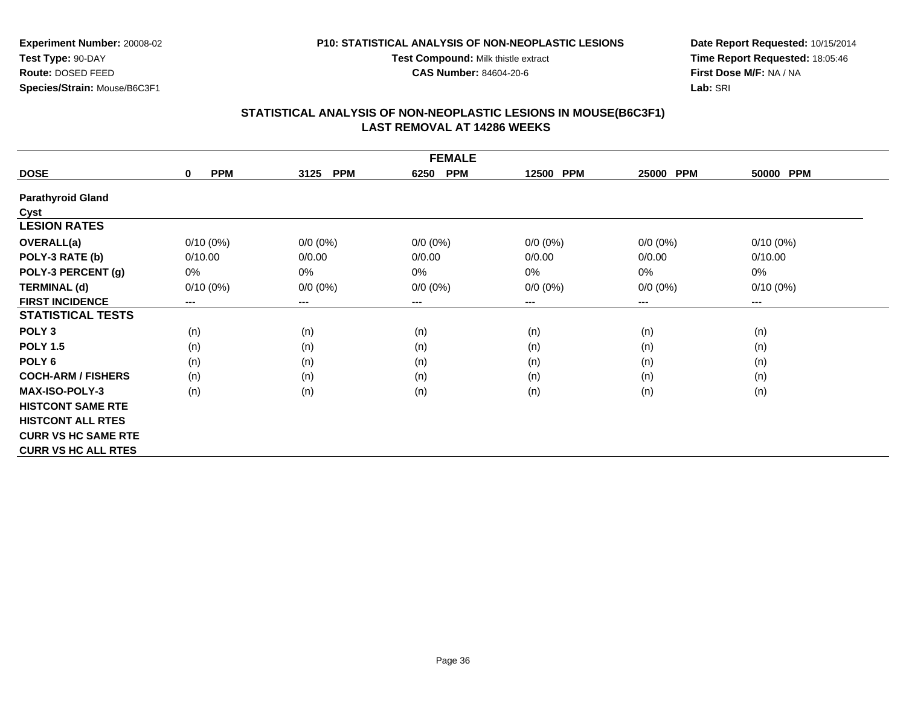#### **P10: STATISTICAL ANALYSIS OF NON-NEOPLASTIC LESIONS**

**Test Compound:** Milk thistle extract

**CAS Number:** 84604-20-6

**Date Report Requested:** 10/15/2014**Time Report Requested:** 18:05:46**First Dose M/F:** NA / NA**Lab:** SRI

|                            | <b>FEMALE</b>             |                        |                            |             |                     |             |  |  |  |
|----------------------------|---------------------------|------------------------|----------------------------|-------------|---------------------|-------------|--|--|--|
| <b>DOSE</b>                | <b>PPM</b><br>$\mathbf 0$ | <b>PPM</b><br>3125     | <b>PPM</b><br>6250         | 12500 PPM   | <b>PPM</b><br>25000 | 50000 PPM   |  |  |  |
| <b>Parathyroid Gland</b>   |                           |                        |                            |             |                     |             |  |  |  |
| Cyst                       |                           |                        |                            |             |                     |             |  |  |  |
| <b>LESION RATES</b>        |                           |                        |                            |             |                     |             |  |  |  |
| OVERALL(a)                 | $0/10(0\%)$               | $0/0 (0\%)$            | $0/0 (0\%)$                | $0/0 (0\%)$ | $0/0 (0\%)$         | $0/10(0\%)$ |  |  |  |
| POLY-3 RATE (b)            | 0/10.00                   | 0/0.00                 | 0/0.00                     | 0/0.00      | 0/0.00              | 0/10.00     |  |  |  |
| POLY-3 PERCENT (g)         | 0%                        | $0\%$                  | 0%                         | 0%          | 0%                  | 0%          |  |  |  |
| <b>TERMINAL (d)</b>        | $0/10(0\%)$               | $0/0 (0\%)$            | $0/0 (0\%)$                | $0/0 (0\%)$ | $0/0 (0\%)$         | $0/10(0\%)$ |  |  |  |
| <b>FIRST INCIDENCE</b>     | ---                       | $\qquad \qquad \cdots$ | $\qquad \qquad - \qquad -$ | $--$        | ---                 | ---         |  |  |  |
| <b>STATISTICAL TESTS</b>   |                           |                        |                            |             |                     |             |  |  |  |
| POLY <sub>3</sub>          | (n)                       | (n)                    | (n)                        | (n)         | (n)                 | (n)         |  |  |  |
| <b>POLY 1.5</b>            | (n)                       | (n)                    | (n)                        | (n)         | (n)                 | (n)         |  |  |  |
| POLY <sub>6</sub>          | (n)                       | (n)                    | (n)                        | (n)         | (n)                 | (n)         |  |  |  |
| <b>COCH-ARM / FISHERS</b>  | (n)                       | (n)                    | (n)                        | (n)         | (n)                 | (n)         |  |  |  |
| <b>MAX-ISO-POLY-3</b>      | (n)                       | (n)                    | (n)                        | (n)         | (n)                 | (n)         |  |  |  |
| <b>HISTCONT SAME RTE</b>   |                           |                        |                            |             |                     |             |  |  |  |
| <b>HISTCONT ALL RTES</b>   |                           |                        |                            |             |                     |             |  |  |  |
| <b>CURR VS HC SAME RTE</b> |                           |                        |                            |             |                     |             |  |  |  |
| <b>CURR VS HC ALL RTES</b> |                           |                        |                            |             |                     |             |  |  |  |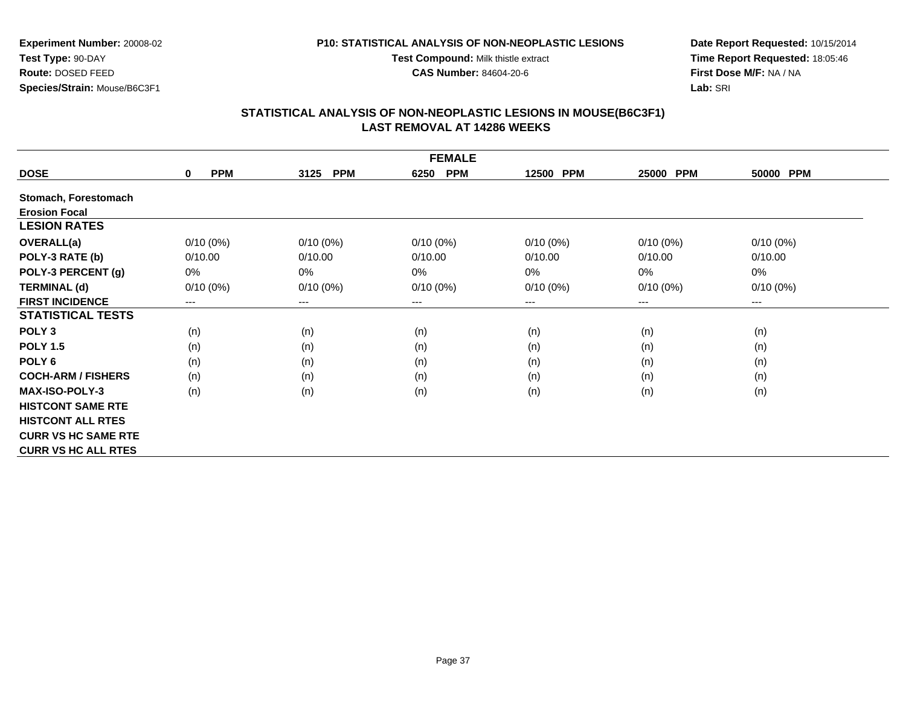#### **P10: STATISTICAL ANALYSIS OF NON-NEOPLASTIC LESIONS**

**Test Compound:** Milk thistle extract

**CAS Number:** 84604-20-6

**Date Report Requested:** 10/15/2014**Time Report Requested:** 18:05:46**First Dose M/F:** NA / NA**Lab:** SRI

| <b>FEMALE</b>              |                        |                        |                    |             |                     |                        |  |  |
|----------------------------|------------------------|------------------------|--------------------|-------------|---------------------|------------------------|--|--|
| <b>DOSE</b>                | <b>PPM</b><br>$\bf{0}$ | <b>PPM</b><br>3125     | <b>PPM</b><br>6250 | 12500 PPM   | <b>PPM</b><br>25000 | 50000 PPM              |  |  |
| Stomach, Forestomach       |                        |                        |                    |             |                     |                        |  |  |
| <b>Erosion Focal</b>       |                        |                        |                    |             |                     |                        |  |  |
| <b>LESION RATES</b>        |                        |                        |                    |             |                     |                        |  |  |
| <b>OVERALL(a)</b>          | $0/10(0\%)$            | $0/10(0\%)$            | $0/10(0\%)$        | $0/10(0\%)$ | $0/10(0\%)$         | $0/10(0\%)$            |  |  |
| POLY-3 RATE (b)            | 0/10.00                | 0/10.00                | 0/10.00            | 0/10.00     | 0/10.00             | 0/10.00                |  |  |
| POLY-3 PERCENT (g)         | 0%                     | $0\%$                  | $0\%$              | 0%          | 0%                  | $0\%$                  |  |  |
| <b>TERMINAL (d)</b>        | $0/10(0\%)$            | $0/10(0\%)$            | $0/10(0\%)$        | $0/10(0\%)$ | $0/10(0\%)$         | $0/10(0\%)$            |  |  |
| <b>FIRST INCIDENCE</b>     | ---                    | $\qquad \qquad \cdots$ | $--$               | ---         | ---                 | $\qquad \qquad \cdots$ |  |  |
| <b>STATISTICAL TESTS</b>   |                        |                        |                    |             |                     |                        |  |  |
| POLY <sub>3</sub>          | (n)                    | (n)                    | (n)                | (n)         | (n)                 | (n)                    |  |  |
| <b>POLY 1.5</b>            | (n)                    | (n)                    | (n)                | (n)         | (n)                 | (n)                    |  |  |
| POLY <sub>6</sub>          | (n)                    | (n)                    | (n)                | (n)         | (n)                 | (n)                    |  |  |
| <b>COCH-ARM / FISHERS</b>  | (n)                    | (n)                    | (n)                | (n)         | (n)                 | (n)                    |  |  |
| <b>MAX-ISO-POLY-3</b>      | (n)                    | (n)                    | (n)                | (n)         | (n)                 | (n)                    |  |  |
| <b>HISTCONT SAME RTE</b>   |                        |                        |                    |             |                     |                        |  |  |
| <b>HISTCONT ALL RTES</b>   |                        |                        |                    |             |                     |                        |  |  |
| <b>CURR VS HC SAME RTE</b> |                        |                        |                    |             |                     |                        |  |  |
| <b>CURR VS HC ALL RTES</b> |                        |                        |                    |             |                     |                        |  |  |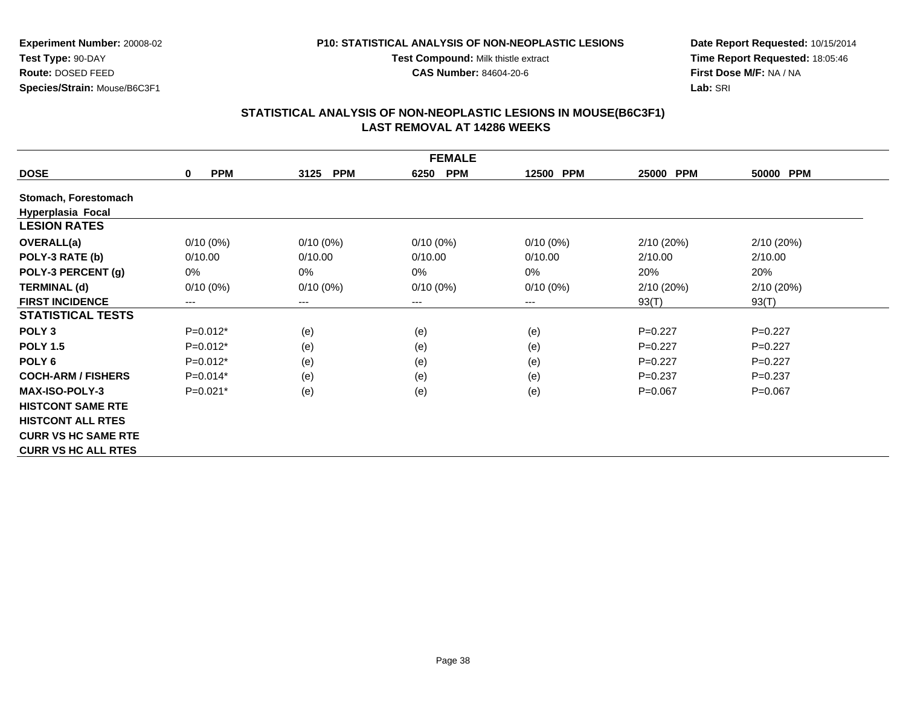#### **P10: STATISTICAL ANALYSIS OF NON-NEOPLASTIC LESIONS**

**Test Compound:** Milk thistle extract

**CAS Number:** 84604-20-6

**Date Report Requested:** 10/15/2014**Time Report Requested:** 18:05:46**First Dose M/F:** NA / NA**Lab:** SRI

| <b>FEMALE</b>              |                        |                    |                    |             |                     |             |
|----------------------------|------------------------|--------------------|--------------------|-------------|---------------------|-------------|
| <b>DOSE</b>                | <b>PPM</b><br>$\bf{0}$ | <b>PPM</b><br>3125 | <b>PPM</b><br>6250 | 12500 PPM   | <b>PPM</b><br>25000 | 50000 PPM   |
| Stomach, Forestomach       |                        |                    |                    |             |                     |             |
| Hyperplasia Focal          |                        |                    |                    |             |                     |             |
| <b>LESION RATES</b>        |                        |                    |                    |             |                     |             |
| <b>OVERALL(a)</b>          | $0/10(0\%)$            | $0/10(0\%)$        | $0/10(0\%)$        | $0/10(0\%)$ | 2/10(20%)           | 2/10(20%)   |
| POLY-3 RATE (b)            | 0/10.00                | 0/10.00            | 0/10.00            | 0/10.00     | 2/10.00             | 2/10.00     |
| POLY-3 PERCENT (g)         | 0%                     | 0%                 | 0%                 | 0%          | 20%                 | 20%         |
| <b>TERMINAL (d)</b>        | $0/10(0\%)$            | $0/10(0\%)$        | $0/10(0\%)$        | $0/10(0\%)$ | 2/10(20%)           | 2/10(20%)   |
| <b>FIRST INCIDENCE</b>     | $---$                  | ---                | $---$              | ---         | 93(T)               | 93(T)       |
| <b>STATISTICAL TESTS</b>   |                        |                    |                    |             |                     |             |
| POLY <sub>3</sub>          | $P=0.012*$             | (e)                | (e)                | (e)         | $P=0.227$           | $P=0.227$   |
| <b>POLY 1.5</b>            | $P=0.012*$             | (e)                | (e)                | (e)         | $P=0.227$           | $P=0.227$   |
| POLY <sub>6</sub>          | $P=0.012*$             | (e)                | (e)                | (e)         | $P=0.227$           | $P=0.227$   |
| <b>COCH-ARM / FISHERS</b>  | $P=0.014*$             | (e)                | (e)                | (e)         | $P=0.237$           | $P=0.237$   |
| <b>MAX-ISO-POLY-3</b>      | $P=0.021*$             | (e)                | (e)                | (e)         | $P=0.067$           | $P = 0.067$ |
| <b>HISTCONT SAME RTE</b>   |                        |                    |                    |             |                     |             |
| <b>HISTCONT ALL RTES</b>   |                        |                    |                    |             |                     |             |
| <b>CURR VS HC SAME RTE</b> |                        |                    |                    |             |                     |             |
| <b>CURR VS HC ALL RTES</b> |                        |                    |                    |             |                     |             |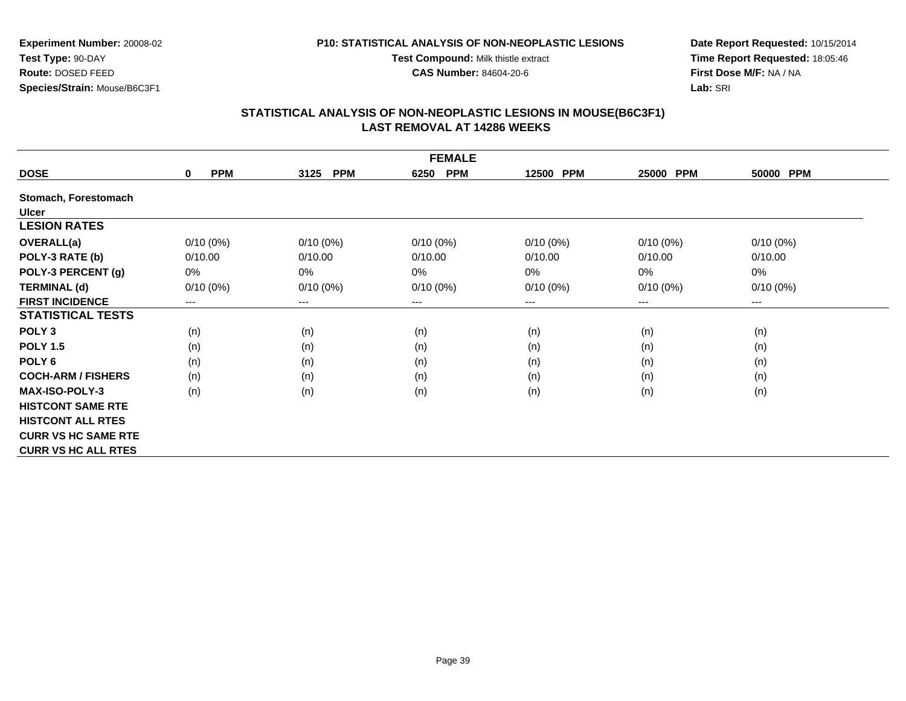#### **P10: STATISTICAL ANALYSIS OF NON-NEOPLASTIC LESIONS**

**Test Compound:** Milk thistle extract

**CAS Number:** 84604-20-6

**Date Report Requested:** 10/15/2014**Time Report Requested:** 18:05:46**First Dose M/F:** NA / NA**Lab:** SRI

| <b>FEMALE</b>              |                        |                        |                    |             |                     |                        |
|----------------------------|------------------------|------------------------|--------------------|-------------|---------------------|------------------------|
| <b>DOSE</b>                | <b>PPM</b><br>$\bf{0}$ | <b>PPM</b><br>3125     | <b>PPM</b><br>6250 | 12500 PPM   | 25000<br><b>PPM</b> | 50000 PPM              |
| Stomach, Forestomach       |                        |                        |                    |             |                     |                        |
| <b>Ulcer</b>               |                        |                        |                    |             |                     |                        |
| <b>LESION RATES</b>        |                        |                        |                    |             |                     |                        |
| <b>OVERALL(a)</b>          | $0/10(0\%)$            | $0/10(0\%)$            | $0/10(0\%)$        | $0/10(0\%)$ | $0/10(0\%)$         | $0/10(0\%)$            |
| POLY-3 RATE (b)            | 0/10.00                | 0/10.00                | 0/10.00            | 0/10.00     | 0/10.00             | 0/10.00                |
| POLY-3 PERCENT (g)         | 0%                     | $0\%$                  | $0\%$              | 0%          | 0%                  | $0\%$                  |
| <b>TERMINAL (d)</b>        | $0/10(0\%)$            | $0/10(0\%)$            | $0/10(0\%)$        | $0/10(0\%)$ | $0/10(0\%)$         | $0/10(0\%)$            |
| <b>FIRST INCIDENCE</b>     | ---                    | $\qquad \qquad \cdots$ | $--$               | ---         | ---                 | $\qquad \qquad \cdots$ |
| <b>STATISTICAL TESTS</b>   |                        |                        |                    |             |                     |                        |
| POLY <sub>3</sub>          | (n)                    | (n)                    | (n)                | (n)         | (n)                 | (n)                    |
| <b>POLY 1.5</b>            | (n)                    | (n)                    | (n)                | (n)         | (n)                 | (n)                    |
| POLY <sub>6</sub>          | (n)                    | (n)                    | (n)                | (n)         | (n)                 | (n)                    |
| <b>COCH-ARM / FISHERS</b>  | (n)                    | (n)                    | (n)                | (n)         | (n)                 | (n)                    |
| <b>MAX-ISO-POLY-3</b>      | (n)                    | (n)                    | (n)                | (n)         | (n)                 | (n)                    |
| <b>HISTCONT SAME RTE</b>   |                        |                        |                    |             |                     |                        |
| <b>HISTCONT ALL RTES</b>   |                        |                        |                    |             |                     |                        |
| <b>CURR VS HC SAME RTE</b> |                        |                        |                    |             |                     |                        |
| <b>CURR VS HC ALL RTES</b> |                        |                        |                    |             |                     |                        |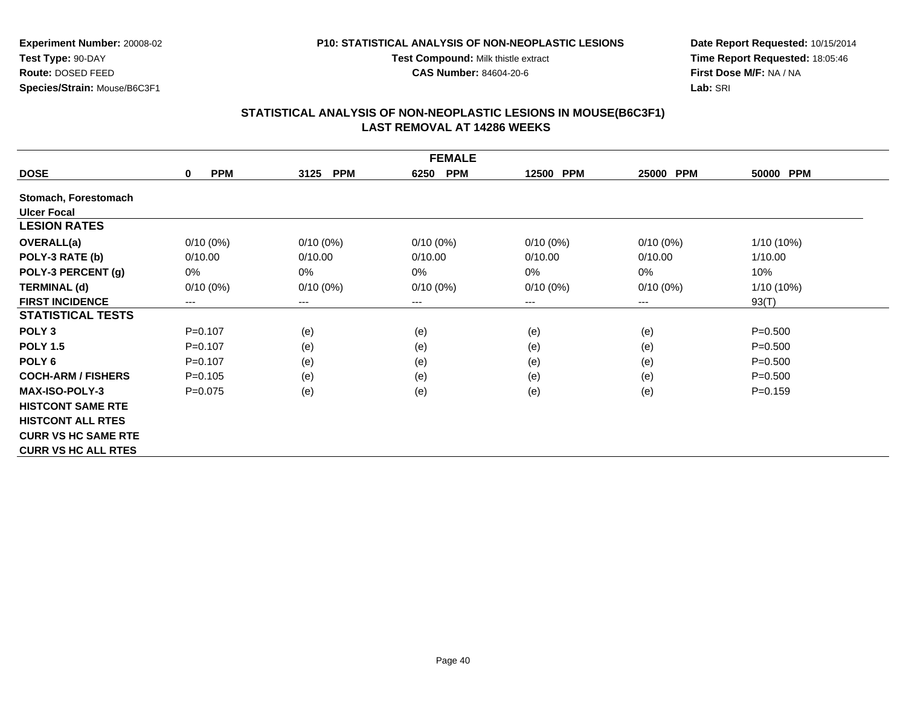#### **P10: STATISTICAL ANALYSIS OF NON-NEOPLASTIC LESIONS**

**Test Compound:** Milk thistle extract

**CAS Number:** 84604-20-6

**Date Report Requested:** 10/15/2014**Time Report Requested:** 18:05:46**First Dose M/F:** NA / NA**Lab:** SRI

| <b>FEMALE</b>              |                           |                            |                    |             |                     |             |
|----------------------------|---------------------------|----------------------------|--------------------|-------------|---------------------|-------------|
| <b>DOSE</b>                | <b>PPM</b><br>$\mathbf 0$ | 3125<br><b>PPM</b>         | <b>PPM</b><br>6250 | 12500 PPM   | <b>PPM</b><br>25000 | 50000 PPM   |
| Stomach, Forestomach       |                           |                            |                    |             |                     |             |
| <b>Ulcer Focal</b>         |                           |                            |                    |             |                     |             |
| <b>LESION RATES</b>        |                           |                            |                    |             |                     |             |
| <b>OVERALL(a)</b>          | $0/10(0\%)$               | $0/10(0\%)$                | $0/10(0\%)$        | $0/10(0\%)$ | $0/10(0\%)$         | 1/10 (10%)  |
| POLY-3 RATE (b)            | 0/10.00                   | 0/10.00                    | 0/10.00            | 0/10.00     | 0/10.00             | 1/10.00     |
| POLY-3 PERCENT (g)         | 0%                        | $0\%$                      | $0\%$              | 0%          | 0%                  | 10%         |
| <b>TERMINAL (d)</b>        | $0/10(0\%)$               | $0/10(0\%)$                | $0/10(0\%)$        | $0/10(0\%)$ | $0/10(0\%)$         | 1/10 (10%)  |
| <b>FIRST INCIDENCE</b>     | ---                       | $\qquad \qquad - \qquad -$ | $---$              | ---         | $--$                | 93(T)       |
| <b>STATISTICAL TESTS</b>   |                           |                            |                    |             |                     |             |
| POLY <sub>3</sub>          | $P = 0.107$               | (e)                        | (e)                | (e)         | (e)                 | $P = 0.500$ |
| <b>POLY 1.5</b>            | $P=0.107$                 | (e)                        | (e)                | (e)         | (e)                 | $P = 0.500$ |
| POLY <sub>6</sub>          | $P = 0.107$               | (e)                        | (e)                | (e)         | (e)                 | $P = 0.500$ |
| <b>COCH-ARM / FISHERS</b>  | $P=0.105$                 | (e)                        | (e)                | (e)         | (e)                 | $P = 0.500$ |
| <b>MAX-ISO-POLY-3</b>      | $P = 0.075$               | (e)                        | (e)                | (e)         | (e)                 | $P = 0.159$ |
| <b>HISTCONT SAME RTE</b>   |                           |                            |                    |             |                     |             |
| <b>HISTCONT ALL RTES</b>   |                           |                            |                    |             |                     |             |
| <b>CURR VS HC SAME RTE</b> |                           |                            |                    |             |                     |             |
| <b>CURR VS HC ALL RTES</b> |                           |                            |                    |             |                     |             |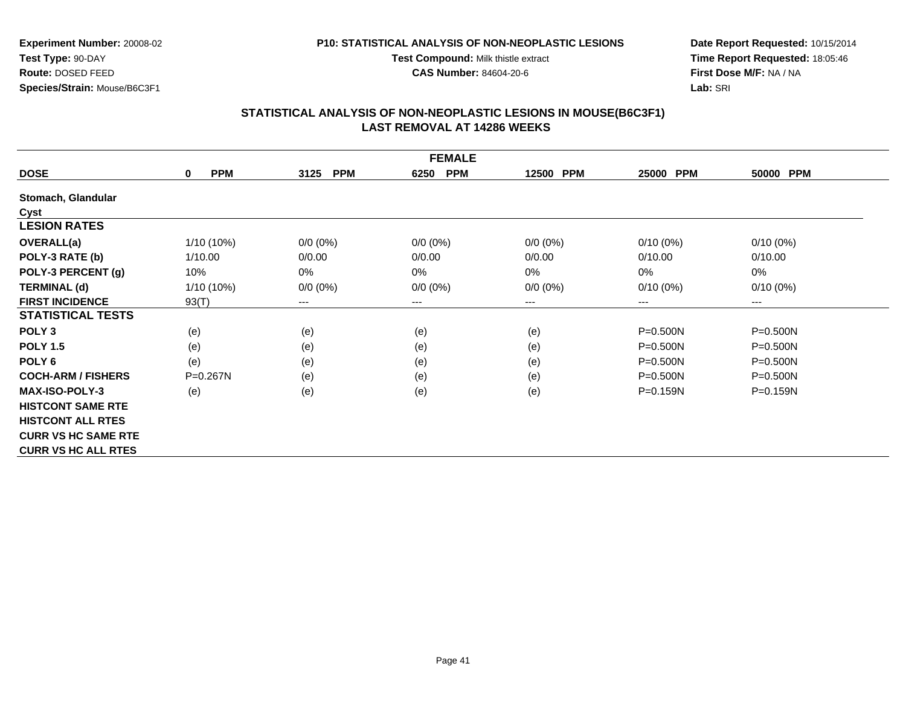#### **P10: STATISTICAL ANALYSIS OF NON-NEOPLASTIC LESIONS**

**Test Compound:** Milk thistle extract

**CAS Number:** 84604-20-6

**Date Report Requested:** 10/15/2014**Time Report Requested:** 18:05:46**First Dose M/F:** NA / NA**Lab:** SRI

| <b>FEMALE</b>              |                           |                    |                    |             |                     |              |
|----------------------------|---------------------------|--------------------|--------------------|-------------|---------------------|--------------|
| <b>DOSE</b>                | <b>PPM</b><br>$\mathbf 0$ | 3125<br><b>PPM</b> | <b>PPM</b><br>6250 | 12500 PPM   | <b>PPM</b><br>25000 | 50000 PPM    |
| Stomach, Glandular         |                           |                    |                    |             |                     |              |
| Cyst                       |                           |                    |                    |             |                     |              |
| <b>LESION RATES</b>        |                           |                    |                    |             |                     |              |
| <b>OVERALL(a)</b>          | 1/10 (10%)                | $0/0 (0\%)$        | $0/0 (0\%)$        | $0/0 (0\%)$ | $0/10(0\%)$         | $0/10(0\%)$  |
| POLY-3 RATE (b)            | 1/10.00                   | 0/0.00             | 0/0.00             | 0/0.00      | 0/10.00             | 0/10.00      |
| POLY-3 PERCENT (g)         | 10%                       | 0%                 | 0%                 | 0%          | 0%                  | $0\%$        |
| <b>TERMINAL (d)</b>        | 1/10 (10%)                | $0/0 (0\%)$        | $0/0 (0\%)$        | $0/0 (0\%)$ | $0/10(0\%)$         | $0/10(0\%)$  |
| <b>FIRST INCIDENCE</b>     | 93(T)                     | ---                | $---$              | ---         | ---                 | ---          |
| <b>STATISTICAL TESTS</b>   |                           |                    |                    |             |                     |              |
| POLY <sub>3</sub>          | (e)                       | (e)                | (e)                | (e)         | P=0.500N            | $P = 0.500N$ |
| <b>POLY 1.5</b>            | (e)                       | (e)                | (e)                | (e)         | P=0.500N            | $P = 0.500N$ |
| POLY <sub>6</sub>          | (e)                       | (e)                | (e)                | (e)         | $P = 0.500N$        | $P = 0.500N$ |
| <b>COCH-ARM / FISHERS</b>  | $P = 0.267N$              | (e)                | (e)                | (e)         | $P = 0.500N$        | $P = 0.500N$ |
| <b>MAX-ISO-POLY-3</b>      | (e)                       | (e)                | (e)                | (e)         | P=0.159N            | $P = 0.159N$ |
| <b>HISTCONT SAME RTE</b>   |                           |                    |                    |             |                     |              |
| <b>HISTCONT ALL RTES</b>   |                           |                    |                    |             |                     |              |
| <b>CURR VS HC SAME RTE</b> |                           |                    |                    |             |                     |              |
| <b>CURR VS HC ALL RTES</b> |                           |                    |                    |             |                     |              |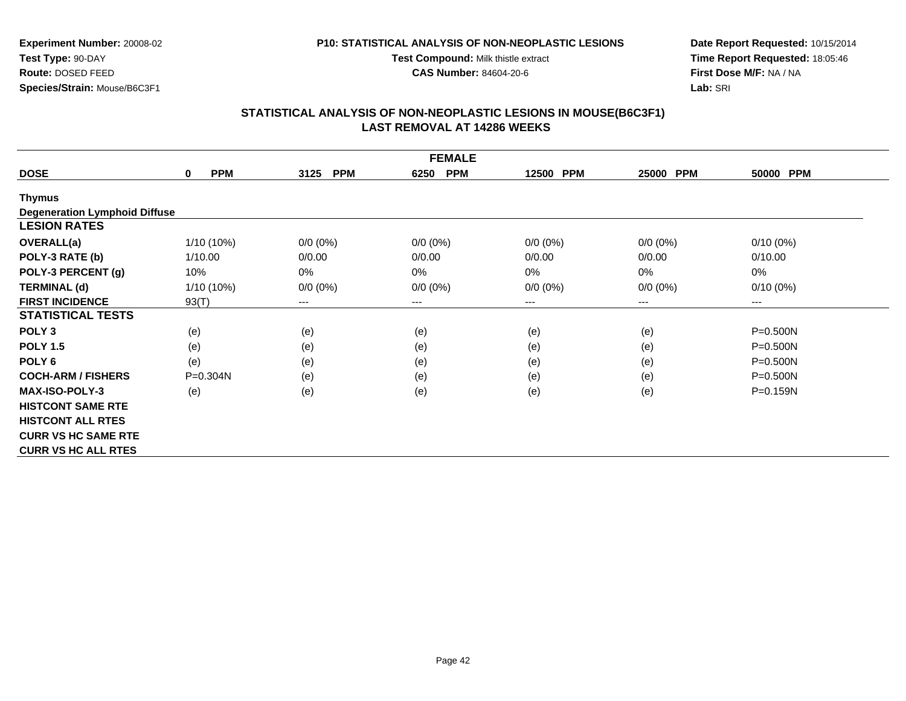#### **P10: STATISTICAL ANALYSIS OF NON-NEOPLASTIC LESIONS**

**Test Compound:** Milk thistle extract

**CAS Number:** 84604-20-6

**Date Report Requested:** 10/15/2014**Time Report Requested:** 18:05:46**First Dose M/F:** NA / NA**Lab:** SRI

| <b>FEMALE</b>                        |                            |                    |                    |                     |             |              |
|--------------------------------------|----------------------------|--------------------|--------------------|---------------------|-------------|--------------|
| <b>DOSE</b>                          | <b>PPM</b><br>$\mathbf{0}$ | <b>PPM</b><br>3125 | <b>PPM</b><br>6250 | <b>PPM</b><br>12500 | 25000 PPM   | 50000 PPM    |
| <b>Thymus</b>                        |                            |                    |                    |                     |             |              |
| <b>Degeneration Lymphoid Diffuse</b> |                            |                    |                    |                     |             |              |
| <b>LESION RATES</b>                  |                            |                    |                    |                     |             |              |
| <b>OVERALL(a)</b>                    | 1/10 (10%)                 | $0/0 (0\%)$        | $0/0 (0\%)$        | $0/0 (0\%)$         | $0/0 (0\%)$ | $0/10(0\%)$  |
| POLY-3 RATE (b)                      | 1/10.00                    | 0/0.00             | 0/0.00             | 0/0.00              | 0/0.00      | 0/10.00      |
| POLY-3 PERCENT (g)                   | 10%                        | 0%                 | 0%                 | 0%                  | $0\%$       | 0%           |
| <b>TERMINAL (d)</b>                  | 1/10 (10%)                 | $0/0 (0\%)$        | $0/0 (0\%)$        | $0/0 (0\%)$         | $0/0 (0\%)$ | $0/10(0\%)$  |
| <b>FIRST INCIDENCE</b>               | 93(T)                      | $---$              | ---                | ---                 | ---         | $---$        |
| <b>STATISTICAL TESTS</b>             |                            |                    |                    |                     |             |              |
| POLY <sub>3</sub>                    | (e)                        | (e)                | (e)                | (e)                 | (e)         | P=0.500N     |
| <b>POLY 1.5</b>                      | (e)                        | (e)                | (e)                | (e)                 | (e)         | $P = 0.500N$ |
| POLY <sub>6</sub>                    | (e)                        | (e)                | (e)                | (e)                 | (e)         | $P = 0.500N$ |
| <b>COCH-ARM / FISHERS</b>            | $P = 0.304N$               | (e)                | (e)                | (e)                 | (e)         | P=0.500N     |
| <b>MAX-ISO-POLY-3</b>                | (e)                        | (e)                | (e)                | (e)                 | (e)         | $P = 0.159N$ |
| <b>HISTCONT SAME RTE</b>             |                            |                    |                    |                     |             |              |
| <b>HISTCONT ALL RTES</b>             |                            |                    |                    |                     |             |              |
| <b>CURR VS HC SAME RTE</b>           |                            |                    |                    |                     |             |              |
| <b>CURR VS HC ALL RTES</b>           |                            |                    |                    |                     |             |              |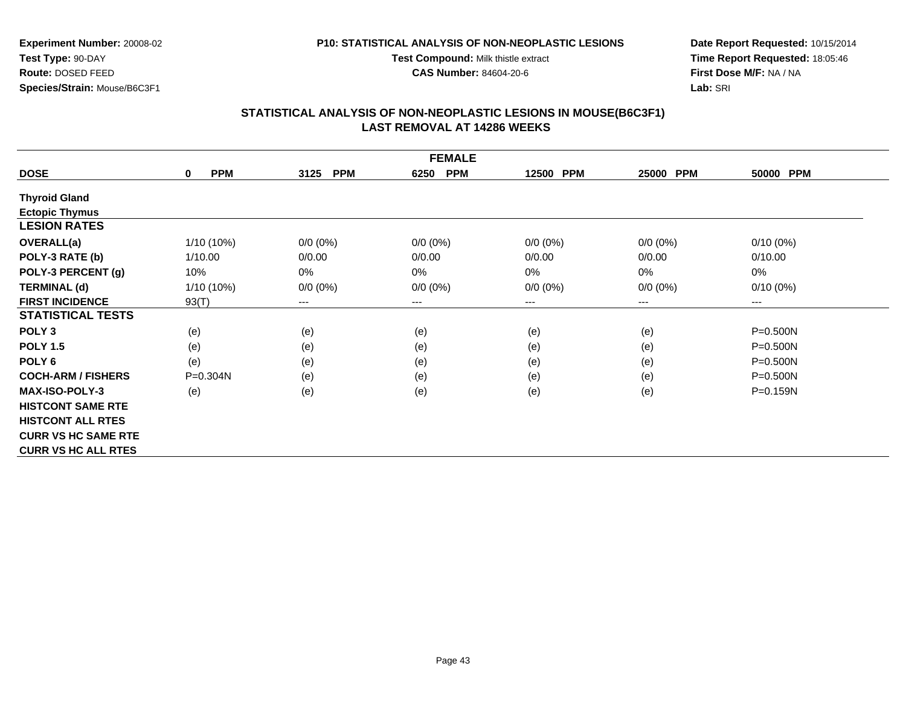#### **P10: STATISTICAL ANALYSIS OF NON-NEOPLASTIC LESIONS**

**Test Compound:** Milk thistle extract

**CAS Number:** 84604-20-6

**Date Report Requested:** 10/15/2014**Time Report Requested:** 18:05:46**First Dose M/F:** NA / NA**Lab:** SRI

| <b>FEMALE</b>              |                           |                            |                            |             |             |              |
|----------------------------|---------------------------|----------------------------|----------------------------|-------------|-------------|--------------|
| <b>DOSE</b>                | <b>PPM</b><br>$\mathbf 0$ | <b>PPM</b><br>3125         | <b>PPM</b><br>6250         | 12500 PPM   | 25000 PPM   | 50000 PPM    |
| <b>Thyroid Gland</b>       |                           |                            |                            |             |             |              |
| <b>Ectopic Thymus</b>      |                           |                            |                            |             |             |              |
| <b>LESION RATES</b>        |                           |                            |                            |             |             |              |
| OVERALL(a)                 | 1/10 (10%)                | $0/0 (0\%)$                | $0/0 (0\%)$                | $0/0 (0\%)$ | $0/0 (0\%)$ | $0/10(0\%)$  |
| POLY-3 RATE (b)            | 1/10.00                   | 0/0.00                     | 0/0.00                     | 0/0.00      | 0/0.00      | 0/10.00      |
| POLY-3 PERCENT (g)         | 10%                       | 0%                         | 0%                         | 0%          | $0\%$       | 0%           |
| <b>TERMINAL (d)</b>        | $1/10(10\%)$              | $0/0 (0\%)$                | $0/0 (0\%)$                | $0/0 (0\%)$ | $0/0 (0\%)$ | $0/10(0\%)$  |
| <b>FIRST INCIDENCE</b>     | 93(T)                     | $\qquad \qquad - \qquad -$ | $\qquad \qquad - \qquad -$ | ---         | ---         | ---          |
| <b>STATISTICAL TESTS</b>   |                           |                            |                            |             |             |              |
| POLY <sub>3</sub>          | (e)                       | (e)                        | (e)                        | (e)         | (e)         | $P = 0.500N$ |
| <b>POLY 1.5</b>            | (e)                       | (e)                        | (e)                        | (e)         | (e)         | $P = 0.500N$ |
| POLY <sub>6</sub>          | (e)                       | (e)                        | (e)                        | (e)         | (e)         | $P = 0.500N$ |
| <b>COCH-ARM / FISHERS</b>  | $P = 0.304N$              | (e)                        | (e)                        | (e)         | (e)         | $P = 0.500N$ |
| <b>MAX-ISO-POLY-3</b>      | (e)                       | (e)                        | (e)                        | (e)         | (e)         | P=0.159N     |
| <b>HISTCONT SAME RTE</b>   |                           |                            |                            |             |             |              |
| <b>HISTCONT ALL RTES</b>   |                           |                            |                            |             |             |              |
| <b>CURR VS HC SAME RTE</b> |                           |                            |                            |             |             |              |
| <b>CURR VS HC ALL RTES</b> |                           |                            |                            |             |             |              |